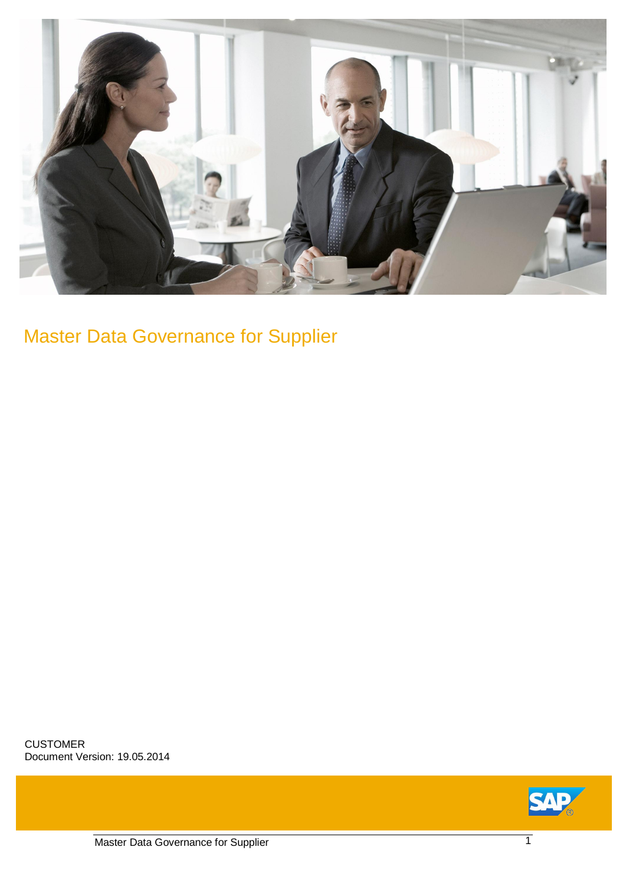

## Master Data Governance for Supplier

CUSTOMER Document Version: 19.05.2014

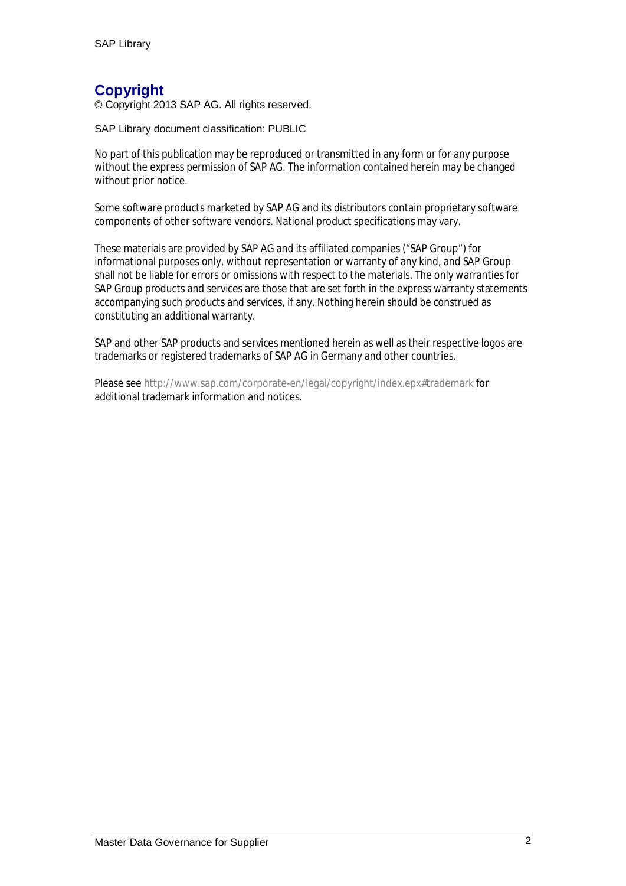#### **Copyright**

© Copyright 2013 SAP AG. All rights reserved.

SAP Library document classification: PUBLIC

No part of this publication may be reproduced or transmitted in any form or for any purpose without the express permission of SAP AG. The information contained herein may be changed without prior notice.

Some software products marketed by SAP AG and its distributors contain proprietary software components of other software vendors. National product specifications may vary.

These materials are provided by SAP AG and its affiliated companies ("SAP Group") for informational purposes only, without representation or warranty of any kind, and SAP Group shall not be liable for errors or omissions with respect to the materials. The only warranties for SAP Group products and services are those that are set forth in the express warranty statements accompanying such products and services, if any. Nothing herein should be construed as constituting an additional warranty.

SAP and other SAP products and services mentioned herein as well as their respective logos are trademarks or registered trademarks of SAP AG in Germany and other countries.

Please see http://www.sap.com/corporate-en/legal/copyright/index.epx#trademark for additional trademark information and notices.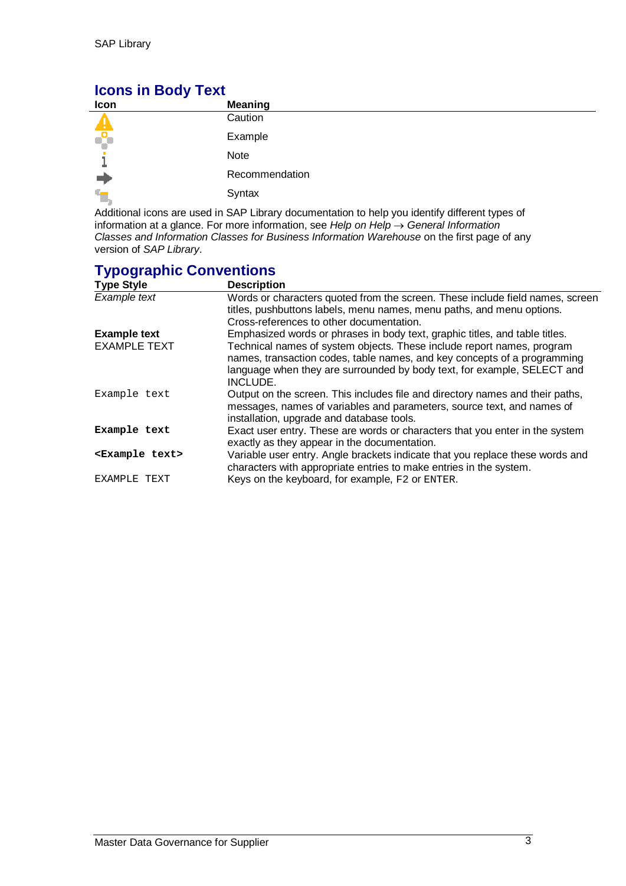#### **Icons in Body Text**

| Icon     | <b>Meaning</b>                                                                                              |
|----------|-------------------------------------------------------------------------------------------------------------|
|          | Caution                                                                                                     |
| ÷        | Example                                                                                                     |
|          | Note                                                                                                        |
|          | Recommendation                                                                                              |
| ٠,       | Syntax                                                                                                      |
| .<br>. . | .<br>$\mathbf{r}$ , and the second contract the second contract of $\mathbf{r}$<br>$\overline{\phantom{a}}$ |

Additional icons are used in SAP Library documentation to help you identify different types of information at a glance. For more information, see *Help on Help*  $\rightarrow$  *General Information Classes and Information Classes for Business Information Warehouse* on the first page of any version of *SAP Library*.

#### **Typographic Conventions**

| <b>Type Style</b>           | <b>Description</b>                                                                                                                                                                                                                        |
|-----------------------------|-------------------------------------------------------------------------------------------------------------------------------------------------------------------------------------------------------------------------------------------|
| Example text                | Words or characters quoted from the screen. These include field names, screen                                                                                                                                                             |
|                             | titles, pushbuttons labels, menu names, menu paths, and menu options.                                                                                                                                                                     |
|                             | Cross-references to other documentation.                                                                                                                                                                                                  |
| <b>Example text</b>         | Emphasized words or phrases in body text, graphic titles, and table titles.                                                                                                                                                               |
| <b>EXAMPLE TEXT</b>         | Technical names of system objects. These include report names, program<br>names, transaction codes, table names, and key concepts of a programming<br>language when they are surrounded by body text, for example, SELECT and<br>INCLUDE. |
|                             |                                                                                                                                                                                                                                           |
| Example text                | Output on the screen. This includes file and directory names and their paths,<br>messages, names of variables and parameters, source text, and names of<br>installation, upgrade and database tools.                                      |
| Example text                | Exact user entry. These are words or characters that you enter in the system<br>exactly as they appear in the documentation.                                                                                                              |
| <example text=""></example> | Variable user entry. Angle brackets indicate that you replace these words and<br>characters with appropriate entries to make entries in the system.                                                                                       |
| EXAMPLE TEXT                | Keys on the keyboard, for example, F2 or ENTER.                                                                                                                                                                                           |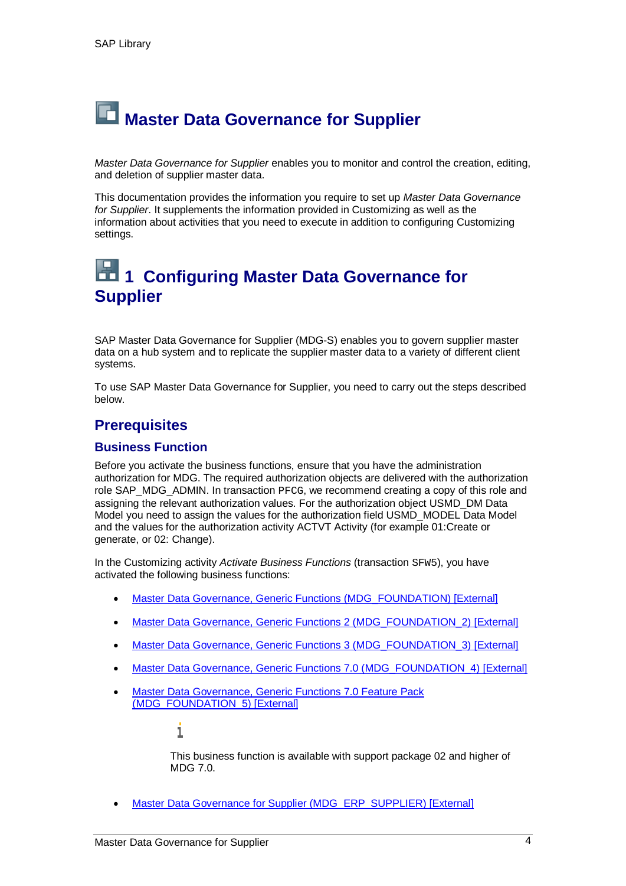# **Naster Data Governance for Supplier**

*Master Data Governance for Supplier* enables you to monitor and control the creation, editing, and deletion of supplier master data.

This documentation provides the information you require to set up *Master Data Governance for Supplier*. It supplements the information provided in Customizing as well as the information about activities that you need to execute in addition to configuring Customizing settings.

### **1 1 Configuring Master Data Governance for Supplier**

SAP Master Data Governance for Supplier (MDG-S) enables you to govern supplier master data on a hub system and to replicate the supplier master data to a variety of different client systems.

To use SAP Master Data Governance for Supplier, you need to carry out the steps described below.

#### **Prerequisites**

#### **Business Function**

Before you activate the business functions, ensure that you have the administration authorization for MDG. The required authorization objects are delivered with the authorization role SAP\_MDG\_ADMIN. In transaction PFCG, we recommend creating a copy of this role and assigning the relevant authorization values. For the authorization object USMD\_DM Data Model you need to assign the values for the authorization field USMD\_MODEL Data Model and the values for the authorization activity ACTVT Activity (for example 01:Create or generate, or 02: Change).

In the Customizing activity *Activate Business Functions* (transaction SFW5), you have activated the following business functions:

- Master Data Governance, Generic Functions (MDG\_FOUNDATION) [External]
- Master Data Governance, Generic Functions 2 (MDG\_FOUNDATION\_2) [External]
- Master Data Governance, Generic Functions 3 (MDG\_FOUNDATION\_3) [External]
- Master Data Governance, Generic Functions 7.0 (MDG\_FOUNDATION\_4) [External]
- **Master Data Governance, Generic Functions 7.0 Feature Pack** (MDG\_FOUNDATION\_5) [External]

i

This business function is available with support package 02 and higher of  $MDG$  7.0.

Master Data Governance for Supplier (MDG\_ERP\_SUPPLIER) [External]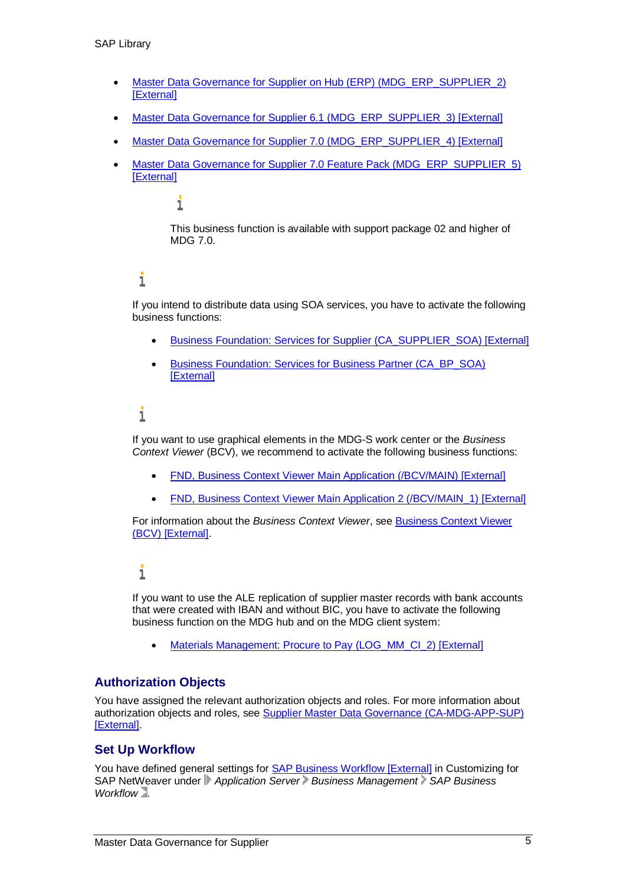- Master Data Governance for Supplier on Hub (ERP) (MDG\_ERP\_SUPPLIER\_2) [External]
- Master Data Governance for Supplier 6.1 (MDG\_ERP\_SUPPLIER\_3) [External]
- Master Data Governance for Supplier 7.0 (MDG\_ERP\_SUPPLIER\_4) [External]
- Master Data Governance for Supplier 7.0 Feature Pack (MDG\_ERP\_SUPPLIER\_5) [External]

#### i

This business function is available with support package 02 and higher of MDG 7.0.

#### 1

If you intend to distribute data using SOA services, you have to activate the following business functions:

- Business Foundation: Services for Supplier (CA\_SUPPLIER\_SOA) [External]
- Business Foundation: Services for Business Partner (CA\_BP\_SOA) **[External]**

#### i

If you want to use graphical elements in the MDG-S work center or the *Business Context Viewer* (BCV), we recommend to activate the following business functions:

- x FND, Business Context Viewer Main Application (/BCV/MAIN) [External]
- FND, Business Context Viewer Main Application 2 (/BCV/MAIN\_1) [External]

For information about the *Business Context Viewer*, see Business Context Viewer (BCV) [External].

#### i

If you want to use the ALE replication of supplier master records with bank accounts that were created with IBAN and without BIC, you have to activate the following business function on the MDG hub and on the MDG client system:

• Materials Management: Procure to Pay (LOG\_MM\_CI\_2) [External]

#### **Authorization Objects**

You have assigned the relevant authorization objects and roles. For more information about authorization objects and roles, see Supplier Master Data Governance (CA-MDG-APP-SUP) [External].

#### **Set Up Workflow**

You have defined general settings for **SAP Business Workflow [External]** in Customizing for SAP NetWeaver under *Application Server Business Management SAP Business Workflow* .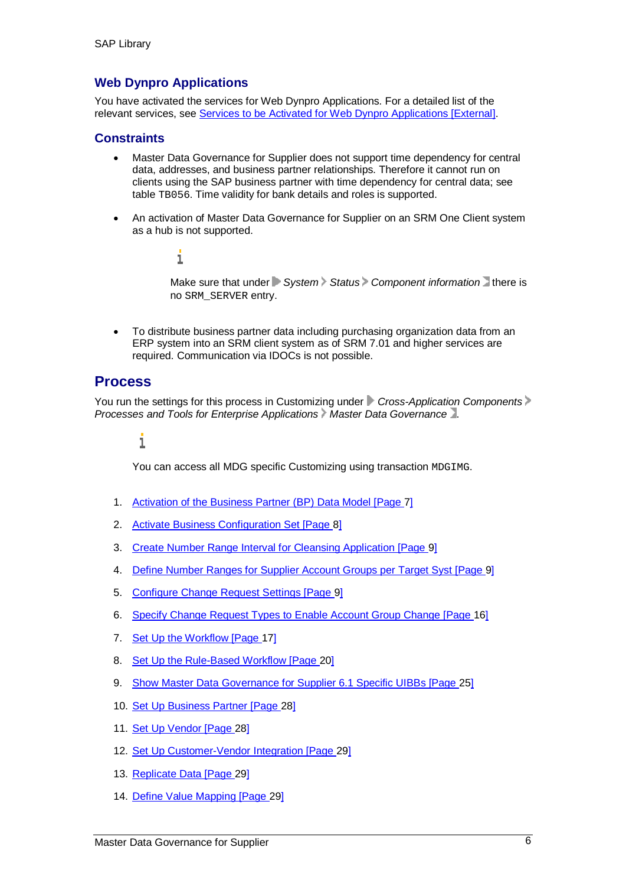#### **Web Dynpro Applications**

i

You have activated the services for Web Dynpro Applications. For a detailed list of the relevant services, see Services to be Activated for Web Dynpro Applications [External].

#### **Constraints**

- Master Data Governance for Supplier does not support time dependency for central data, addresses, and business partner relationships. Therefore it cannot run on clients using the SAP business partner with time dependency for central data; see table TB056. Time validity for bank details and roles is supported.
- An activation of Master Data Governance for Supplier on an SRM One Client system as a hub is not supported.

Make sure that under **System** Status Component information there is no SRM\_SERVER entry.

To distribute business partner data including purchasing organization data from an ERP system into an SRM client system as of SRM 7.01 and higher services are required. Communication via IDOCs is not possible.

#### **Process**

You run the settings for this process in Customizing under *Cross-Application Components Processes and Tools for Enterprise Applications Master Data Governance* **...** 

#### ī

You can access all MDG specific Customizing using transaction MDGIMG.

- 1. Activation of the Business Partner (BP) Data Model [Page 7]
- 2. Activate Business Configuration Set [Page 8]
- 3. Create Number Range Interval for Cleansing Application [Page 9]
- 4. Define Number Ranges for Supplier Account Groups per Target Syst [Page 9]
- 5. Configure Change Request Settings [Page 9]
- 6. Specify Change Request Types to Enable Account Group Change [Page 16]
- 7. Set Up the Workflow [Page 17]
- 8. Set Up the Rule-Based Workflow [Page 20]
- 9. Show Master Data Governance for Supplier 6.1 Specific UIBBs [Page 25]
- 10. Set Up Business Partner [Page 28]
- 11. Set Up Vendor [Page 28]
- 12. Set Up Customer-Vendor Integration [Page 29]
- 13. Replicate Data [Page 29]
- 14. Define Value Mapping [Page 29]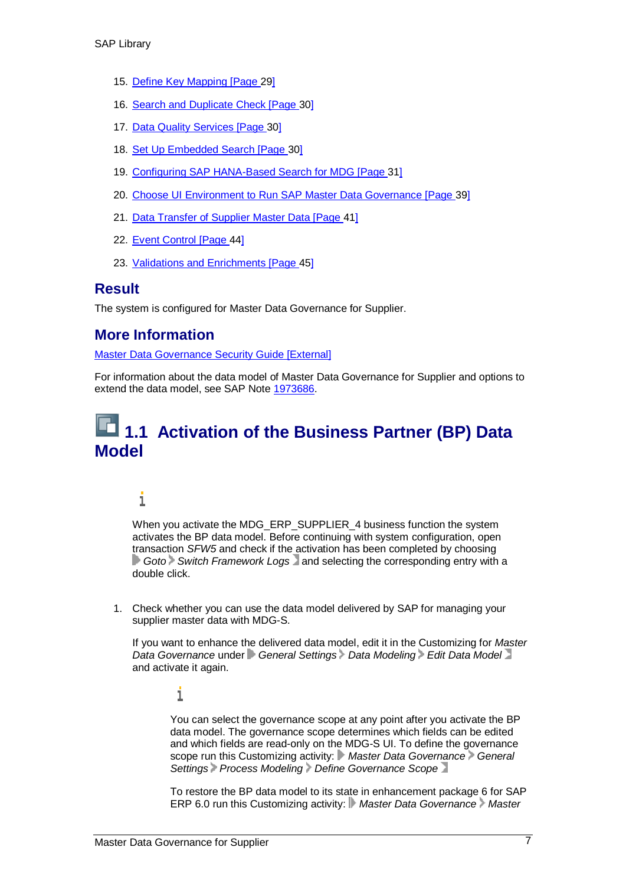- 15. Define Key Mapping [Page 29]
- 16. Search and Duplicate Check [Page 30]
- 17. Data Quality Services [Page 30]
- 18. Set Up Embedded Search [Page 30]
- 19. Configuring SAP HANA-Based Search for MDG [Page 31]
- 20. Choose UI Environment to Run SAP Master Data Governance [Page 39]
- 21. Data Transfer of Supplier Master Data [Page 41]
- 22. Event Control [Page 44]
- 23. Validations and Enrichments [Page 45]

#### **Result**

The system is configured for Master Data Governance for Supplier.

#### **More Information**

Master Data Governance Security Guide [External]

For information about the data model of Master Data Governance for Supplier and options to extend the data model, see SAP Note 1973686.

### **1.1 Activation of the Business Partner (BP) Data Model**

#### i

When you activate the MDG\_ERP\_SUPPLIER\_4 business function the system activates the BP data model. Before continuing with system configuration, open transaction *SFW5* and check if the activation has been completed by choosing **Goto** Switch Framework Logs and selecting the corresponding entry with a double click.

1. Check whether you can use the data model delivered by SAP for managing your supplier master data with MDG-S.

If you want to enhance the delivered data model, edit it in the Customizing for *Master Data Governance* under *General Settings Data Modeling Edit Data Model* and activate it again.

i

You can select the governance scope at any point after you activate the BP data model. The governance scope determines which fields can be edited and which fields are read-only on the MDG-S UI. To define the governance scope run this Customizing activity: Master Data Governance General *Settings Process Modeling Define Governance Scope*

To restore the BP data model to its state in enhancement package 6 for SAP ERP 6.0 run this Customizing activity: *Master Data Governance Master*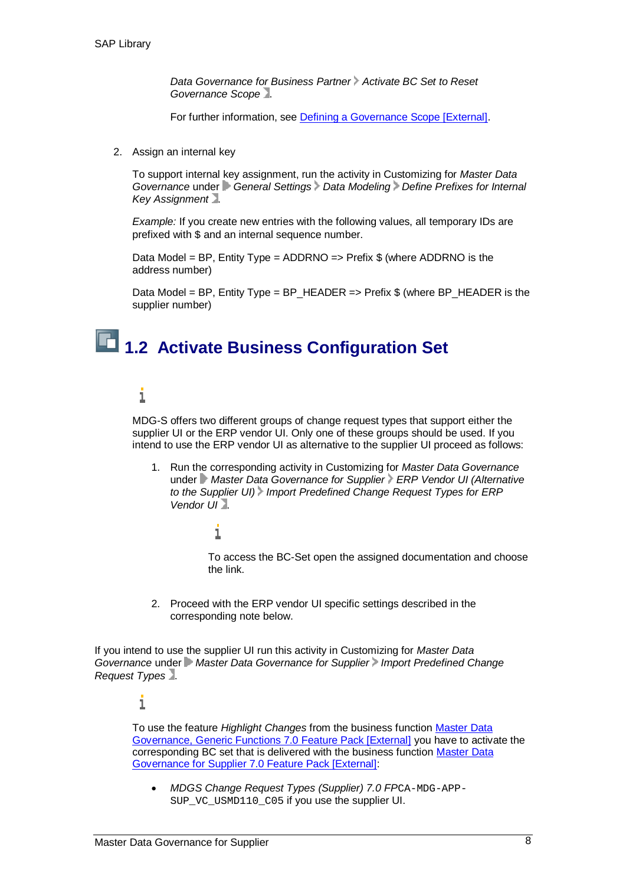*Data Governance for Business Partner Activate BC Set to Reset Governance Scope* .

For further information, see **Defining a Governance Scope [External]**.

2. Assign an internal key

To support internal key assignment, run the activity in Customizing for *Master Data Governance* under *General Settings Data Modeling Define Prefixes for Internal Key Assignment* .

*Example:* If you create new entries with the following values, all temporary IDs are prefixed with  $\frac{1}{2}$  and an internal sequence number.

Data Model = BP, Entity Type = ADDRNO => Prefix  $$$  (where ADDRNO is the address number)

Data Model = BP, Entity Type = BP\_HEADER => Prefix \$ (where BP\_HEADER is the supplier number)

# **1.2 Activate Business Configuration Set**

#### i

MDG-S offers two different groups of change request types that support either the supplier UI or the ERP vendor UI. Only one of these groups should be used. If you intend to use the ERP vendor UI as alternative to the supplier UI proceed as follows:

1. Run the corresponding activity in Customizing for *Master Data Governance* under *Master Data Governance for Supplier ERP Vendor UI (Alternative to the Supplier UI) Import Predefined Change Request Types for ERP Vendor UI* .

#### 1

To access the BC-Set open the assigned documentation and choose the link.

2. Proceed with the ERP vendor UI specific settings described in the corresponding note below.

If you intend to use the supplier UI run this activity in Customizing for *Master Data Governance* under *Master Data Governance for Supplier Import Predefined Change Request Types* .

#### i

To use the feature *Highlight Changes* from the business function Master Data Governance, Generic Functions 7.0 Feature Pack [External] you have to activate the corresponding BC set that is delivered with the business function Master Data Governance for Supplier 7.0 Feature Pack [External]:

x *MDGS Change Request Types (Supplier) 7.0 FP*CA-MDG-APP-SUP VC USMD110 C05 if you use the supplier UI.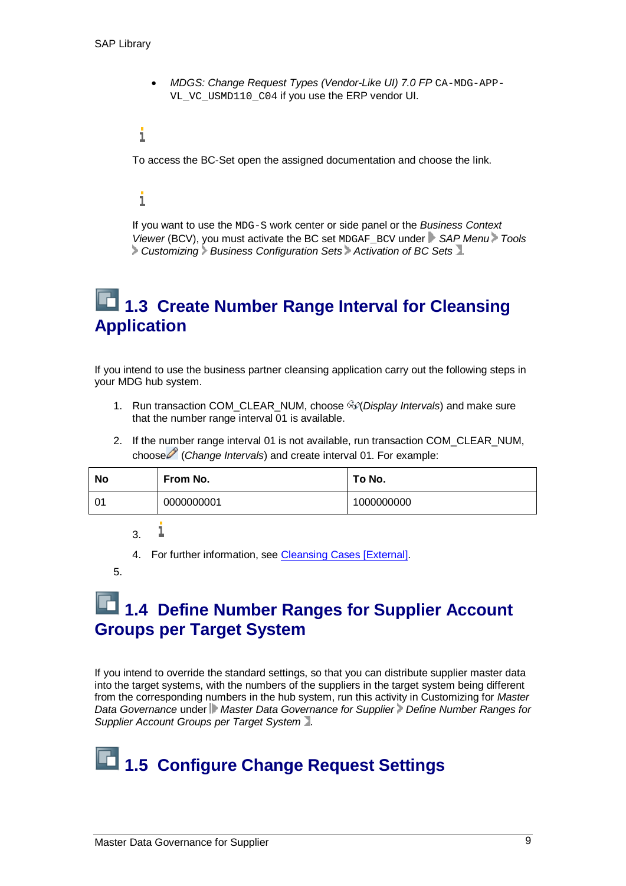x *MDGS: Change Request Types (Vendor-Like UI) 7.0 FP* CA-MDG-APP-VL VC USMD110 C04 if you use the ERP vendor UI.

#### i

To access the BC-Set open the assigned documentation and choose the link.

#### i

If you want to use the MDG-S work center or side panel or the *Business Context Viewer* (BCV), you must activate the BC set MDGAF\_BCV under *SAP Menu Tools Customizing Business Configuration Sets Activation of BC Sets* .

### **1.3 Create Number Range Interval for Cleansing Application**

If you intend to use the business partner cleansing application carry out the following steps in your MDG hub system.

- 1. Run transaction COM\_CLEAR\_NUM, choose  $\partial \mathcal{P}(D)$ *splay Intervals*) and make sure that the number range interval 01 is available.
- 2. If the number range interval 01 is not available, run transaction COM\_CLEAR\_NUM, choose (*Change Intervals*) and create interval 01. For example:

| <b>No</b> | From No.   | To No.     |
|-----------|------------|------------|
| -01       | 0000000001 | 1000000000 |

i 3.

4. For further information, see Cleansing Cases [External].

5.

### **1.4 Define Number Ranges for Supplier Account Groups per Target System**

If you intend to override the standard settings, so that you can distribute supplier master data into the target systems, with the numbers of the suppliers in the target system being different from the corresponding numbers in the hub system, run this activity in Customizing for *Master Data Governance* under *Master Data Governance for Supplier Define Number Ranges for Supplier Account Groups per Target System* .

# **1.5 Configure Change Request Settings**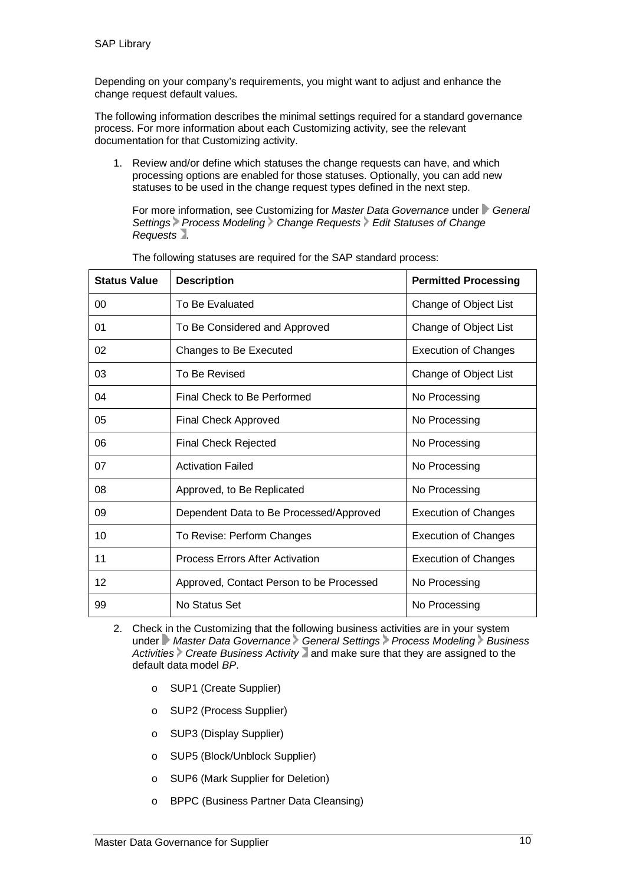Depending on your company's requirements, you might want to adjust and enhance the change request default values.

The following information describes the minimal settings required for a standard governance process. For more information about each Customizing activity, see the relevant documentation for that Customizing activity.

1. Review and/or define which statuses the change requests can have, and which processing options are enabled for those statuses. Optionally, you can add new statuses to be used in the change request types defined in the next step.

For more information, see Customizing for *Master Data Governance* under *General* Settings Process Modeling > Change Requests > Edit Statuses of Change *Requests* .

| <b>Status Value</b> | <b>Description</b>                       | <b>Permitted Processing</b> |
|---------------------|------------------------------------------|-----------------------------|
| 00                  | To Be Evaluated                          | Change of Object List       |
| 01                  | To Be Considered and Approved            | Change of Object List       |
| 02                  | Changes to Be Executed                   | <b>Execution of Changes</b> |
| 03                  | To Be Revised                            | Change of Object List       |
| 04                  | Final Check to Be Performed              | No Processing               |
| 05                  | <b>Final Check Approved</b>              | No Processing               |
| 06                  | <b>Final Check Rejected</b>              | No Processing               |
| 07                  | <b>Activation Failed</b>                 | No Processing               |
| 08                  | Approved, to Be Replicated               | No Processing               |
| 09                  | Dependent Data to Be Processed/Approved  | <b>Execution of Changes</b> |
| 10                  | To Revise: Perform Changes               | <b>Execution of Changes</b> |
| 11                  | <b>Process Errors After Activation</b>   | <b>Execution of Changes</b> |
| 12                  | Approved, Contact Person to be Processed | No Processing               |
| 99                  | No Status Set                            | No Processing               |

The following statuses are required for the SAP standard process:

- 2. Check in the Customizing that the following business activities are in your system under *Master Data Governance* General Settings Process Modeling *Business* Activities *Create Business Activity* and make sure that they are assigned to the default data model *BP*.
	- o SUP1 (Create Supplier)
	- o SUP2 (Process Supplier)
	- o SUP3 (Display Supplier)
	- o SUP5 (Block/Unblock Supplier)
	- o SUP6 (Mark Supplier for Deletion)
	- o BPPC (Business Partner Data Cleansing)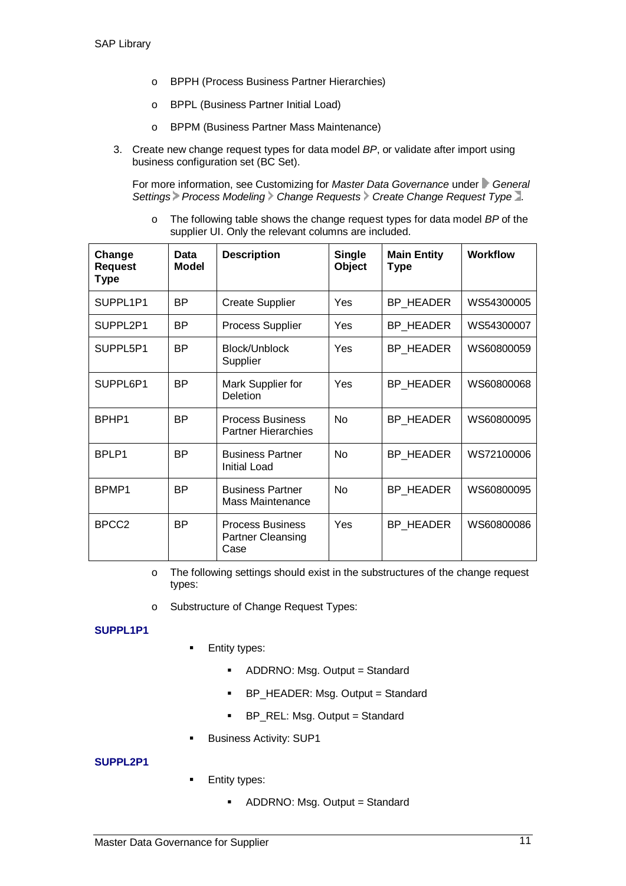- o BPPH (Process Business Partner Hierarchies)
- o BPPL (Business Partner Initial Load)
- o BPPM (Business Partner Mass Maintenance)
- 3. Create new change request types for data model *BP*, or validate after import using business configuration set (BC Set).

For more information, see Customizing for *Master Data Governance* under *General* Settings Process Modeling > Change Requests > Create Change Request Type

o The following table shows the change request types for data model *BP* of the supplier UI. Only the relevant columns are included.

| Change<br><b>Request</b><br><b>Type</b> | Data<br>Model | <b>Description</b>                                          | <b>Single</b><br>Object | <b>Main Entity</b><br><b>Type</b> | <b>Workflow</b> |
|-----------------------------------------|---------------|-------------------------------------------------------------|-------------------------|-----------------------------------|-----------------|
| SUPPL1P1                                | ВP            | <b>Create Supplier</b>                                      | Yes                     | <b>BP HEADER</b>                  | WS54300005      |
| SUPPL2P1                                | <b>BP</b>     | <b>Process Supplier</b>                                     | Yes                     | BP_HEADER                         | WS54300007      |
| SUPPL5P1                                | <b>BP</b>     | Block/Unblock<br>Supplier                                   | Yes                     | BP HEADER                         | WS60800059      |
| SUPPL6P1                                | <b>BP</b>     | Mark Supplier for<br>Deletion                               | Yes                     | BP HEADER                         | WS60800068      |
| BPHP1                                   | <b>BP</b>     | <b>Process Business</b><br><b>Partner Hierarchies</b>       | No                      | BP HEADER                         | WS60800095      |
| BPLP1                                   | <b>BP</b>     | <b>Business Partner</b><br><b>Initial Load</b>              | <b>No</b>               | BP HEADER                         | WS72100006      |
| BPMP1                                   | ВP            | <b>Business Partner</b><br>Mass Maintenance                 | <b>No</b>               | BP HEADER                         | WS60800095      |
| BPCC <sub>2</sub>                       | <b>RP</b>     | <b>Process Business</b><br><b>Partner Cleansing</b><br>Case | Yes                     | BP HEADER                         | WS60800086      |

- o The following settings should exist in the substructures of the change request types:
- o Substructure of Change Request Types:

#### **SUPPL1P1**

- **Entity types:** 
	- ADDRNO: Msg. Output = Standard
	- **BP\_HEADER: Msg. Output = Standard**
	- BP\_REL: Msg. Output = Standard
- Business Activity: SUP1

#### **SUPPL2P1**

- Entity types:
	- ADDRNO: Msg. Output = Standard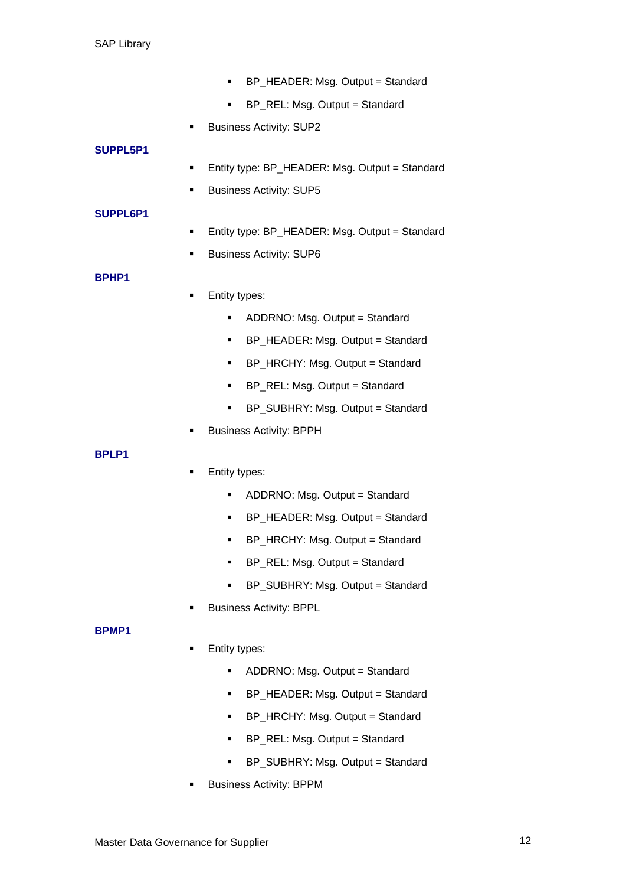- BP\_HEADER: Msg. Output = Standard
- BP\_REL: Msg. Output = Standard
- Business Activity: SUP2

#### **SUPPL5P1**

- Entity type: BP\_HEADER: Msg. Output = Standard
- Business Activity: SUP5

#### **SUPPL6P1**

- **Entity type: BP\_HEADER: Msg. Output = Standard**
- Business Activity: SUP6

#### **BPHP1**

- Entity types:
	- ADDRNO: Msg. Output = Standard
	- BP\_HEADER: Msg. Output = Standard
	- BP\_HRCHY: Msg. Output = Standard
	- BP\_REL: Msg. Output = Standard
	- BP\_SUBHRY: Msg. Output = Standard
- Business Activity: BPPH

#### **BPLP1**

- Entity types:
	- ADDRNO: Msg. Output = Standard
	- BP\_HEADER: Msg. Output = Standard
	- **BP\_HRCHY: Msg. Output = Standard**
	- **BP\_REL: Msg. Output = Standard**
	- BP\_SUBHRY: Msg. Output = Standard
- Business Activity: BPPL

#### **BPMP1**

- Entity types:
	- ADDRNO: Msg. Output = Standard
	- BP\_HEADER: Msg. Output = Standard
	- BP\_HRCHY: Msg. Output = Standard
	- BP\_REL: Msg. Output = Standard
	- BP\_SUBHRY: Msg. Output = Standard
- Business Activity: BPPM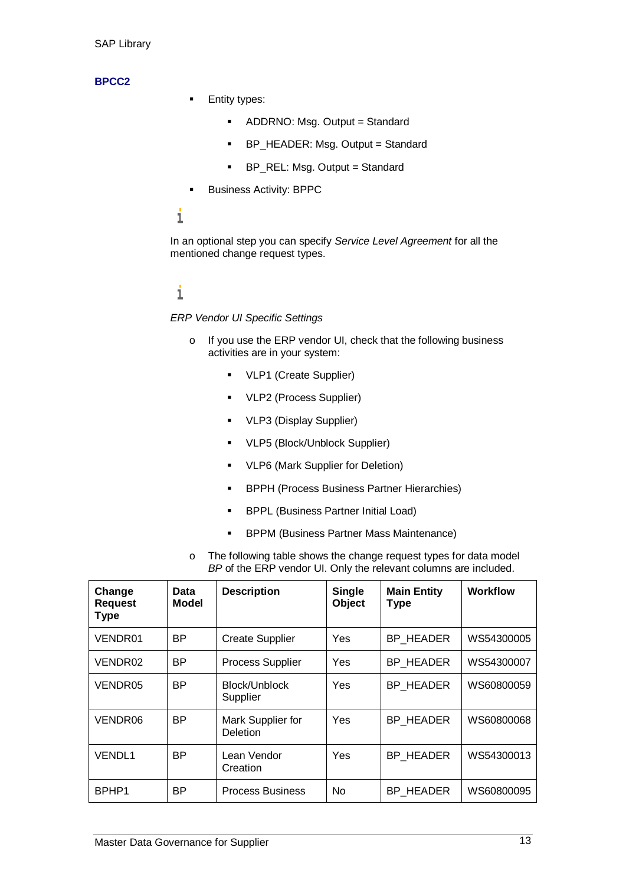#### **BPCC2**

- **Entity types:** 
	- ADDRNO: Msg. Output = Standard
	- BP\_HEADER: Msg. Output = Standard
	- BP\_REL: Msg. Output = Standard
- **Business Activity: BPPC**

#### i

In an optional step you can specify *Service Level Agreement* for all the mentioned change request types.

#### i

*ERP Vendor UI Specific Settings*

- o If you use the ERP vendor UI, check that the following business activities are in your system:
	- **•** VLP1 (Create Supplier)
	- **•** VLP2 (Process Supplier)
	- **•** VLP3 (Display Supplier)
	- VLP5 (Block/Unblock Supplier)
	- **VLP6 (Mark Supplier for Deletion)**
	- **BPPH (Process Business Partner Hierarchies)**
	- **BPPL (Business Partner Initial Load)**
	- **BPPM (Business Partner Mass Maintenance)**
- o The following table shows the change request types for data model *BP* of the ERP vendor UI. Only the relevant columns are included.

| Change<br><b>Request</b><br><b>Type</b> | Data<br>Model | <b>Description</b>                   | <b>Single</b><br><b>Object</b> | <b>Main Entity</b><br><b>Type</b> | <b>Workflow</b> |
|-----------------------------------------|---------------|--------------------------------------|--------------------------------|-----------------------------------|-----------------|
| VENDR01                                 | <b>BP</b>     | <b>Create Supplier</b>               | Yes                            | BP HEADER                         | WS54300005      |
| VENDR02                                 | <b>BP</b>     | <b>Process Supplier</b>              | Yes                            | BP_HEADER                         | WS54300007      |
| VENDR05                                 | <b>BP</b>     | Block/Unblock<br>Supplier            | Yes                            | BP HEADER                         | WS60800059      |
| VENDR06                                 | BP.           | Mark Supplier for<br><b>Deletion</b> | Yes                            | BP HEADER                         | WS60800068      |
| <b>VENDL1</b>                           | BP.           | Lean Vendor<br>Creation              | Yes                            | <b>BP HEADER</b>                  | WS54300013      |
| BPHP1                                   | BP.           | <b>Process Business</b>              | No                             | BP HEADER                         | WS60800095      |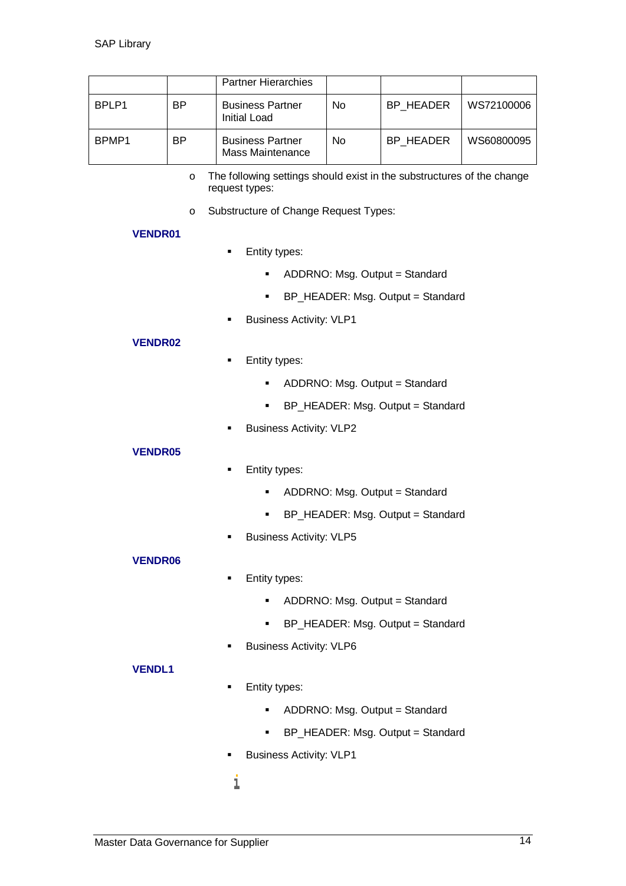|       |           | <b>Partner Hierarchies</b>                  |    |           |            |
|-------|-----------|---------------------------------------------|----|-----------|------------|
| BPLP1 | <b>BP</b> | <b>Business Partner</b><br>Initial Load     | No | BP HEADER | WS72100006 |
| BPMP1 | <b>BP</b> | <b>Business Partner</b><br>Mass Maintenance | No | BP HEADER | WS60800095 |

- o The following settings should exist in the substructures of the change request types:
- o Substructure of Change Request Types:

#### **VENDR01**

- **Entity types:** 
	- ADDRNO: Msg. Output = Standard
	- BP\_HEADER: Msg. Output = Standard
- **Business Activity: VLP1**

#### **VENDR02**

- **Entity types:** 
	- ADDRNO: Msg. Output = Standard
	- BP\_HEADER: Msg. Output = Standard
- Business Activity: VLP2

#### **VENDR05**

#### **Entity types:**

- ADDRNO: Msg. Output = Standard
- BP\_HEADER: Msg. Output = Standard
- **Business Activity: VLP5**

#### **VENDR06**

- **Entity types:** 
	- ADDRNO: Msg. Output = Standard
	- **BP\_HEADER: Msg. Output = Standard**
- **Business Activity: VLP6**

#### **VENDL1**

- **Entity types:** 
	- ADDRNO: Msg. Output = Standard
	- BP\_HEADER: Msg. Output = Standard
- **Business Activity: VLP1**

#### i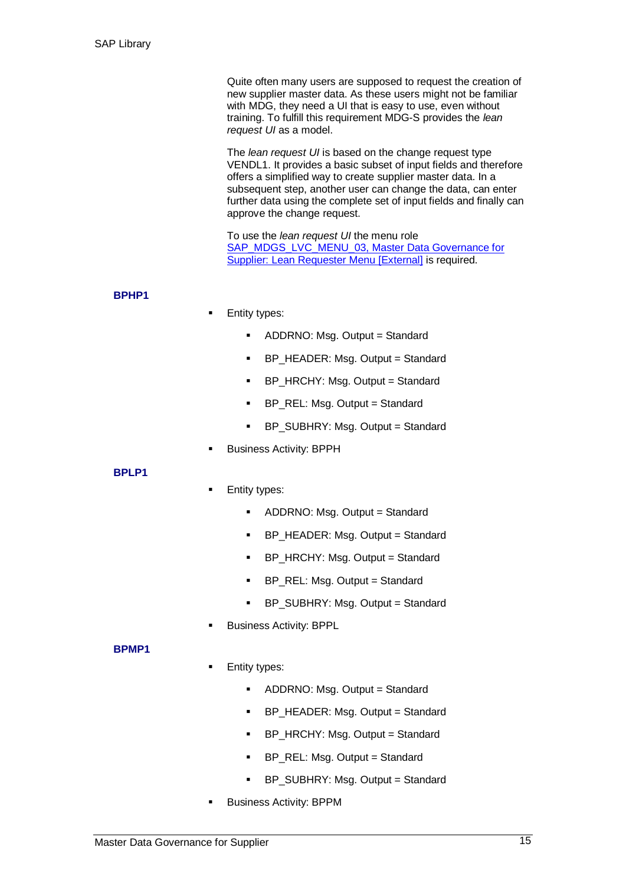Quite often many users are supposed to request the creation of new supplier master data. As these users might not be familiar with MDG, they need a UI that is easy to use, even without training. To fulfill this requirement MDG-S provides the *lean request UI* as a model.

The *lean request UI* is based on the change request type VENDL1. It provides a basic subset of input fields and therefore offers a simplified way to create supplier master data. In a subsequent step, another user can change the data, can enter further data using the complete set of input fields and finally can approve the change request.

To use the *lean request UI* the menu role SAP\_MDGS\_LVC\_MENU\_03, Master Data Governance for Supplier: Lean Requester Menu [External] is required.

#### **BPHP1**

#### Entity types:

- ADDRNO: Msg. Output = Standard
- BP\_HEADER: Msg. Output = Standard
- BP\_HRCHY: Msg. Output = Standard
- BP\_REL: Msg. Output = Standard
- BP\_SUBHRY: Msg. Output = Standard
- Business Activity: BPPH

#### **BPLP1**

- Entity types:
	- ADDRNO: Msg. Output = Standard
	- BP\_HEADER: Msg. Output = Standard
	- **BP\_HRCHY: Msg. Output = Standard**
	- **BP\_REL: Msg. Output = Standard**
	- BP\_SUBHRY: Msg. Output = Standard
- Business Activity: BPPL

#### **BPMP1**

- Entity types:
	- ADDRNO: Msg. Output = Standard
	- BP\_HEADER: Msg. Output = Standard
	- BP\_HRCHY: Msg. Output = Standard
	- BP\_REL: Msg. Output = Standard
	- BP\_SUBHRY: Msg. Output = Standard
- Business Activity: BPPM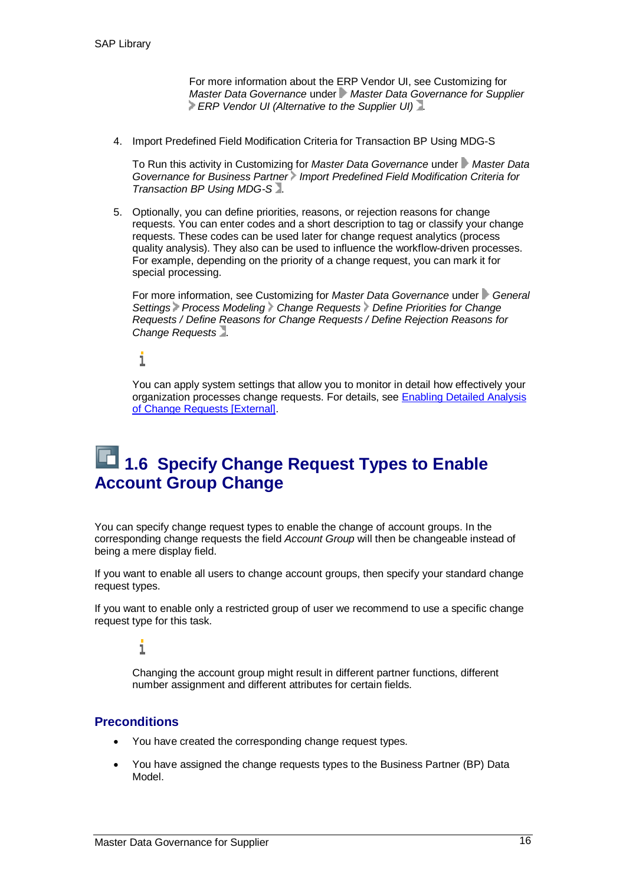For more information about the ERP Vendor UI, see Customizing for *Master Data Governance* under *Master Data Governance for Supplier ERP Vendor UI (Alternative to the Supplier UI)***.** 

4. Import Predefined Field Modification Criteria for Transaction BP Using MDG-S

To Run this activity in Customizing for *Master Data Governance* under *Master Data* Governance for Business Partner Import Predefined Field Modification Criteria for *Transaction BP Using MDG-S* .

5. Optionally, you can define priorities, reasons, or rejection reasons for change requests. You can enter codes and a short description to tag or classify your change requests. These codes can be used later for change request analytics (process quality analysis). They also can be used to influence the workflow-driven processes. For example, depending on the priority of a change request, you can mark it for special processing.

For more information, see Customizing for *Master Data Governance* under *General Settings Process Modeling Change Requests Define Priorities for Change Requests / Define Reasons for Change Requests / Define Rejection Reasons for Change Requests* .

i

You can apply system settings that allow you to monitor in detail how effectively your organization processes change requests. For details, see **Enabling Detailed Analysis** of Change Requests [External].

### **1.6 Specify Change Request Types to Enable Account Group Change**

You can specify change request types to enable the change of account groups. In the corresponding change requests the field *Account Group* will then be changeable instead of being a mere display field.

If you want to enable all users to change account groups, then specify your standard change request types.

If you want to enable only a restricted group of user we recommend to use a specific change request type for this task.

i

Changing the account group might result in different partner functions, different number assignment and different attributes for certain fields.

#### **Preconditions**

- You have created the corresponding change request types.
- You have assigned the change requests types to the Business Partner (BP) Data Model.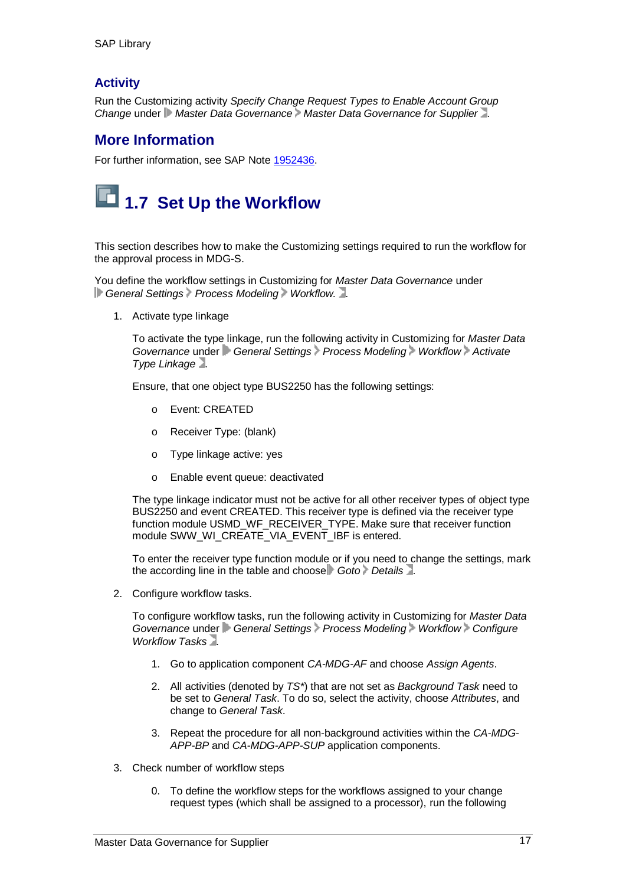#### **Activity**

Run the Customizing activity *Specify Change Request Types to Enable Account Group Change* under *Master Data Governance Master Data Governance for Supplier* .

#### **More Information**

For further information, see SAP Note 1952436.

# **1.7 Set Up the Workflow**

This section describes how to make the Customizing settings required to run the workflow for the approval process in MDG-S.

You define the workflow settings in Customizing for *Master Data Governance* under **General Settings Process Modeling Workflow.** ...

1. Activate type linkage

To activate the type linkage, run the following activity in Customizing for *Master Data Governance* under *General Settings Process Modeling Workflow Activate Type Linkage* .

Ensure, that one object type BUS2250 has the following settings:

- o Event: CREATED
- o Receiver Type: (blank)
- o Type linkage active: yes
- o Enable event queue: deactivated

The type linkage indicator must not be active for all other receiver types of object type BUS2250 and event CREATED. This receiver type is defined via the receiver type function module USMD\_WF\_RECEIVER\_TYPE. Make sure that receiver function module SWW\_WI\_CREATE\_VIA\_EVENT\_IBF is entered.

To enter the receiver type function module or if you need to change the settings, mark the according line in the table and choose Goto Details .

2. Configure workflow tasks.

To configure workflow tasks, run the following activity in Customizing for *Master Data Governance* under *General Settings Process Modeling Workflow Configure Workflow Tasks* .

- 1. Go to application component *CA-MDG-AF* and choose *Assign Agents*.
- 2. All activities (denoted by *TS\**) that are not set as *Background Task* need to be set to *General Task*. To do so, select the activity, choose *Attributes*, and change to *General Task*.
- 3. Repeat the procedure for all non-background activities within the *CA-MDG-APP-BP* and *CA-MDG-APP-SUP* application components.
- 3. Check number of workflow steps
	- 0. To define the workflow steps for the workflows assigned to your change request types (which shall be assigned to a processor), run the following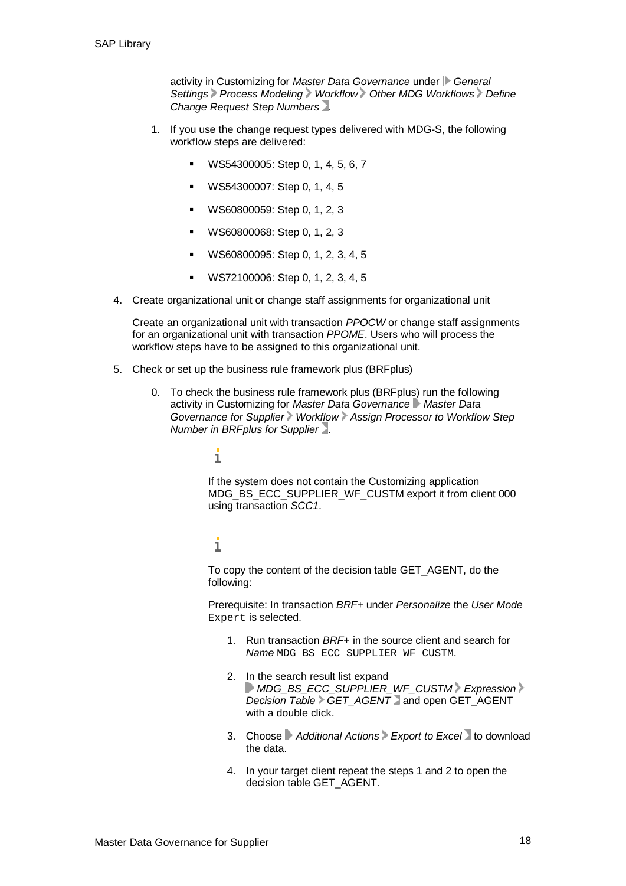activity in Customizing for *Master Data Governance* under *General Settings Process Modeling Workflow Other MDG Workflows Define Change Request Step Numbers* .

- 1. If you use the change request types delivered with MDG-S, the following workflow steps are delivered:
	- WS54300005: Step 0, 1, 4, 5, 6, 7
	- WS54300007: Step 0, 1, 4, 5
	- WS60800059: Step 0, 1, 2, 3
	- WS60800068: Step 0, 1, 2, 3
	- WS60800095: Step 0, 1, 2, 3, 4, 5
	- WS72100006: Step 0, 1, 2, 3, 4, 5
- 4. Create organizational unit or change staff assignments for organizational unit

Create an organizational unit with transaction *PPOCW* or change staff assignments for an organizational unit with transaction *PPOME*. Users who will process the workflow steps have to be assigned to this organizational unit.

- 5. Check or set up the business rule framework plus (BRFplus)
	- 0. To check the business rule framework plus (BRFplus) run the following activity in Customizing for *Master Data Governance Master Data Governance for Supplier Workflow Assign Processor to Workflow Step Number in BRFplus for Supplier* .
		- i

If the system does not contain the Customizing application MDG\_BS\_ECC\_SUPPLIER\_WF\_CUSTM export it from client 000 using transaction *SCC1*.

#### i

To copy the content of the decision table GET\_AGENT, do the following:

Prerequisite: In transaction *BRF+* under *Personalize* the *User Mode* Expert is selected.

- 1. Run transaction *BRF+* in the source client and search for *Name* MDG\_BS\_ECC\_SUPPLIER\_WF\_CUSTM.
- 2. In the search result list expand *MDG\_BS\_ECC\_SUPPLIER\_WF\_CUSTM Expression Decision Table GET\_AGENT* and open GET\_AGENT with a double click.
- 3. Choose *Additional Actions Export to Excel* to download the data.
- 4. In your target client repeat the steps 1 and 2 to open the decision table GET\_AGENT.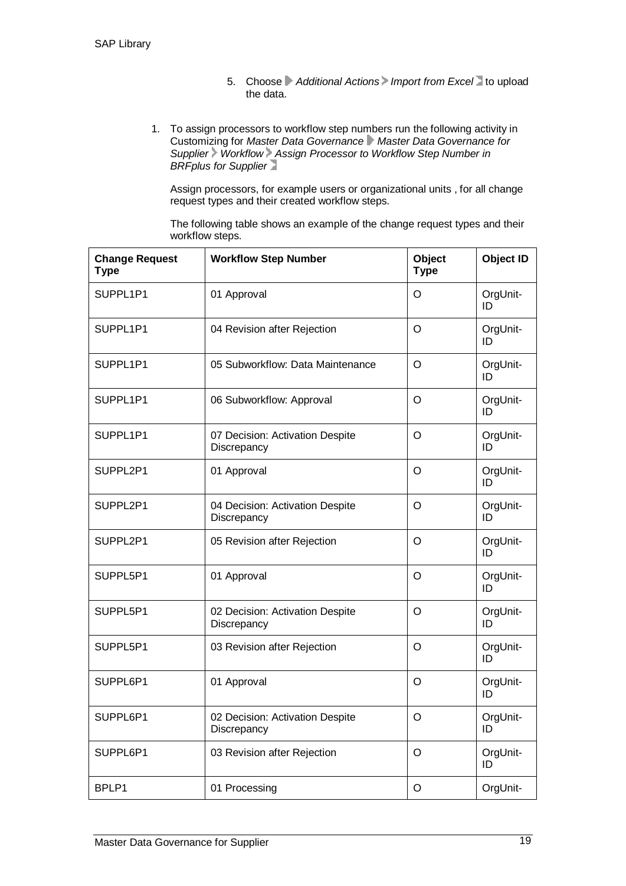- 5. Choose Additional Actions Import from Excel to upload the data.
- 1. To assign processors to workflow step numbers run the following activity in Customizing for *Master Data Governance Master Data Governance for Supplier Workflow Assign Processor to Workflow Step Number in BRFplus for Supplier*

Assign processors, for example users or organizational units , for all change request types and their created workflow steps.

The following table shows an example of the change request types and their workflow steps.

| <b>Change Request</b><br><b>Type</b> | <b>Workflow Step Number</b>                    | Object<br><b>Type</b> | <b>Object ID</b> |
|--------------------------------------|------------------------------------------------|-----------------------|------------------|
| SUPPL1P1                             | 01 Approval                                    | O                     | OrgUnit-<br>ID   |
| SUPPL1P1                             | 04 Revision after Rejection                    | O                     | OrgUnit-<br>ID   |
| SUPPL1P1                             | 05 Subworkflow: Data Maintenance               | O                     | OrgUnit-<br>ID   |
| SUPPL1P1                             | 06 Subworkflow: Approval                       | $\circ$               | OrgUnit-<br>ID   |
| SUPPL1P1                             | 07 Decision: Activation Despite<br>Discrepancy | $\circ$               | OrgUnit-<br>ID   |
| SUPPL2P1                             | 01 Approval                                    | $\circ$               | OrgUnit-<br>ID   |
| SUPPL2P1                             | 04 Decision: Activation Despite<br>Discrepancy | O                     | OrgUnit-<br>ID   |
| SUPPL2P1                             | 05 Revision after Rejection                    | O                     | OrgUnit-<br>ID   |
| SUPPL5P1                             | 01 Approval                                    | $\circ$               | OrgUnit-<br>ID   |
| SUPPL5P1                             | 02 Decision: Activation Despite<br>Discrepancy | $\circ$               | OrgUnit-<br>ID   |
| SUPPL5P1                             | 03 Revision after Rejection                    | O                     | OrgUnit-<br>ID   |
| SUPPL6P1                             | 01 Approval                                    | O                     | OrgUnit-<br>ID   |
| SUPPL6P1                             | 02 Decision: Activation Despite<br>Discrepancy | $\circ$               | OrgUnit-<br>ID   |
| SUPPL6P1                             | 03 Revision after Rejection                    | O                     | OrgUnit-<br>ID   |
| BPLP1                                | 01 Processing                                  | $\circ$               | OrgUnit-         |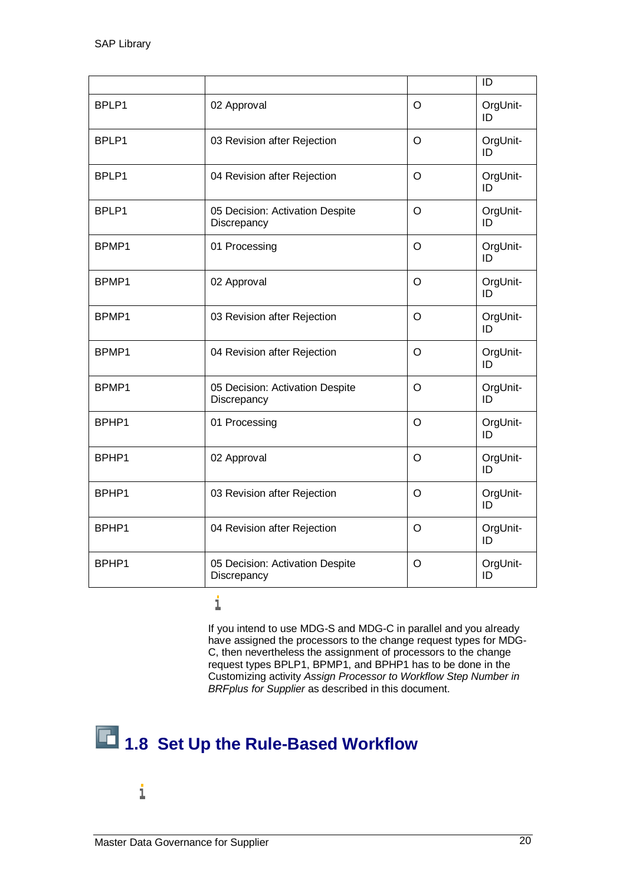|       |                                                |         | ID             |
|-------|------------------------------------------------|---------|----------------|
| BPLP1 | 02 Approval                                    | O       | OrgUnit-<br>ID |
| BPLP1 | 03 Revision after Rejection                    | $\circ$ | OrgUnit-<br>ID |
| BPLP1 | 04 Revision after Rejection                    | $\circ$ | OrgUnit-<br>ID |
| BPLP1 | 05 Decision: Activation Despite<br>Discrepancy | O       | OrgUnit-<br>ID |
| BPMP1 | 01 Processing                                  | $\circ$ | OrgUnit-<br>ID |
| BPMP1 | 02 Approval                                    | $\circ$ | OrgUnit-<br>ID |
| BPMP1 | 03 Revision after Rejection                    | $\circ$ | OrgUnit-<br>ID |
| BPMP1 | 04 Revision after Rejection                    | O       | OrgUnit-<br>ID |
| BPMP1 | 05 Decision: Activation Despite<br>Discrepancy | $\circ$ | OrgUnit-<br>ID |
| BPHP1 | 01 Processing                                  | $\circ$ | OrgUnit-<br>ID |
| BPHP1 | 02 Approval                                    | $\circ$ | OrgUnit-<br>ID |
| BPHP1 | 03 Revision after Rejection                    | O       | OrgUnit-<br>ID |
| BPHP1 | 04 Revision after Rejection                    | $\circ$ | OrgUnit-<br>ID |
| BPHP1 | 05 Decision: Activation Despite<br>Discrepancy | O       | OrgUnit-<br>ID |

 $\dot{1}$ 

If you intend to use MDG-S and MDG-C in parallel and you already have assigned the processors to the change request types for MDG-C, then nevertheless the assignment of processors to the change request types BPLP1, BPMP1, and BPHP1 has to be done in the Customizing activity *Assign Processor to Workflow Step Number in BRFplus for Supplier* as described in this document.

# **1.8 Set Up the Rule-Based Workflow**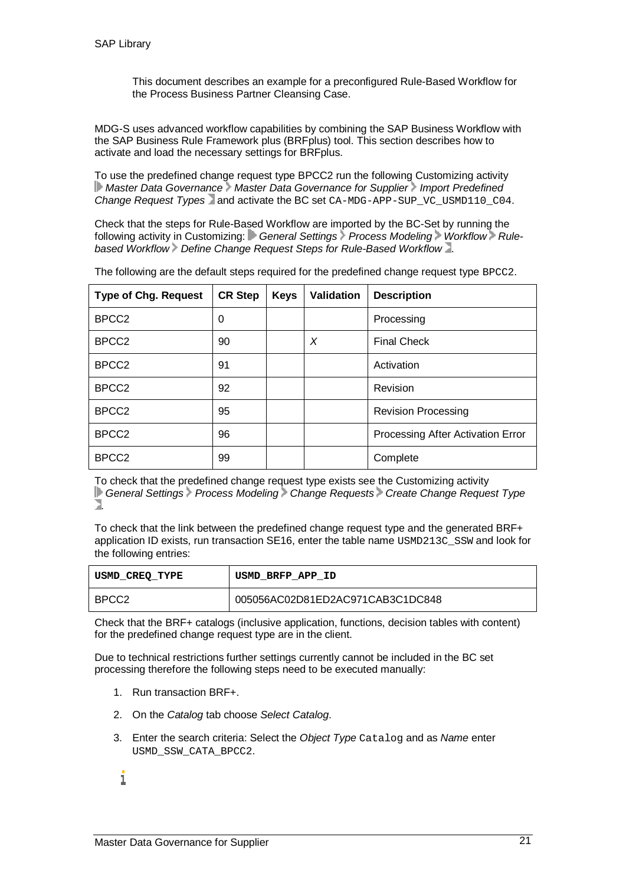This document describes an example for a preconfigured Rule-Based Workflow for the Process Business Partner Cleansing Case.

MDG-S uses advanced workflow capabilities by combining the SAP Business Workflow with the SAP Business Rule Framework plus (BRFplus) tool. This section describes how to activate and load the necessary settings for BRFplus.

To use the predefined change request type BPCC2 run the following Customizing activity *Master Data Governance Master Data Governance for Supplier Import Predefined Change Request Types* and activate the BC set CA-MDG-APP-SUP\_VC\_USMD110\_C04.

Check that the steps for Rule-Based Workflow are imported by the BC-Set by running the following activity in Customizing: General Settings Process Modeling Workflow Rule*based Workflow Define Change Request Steps for Rule-Based Workflow* .

| <b>Type of Chg. Request</b> | <b>CR Step</b> | <b>Keys</b> | Validation | <b>Description</b>                |
|-----------------------------|----------------|-------------|------------|-----------------------------------|
| BPCC <sub>2</sub>           | 0              |             |            | Processing                        |
| BPCC <sub>2</sub>           | 90             |             | X          | <b>Final Check</b>                |
| BPCC <sub>2</sub>           | 91             |             |            | Activation                        |
| BPCC <sub>2</sub>           | 92             |             |            | Revision                          |
| BPCC <sub>2</sub>           | 95             |             |            | <b>Revision Processing</b>        |
| BPCC <sub>2</sub>           | 96             |             |            | Processing After Activation Error |
| BPCC <sub>2</sub>           | 99             |             |            | Complete                          |

The following are the default steps required for the predefined change request type BPCC2.

To check that the predefined change request type exists see the Customizing activity *General Settings Process Modeling Change Requests Create Change Request Type* .

To check that the link between the predefined change request type and the generated BRF+ application ID exists, run transaction SE16, enter the table name USMD213C\_SSW and look for the following entries:

| USMD CREO TYPE    | USMD BRFP APP ID                 |  |
|-------------------|----------------------------------|--|
| BPCC <sub>2</sub> | 005056AC02D81ED2AC971CAB3C1DC848 |  |

Check that the BRF+ catalogs (inclusive application, functions, decision tables with content) for the predefined change request type are in the client.

Due to technical restrictions further settings currently cannot be included in the BC set processing therefore the following steps need to be executed manually:

- 1. Run transaction BRF+.
- 2. On the *Catalog* tab choose *Select Catalog*.
- 3. Enter the search criteria: Select the *Object Type* Catalog and as *Name* enter USMD\_SSW\_CATA\_BPCC2.
- i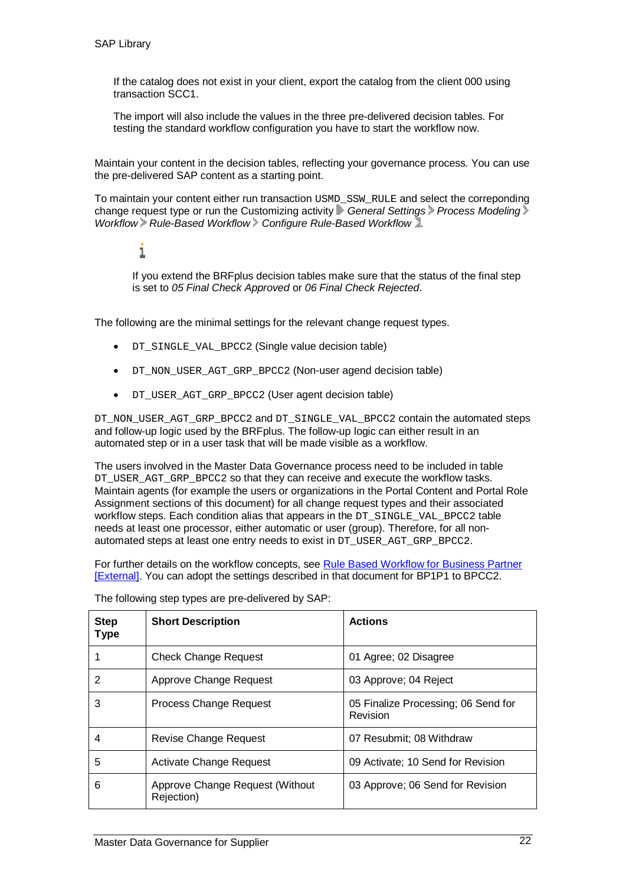If the catalog does not exist in your client, export the catalog from the client 000 using transaction SCC1.

The import will also include the values in the three pre-delivered decision tables. For testing the standard workflow configuration you have to start the workflow now.

Maintain your content in the decision tables, reflecting your governance process. You can use the pre-delivered SAP content as a starting point.

To maintain your content either run transaction USMD\_SSW\_RULE and select the correponding change request type or run the Customizing activity *General Settings Process Modeling Workflow Rule-Based Workflow Configure Rule-Based Workflow* .

1

If you extend the BRFplus decision tables make sure that the status of the final step is set to *05 Final Check Approved* or *06 Final Check Rejected*.

The following are the minimal settings for the relevant change request types.

- DT\_SINGLE\_VAL\_BPCC2 (Single value decision table)
- DT\_NON\_USER\_AGT\_GRP\_BPCC2 (Non-user agend decision table)
- DT\_USER\_AGT\_GRP\_BPCC2 (User agent decision table)

DT\_NON\_USER\_AGT\_GRP\_BPCC2 and DT\_SINGLE\_VAL\_BPCC2 contain the automated steps and follow-up logic used by the BRFplus. The follow-up logic can either result in an automated step or in a user task that will be made visible as a workflow.

The users involved in the Master Data Governance process need to be included in table DT\_USER\_AGT\_GRP\_BPCC2 so that they can receive and execute the workflow tasks. Maintain agents (for example the users or organizations in the Portal Content and Portal Role Assignment sections of this document) for all change request types and their associated workflow steps. Each condition alias that appears in the DT\_SINGLE\_VAL\_BPCC2 table needs at least one processor, either automatic or user (group). Therefore, for all nonautomated steps at least one entry needs to exist in DT\_USER\_AGT\_GRP\_BPCC2.

For further details on the workflow concepts, see Rule Based Workflow for Business Partner [External]. You can adopt the settings described in that document for BP1P1 to BPCC2.

| <b>Step</b><br><b>Type</b> | <b>Short Description</b>                      | <b>Actions</b>                                  |
|----------------------------|-----------------------------------------------|-------------------------------------------------|
|                            | <b>Check Change Request</b>                   | 01 Agree; 02 Disagree                           |
| 2                          | Approve Change Request                        | 03 Approve; 04 Reject                           |
| 3                          | Process Change Request                        | 05 Finalize Processing; 06 Send for<br>Revision |
| 4                          | Revise Change Request                         | 07 Resubmit; 08 Withdraw                        |
| 5                          | <b>Activate Change Request</b>                | 09 Activate; 10 Send for Revision               |
| 6                          | Approve Change Request (Without<br>Rejection) | 03 Approve; 06 Send for Revision                |

The following step types are pre-delivered by SAP: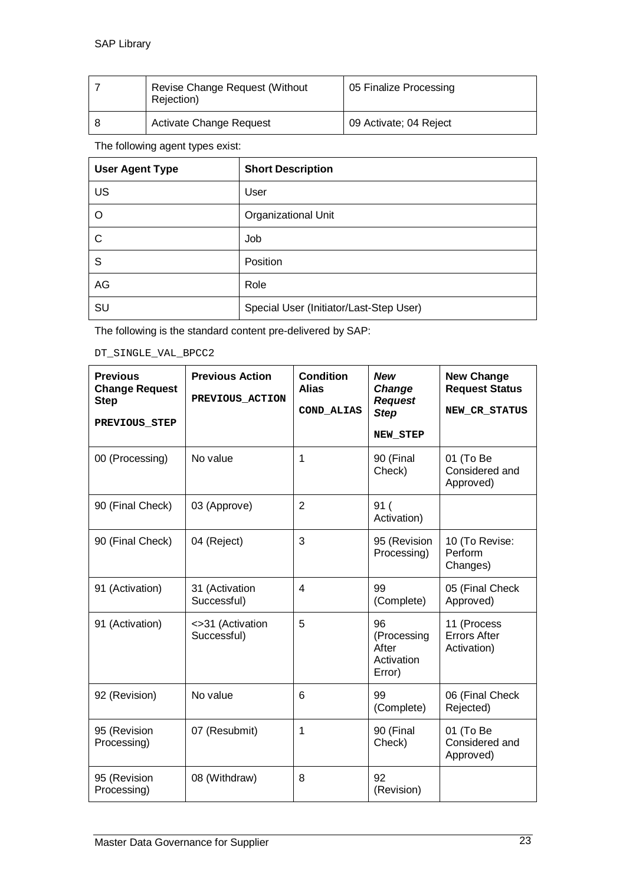| Revise Change Request (Without<br>Rejection) | 05 Finalize Processing |
|----------------------------------------------|------------------------|
| <b>Activate Change Request</b>               | 09 Activate; 04 Reject |

#### The following agent types exist:

| <b>User Agent Type</b> | <b>Short Description</b>                |
|------------------------|-----------------------------------------|
| <b>US</b>              | User                                    |
| O                      | <b>Organizational Unit</b>              |
| $\mathsf{C}$           | Job                                     |
| S                      | Position                                |
| AG                     | Role                                    |
| SU                     | Special User (Initiator/Last-Step User) |

The following is the standard content pre-delivered by SAP:

DT\_SINGLE\_VAL\_BPCC2

| <b>Previous</b><br><b>Change Request</b><br><b>Step</b><br>PREVIOUS STEP | <b>Previous Action</b><br>PREVIOUS_ACTION | Condition<br><b>Alias</b><br>COND ALIAS | <b>New</b><br>Change<br><b>Request</b><br><b>Step</b><br>NEW_STEP | <b>New Change</b><br><b>Request Status</b><br>NEW_CR_STATUS |
|--------------------------------------------------------------------------|-------------------------------------------|-----------------------------------------|-------------------------------------------------------------------|-------------------------------------------------------------|
| 00 (Processing)                                                          | No value                                  | 1                                       | 90 (Final<br>Check)                                               | 01 (To Be<br>Considered and<br>Approved)                    |
| 90 (Final Check)                                                         | 03 (Approve)                              | $\overline{2}$                          | 91(<br>Activation)                                                |                                                             |
| 90 (Final Check)                                                         | 04 (Reject)                               | 3                                       | 95 (Revision<br>Processing)                                       | 10 (To Revise:<br>Perform<br>Changes)                       |
| 91 (Activation)                                                          | 31 (Activation<br>Successful)             | 4                                       | 99<br>(Complete)                                                  | 05 (Final Check<br>Approved)                                |
| 91 (Activation)                                                          | <>31 (Activation<br>Successful)           | 5                                       | 96<br>(Processing<br>After<br>Activation<br>Error)                | 11 (Process<br><b>Errors After</b><br>Activation)           |
| 92 (Revision)                                                            | No value                                  | 6                                       | 99<br>(Complete)                                                  | 06 (Final Check<br>Rejected)                                |
| 95 (Revision<br>Processing)                                              | 07 (Resubmit)                             | 1                                       | 90 (Final<br>Check)                                               | 01 (To Be<br>Considered and<br>Approved)                    |
| 95 (Revision<br>Processing)                                              | 08 (Withdraw)                             | 8                                       | 92<br>(Revision)                                                  |                                                             |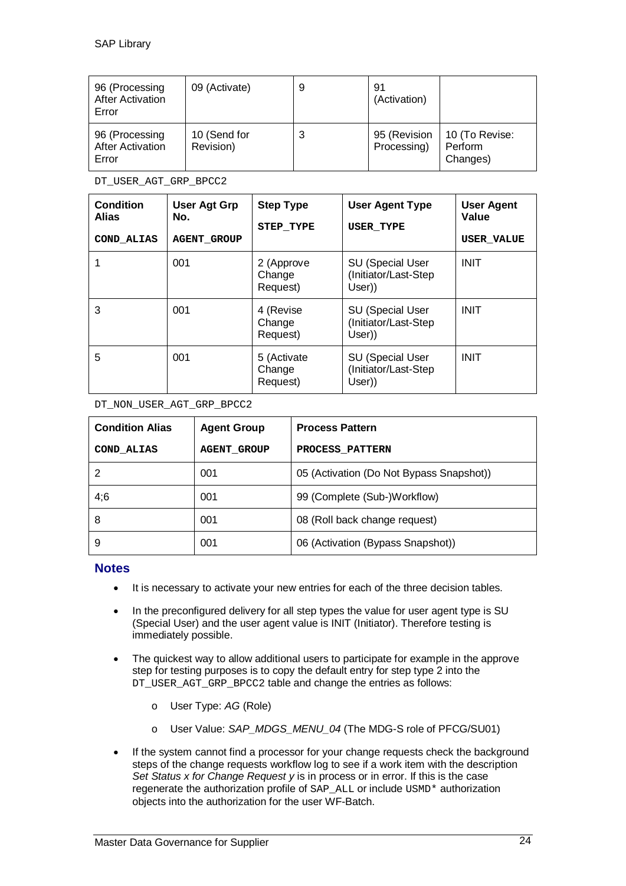| 96 (Processing<br><b>After Activation</b><br>Error | 09 (Activate)             | 9 | 91<br>(Activation)          |                                       |
|----------------------------------------------------|---------------------------|---|-----------------------------|---------------------------------------|
| 96 (Processing<br><b>After Activation</b><br>Error | 10 (Send for<br>Revision) | 3 | 95 (Revision<br>Processing) | 10 (To Revise:<br>Perform<br>Changes) |

DT\_USER\_AGT\_GRP\_BPCC2

| <b>Condition</b><br><b>Alias</b><br>COND ALIAS | <b>User Agt Grp</b><br>No.<br><b>AGENT GROUP</b> | <b>Step Type</b><br>STEP TYPE     | <b>User Agent Type</b><br><b>USER TYPE</b>                 | <b>User Agent</b><br>Value<br><b>USER VALUE</b> |
|------------------------------------------------|--------------------------------------------------|-----------------------------------|------------------------------------------------------------|-------------------------------------------------|
|                                                | 001                                              | 2 (Approve<br>Change<br>Request)  | <b>SU (Special User</b><br>(Initiator/Last-Step<br>User))  | <b>INIT</b>                                     |
| 3                                              | 001                                              | 4 (Revise<br>Change<br>Request)   | <b>SU (Special User</b><br>(Initiator/Last-Step)<br>User)) | <b>INIT</b>                                     |
| 5                                              | 001                                              | 5 (Activate<br>Change<br>Request) | <b>SU (Special User</b><br>(Initiator/Last-Step<br>User))  | <b>INIT</b>                                     |

DT\_NON\_USER\_AGT\_GRP\_BPCC2

| <b>Condition Alias</b> | <b>Agent Group</b> | <b>Process Pattern</b>                   |
|------------------------|--------------------|------------------------------------------|
| COND ALIAS             | <b>AGENT GROUP</b> | PROCESS PATTERN                          |
|                        | 001                | 05 (Activation (Do Not Bypass Snapshot)) |
| 4;6                    | 001                | 99 (Complete (Sub-)Workflow)             |
| 8                      | 001                | 08 (Roll back change request)            |
| 9                      | 001                | 06 (Activation (Bypass Snapshot))        |

#### **Notes**

- It is necessary to activate your new entries for each of the three decision tables.
- In the preconfigured delivery for all step types the value for user agent type is SU (Special User) and the user agent value is INIT (Initiator). Therefore testing is immediately possible.
- The quickest way to allow additional users to participate for example in the approve step for testing purposes is to copy the default entry for step type 2 into the DT\_USER\_AGT\_GRP\_BPCC2 table and change the entries as follows:
	- o User Type: *AG* (Role)
	- o User Value: *SAP\_MDGS\_MENU\_04* (The MDG-S role of PFCG/SU01)
- If the system cannot find a processor for your change requests check the background steps of the change requests workflow log to see if a work item with the description *Set Status x for Change Request y* is in process or in error. If this is the case regenerate the authorization profile of SAP\_ALL or include USMD\* authorization objects into the authorization for the user WF-Batch.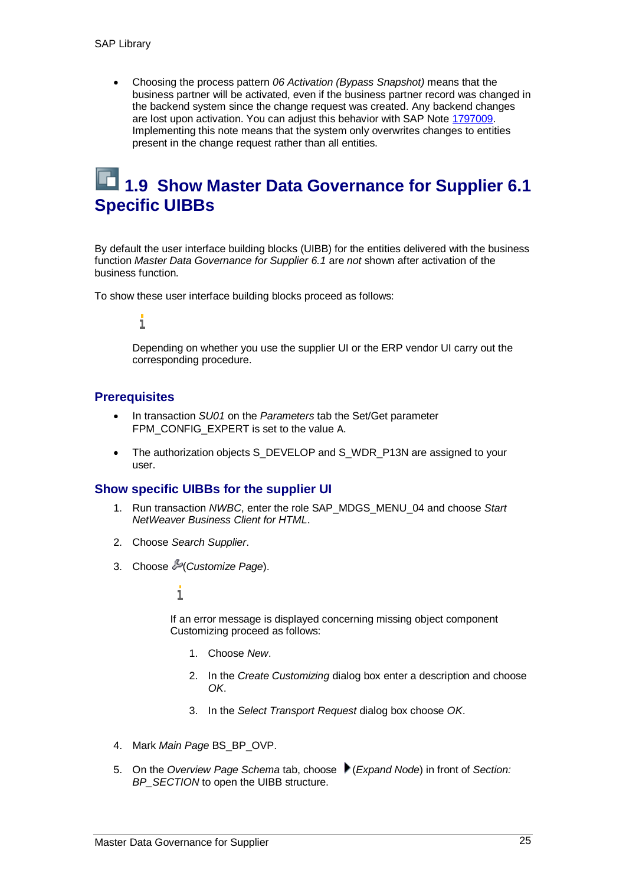x Choosing the process pattern *06 Activation (Bypass Snapshot)* means that the business partner will be activated, even if the business partner record was changed in the backend system since the change request was created. Any backend changes are lost upon activation. You can adjust this behavior with SAP Note 1797009. Implementing this note means that the system only overwrites changes to entities present in the change request rather than all entities.

### **1.9 Show Master Data Governance for Supplier 6.1 Specific UIBBs**

By default the user interface building blocks (UIBB) for the entities delivered with the business function *Master Data Governance for Supplier 6.1* are *not* shown after activation of the business function.

To show these user interface building blocks proceed as follows:

#### i

Depending on whether you use the supplier UI or the ERP vendor UI carry out the corresponding procedure.

#### **Prerequisites**

- x In transaction *SU01* on the *Parameters* tab the Set/Get parameter FPM\_CONFIG\_EXPERT is set to the value A.
- The authorization objects S\_DEVELOP and S\_WDR\_P13N are assigned to your user.

#### **Show specific UIBBs for the supplier UI**

- 1. Run transaction *NWBC*, enter the role SAP\_MDGS\_MENU\_04 and choose *Start NetWeaver Business Client for HTML*.
- 2. Choose *Search Supplier*.
- 3. Choose (*Customize Page*).

#### i

If an error message is displayed concerning missing object component Customizing proceed as follows:

- 1. Choose *New*.
- 2. In the *Create Customizing* dialog box enter a description and choose *OK*.
- 3. In the *Select Transport Request* dialog box choose *OK*.
- 4. Mark *Main Page* BS\_BP\_OVP.
- 5. On the *Overview Page Schema* tab, choose (*Expand Node*) in front of *Section: BP\_SECTION* to open the UIBB structure.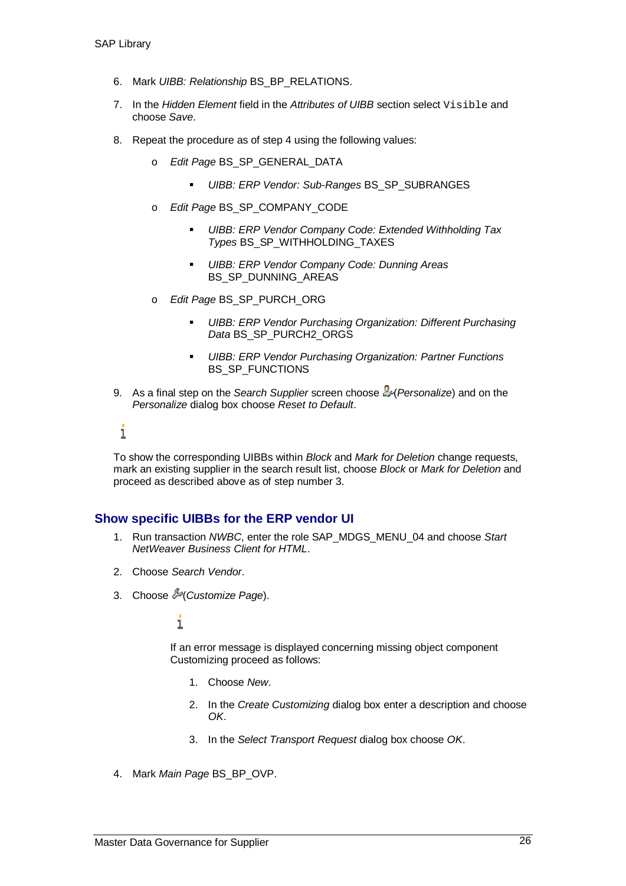- 6. Mark *UIBB: Relationship* BS\_BP\_RELATIONS.
- 7. In the *Hidden Element* field in the *Attributes of UIBB* section select Visible and choose *Save*.
- 8. Repeat the procedure as of step 4 using the following values:
	- o *Edit Page* BS\_SP\_GENERAL\_DATA
		- *UIBB: ERP Vendor: Sub-Ranges* BS\_SP\_SUBRANGES
	- o *Edit Page* BS\_SP\_COMPANY\_CODE
		- *UIBB: ERP Vendor Company Code: Extended Withholding Tax Types* BS\_SP\_WITHHOLDING\_TAXES
		- *UIBB: ERP Vendor Company Code: Dunning Areas* BS\_SP\_DUNNING\_AREAS
	- o *Edit Page* BS\_SP\_PURCH\_ORG
		- *UIBB: ERP Vendor Purchasing Organization: Different Purchasing Data* BS\_SP\_PURCH2\_ORGS
		- *UIBB: ERP Vendor Purchasing Organization: Partner Functions* BS SP\_FUNCTIONS
- 9. As a final step on the *Search Supplier* screen choose (*Personalize*) and on the *Personalize* dialog box choose *Reset to Default*.

i

To show the corresponding UIBBs within *Block* and *Mark for Deletion* change requests, mark an existing supplier in the search result list, choose *Block* or *Mark for Deletion* and proceed as described above as of step number 3.

#### **Show specific UIBBs for the ERP vendor UI**

- 1. Run transaction *NWBC*, enter the role SAP\_MDGS\_MENU\_04 and choose *Start NetWeaver Business Client for HTML*.
- 2. Choose *Search Vendor*.
- 3. Choose (*Customize Page*).

i

If an error message is displayed concerning missing object component Customizing proceed as follows:

- 1. Choose *New*.
- 2. In the *Create Customizing* dialog box enter a description and choose *OK*.
- 3. In the *Select Transport Request* dialog box choose *OK*.
- 4. Mark *Main Page* BS\_BP\_OVP.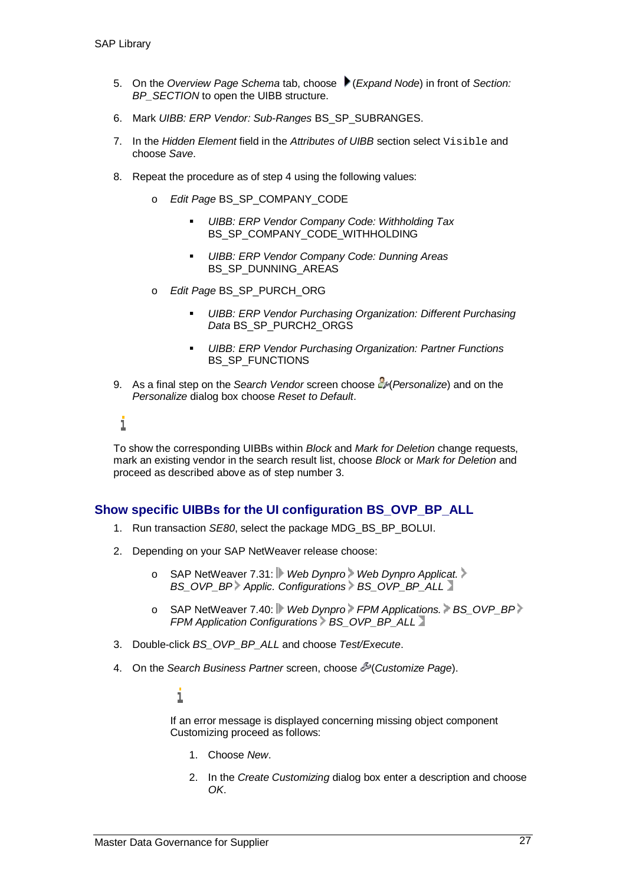- 5. On the *Overview Page Schema* tab, choose (*Expand Node*) in front of *Section: BP\_SECTION* to open the UIBB structure.
- 6. Mark *UIBB: ERP Vendor: Sub-Ranges* BS\_SP\_SUBRANGES.
- 7. In the *Hidden Element* field in the *Attributes of UIBB* section select Visible and choose *Save*.
- 8. Repeat the procedure as of step 4 using the following values:
	- o *Edit Page* BS\_SP\_COMPANY\_CODE
		- *UIBB: ERP Vendor Company Code: Withholding Tax* BS\_SP\_COMPANY\_CODE\_WITHHOLDING
		- *UIBB: ERP Vendor Company Code: Dunning Areas* BS\_SP\_DUNNING\_AREAS
	- o *Edit Page* BS\_SP\_PURCH\_ORG
		- *UIBB: ERP Vendor Purchasing Organization: Different Purchasing Data* BS\_SP\_PURCH2\_ORGS
		- *UIBB: ERP Vendor Purchasing Organization: Partner Functions* BS SP\_FUNCTIONS
- 9. As a final step on the *Search Vendor* screen choose  $\frac{P}{q}$  (Personalize) and on the *Personalize* dialog box choose *Reset to Default*.

i

To show the corresponding UIBBs within *Block* and *Mark for Deletion* change requests, mark an existing vendor in the search result list, choose *Block* or *Mark for Deletion* and proceed as described above as of step number 3.

#### **Show specific UIBBs for the UI configuration BS\_OVP\_BP\_ALL**

- 1. Run transaction *SE80*, select the package MDG\_BS\_BP\_BOLUI.
- 2. Depending on your SAP NetWeaver release choose:
	- o SAP NetWeaver 7.31: *Web Dynpro Web Dynpro Applicat. BS\_OVP\_BP Applic. Configurations > BS\_OVP\_BP\_ALL*
	- o SAP NetWeaver 7.40: *Web Dynpro FPM Applications.* BS\_OVP\_BP FPM Application Configurations BS\_OVP\_BP\_ALL
- 3. Double-click *BS\_OVP\_BP\_ALL* and choose *Test/Execute*.
- 4. On the *Search Business Partner* screen, choose (*Customize Page*).

i

If an error message is displayed concerning missing object component Customizing proceed as follows:

- 1. Choose *New*.
- 2. In the *Create Customizing* dialog box enter a description and choose *OK*.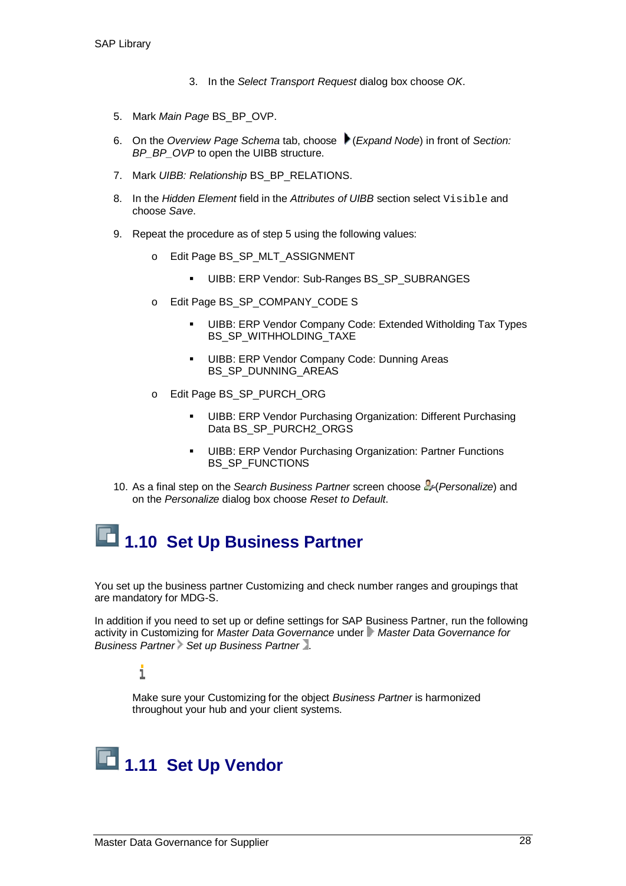- 3. In the *Select Transport Request* dialog box choose *OK*.
- 5. Mark *Main Page* BS\_BP\_OVP.
- 6. On the *Overview Page Schema* tab, choose (*Expand Node*) in front of *Section: BP\_BP\_OVP* to open the UIBB structure.
- 7. Mark *UIBB: Relationship* BS\_BP\_RELATIONS.
- 8. In the *Hidden Element* field in the *Attributes of UIBB* section select Visible and choose *Save*.
- 9. Repeat the procedure as of step 5 using the following values:
	- o Edit Page BS\_SP\_MLT\_ASSIGNMENT
		- UIBB: ERP Vendor: Sub-Ranges BS\_SP\_SUBRANGES
	- o Edit Page BS\_SP\_COMPANY\_CODE S
		- UIBB: ERP Vendor Company Code: Extended Witholding Tax Types BS\_SP\_WITHHOLDING\_TAXE
		- **UIBB: ERP Vendor Company Code: Dunning Areas** BS\_SP\_DUNNING\_AREAS
	- o Edit Page BS\_SP\_PURCH\_ORG
		- UIBB: ERP Vendor Purchasing Organization: Different Purchasing Data BS\_SP\_PURCH2\_ORGS
		- **UIBB: ERP Vendor Purchasing Organization: Partner Functions** BS\_SP\_FUNCTIONS
- 10. As a final step on the *Search Business Partner* screen choose (*Personalize*) and on the *Personalize* dialog box choose *Reset to Default*.

# **1.10 Set Up Business Partner**

You set up the business partner Customizing and check number ranges and groupings that are mandatory for MDG-S.

In addition if you need to set up or define settings for SAP Business Partner, run the following activity in Customizing for *Master Data Governance* under *Master Data Governance for* **Business Partner Set up Business Partner** 1.

#### i

Make sure your Customizing for the object *Business Partner* is harmonized throughout your hub and your client systems.

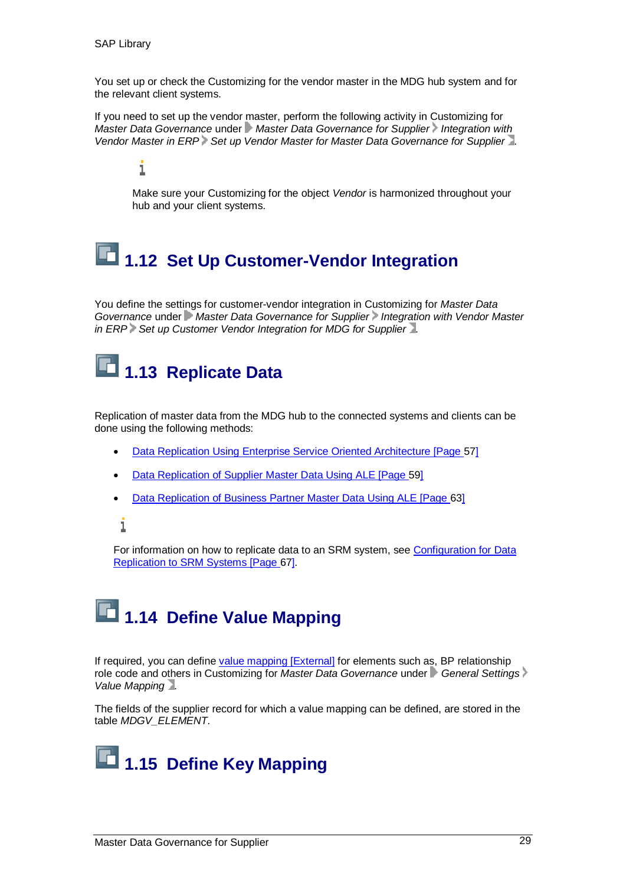You set up or check the Customizing for the vendor master in the MDG hub system and for the relevant client systems.

If you need to set up the vendor master, perform the following activity in Customizing for *Master Data Governance* under *Master Data Governance for Supplier* Integration with *Vendor Master in ERP Set up Vendor Master for Master Data Governance for Supplier* .

i

Make sure your Customizing for the object *Vendor* is harmonized throughout your hub and your client systems.

# **1.12 Set Up Customer-Vendor Integration**

You define the settings for customer-vendor integration in Customizing for *Master Data Governance* under *Master Data Governance for Supplier* Integration with Vendor Master *in ERP* Set up Customer Vendor Integration for MDG for Supplier 1.

# **1.13 Replicate Data**

Replication of master data from the MDG hub to the connected systems and clients can be done using the following methods:

- Data Replication Using Enterprise Service Oriented Architecture [Page 57]
- Data Replication of Supplier Master Data Using ALE [Page 59]
- Data Replication of Business Partner Master Data Using ALE [Page 63]

i

For information on how to replicate data to an SRM system, see Configuration for Data Replication to SRM Systems [Page 67].

# **1.14 Define Value Mapping**

If required, you can define value mapping [External] for elements such as, BP relationship role code and others in Customizing for *Master Data Governance* under *General Settings Value Mapping* .

The fields of the supplier record for which a value mapping can be defined, are stored in the table *MDGV\_ELEMENT*.

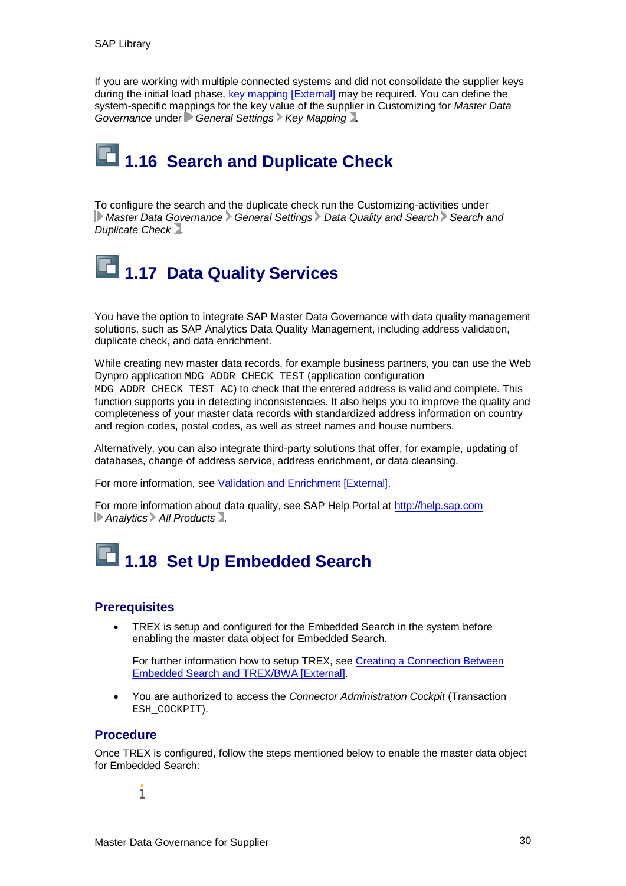If you are working with multiple connected systems and did not consolidate the supplier keys during the initial load phase, key mapping [External] may be required. You can define the system-specific mappings for the key value of the supplier in Customizing for *Master Data Governance* under *General Settings Key Mapping* .

# **1.16 Search and Duplicate Check**

To configure the search and the duplicate check run the Customizing-activities under **Master Data Governance General Settings Data Quality and Search Search and** *Duplicate Check* .

# **1.17 Data Quality Services**

You have the option to integrate SAP Master Data Governance with data quality management solutions, such as SAP Analytics Data Quality Management, including address validation, duplicate check, and data enrichment.

While creating new master data records, for example business partners, you can use the Web Dynpro application MDG\_ADDR\_CHECK\_TEST (application configuration MDG\_ADDR\_CHECK\_TEST\_AC) to check that the entered address is valid and complete. This function supports you in detecting inconsistencies. It also helps you to improve the quality and completeness of your master data records with standardized address information on country and region codes, postal codes, as well as street names and house numbers.

Alternatively, you can also integrate third-party solutions that offer, for example, updating of databases, change of address service, address enrichment, or data cleansing.

For more information, see Validation and Enrichment [External].

For more information about data quality, see SAP Help Portal at http://help.sap.com *Analytics All Products* .

# **1.18 Set Up Embedded Search**

#### **Prerequisites**

TREX is setup and configured for the Embedded Search in the system before enabling the master data object for Embedded Search.

For further information how to setup TREX, see Creating a Connection Between Embedded Search and TREX/BWA [External].

x You are authorized to access the *Connector Administration Cockpit* (Transaction ESH\_COCKPIT).

#### **Procedure**

Once TREX is configured, follow the steps mentioned below to enable the master data object for Embedded Search:

i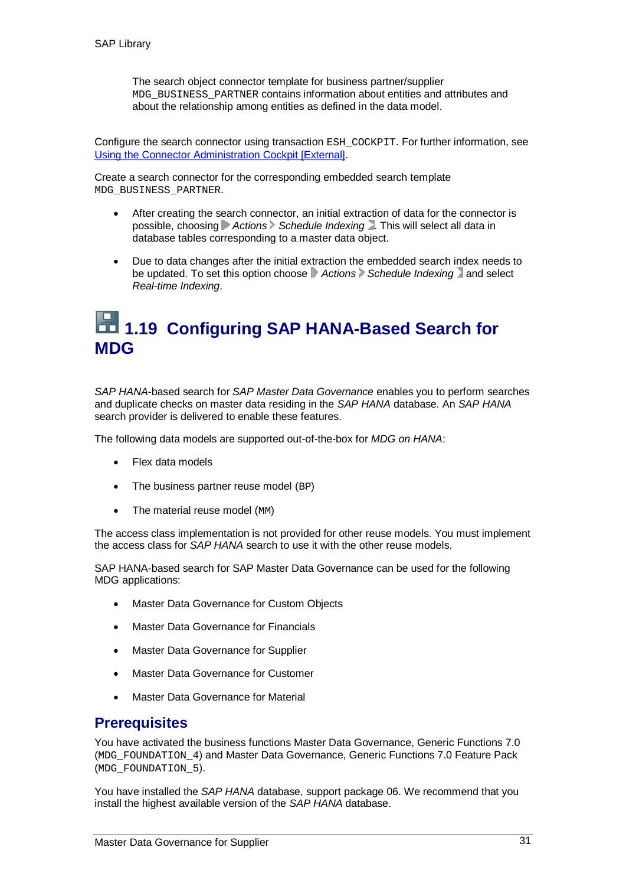The search object connector template for business partner/supplier MDG\_BUSINESS\_PARTNER contains information about entities and attributes and about the relationship among entities as defined in the data model.

Configure the search connector using transaction ESH\_COCKPIT. For further information, see Using the Connector Administration Cockpit [External].

Create a search connector for the corresponding embedded search template MDG\_BUSINESS\_PARTNER.

- After creating the search connector, an initial extraction of data for the connector is possible, choosing *Actions Schedule Indexing* . This will select all data in database tables corresponding to a master data object.
- Due to data changes after the initial extraction the embedded search index needs to be updated. To set this option choose **Actions** Schedule Indexing and select *Real-time Indexing*.

### **1.19 Configuring SAP HANA-Based Search for MDG**

*SAP HANA*-based search for *SAP Master Data Governance* enables you to perform searches and duplicate checks on master data residing in the *SAP HANA* database. An *SAP HANA* search provider is delivered to enable these features.

The following data models are supported out-of-the-box for *MDG on HANA*:

- Flex data models
- The business partner reuse model (BP)
- $\bullet$  The material reuse model (MM)

The access class implementation is not provided for other reuse models. You must implement the access class for *SAP HANA* search to use it with the other reuse models.

SAP HANA-based search for SAP Master Data Governance can be used for the following MDG applications:

- Master Data Governance for Custom Objects
- **Master Data Governance for Financials**
- **Master Data Governance for Supplier**
- **Master Data Governance for Customer**
- Master Data Governance for Material

#### **Prerequisites**

You have activated the business functions Master Data Governance, Generic Functions 7.0 (MDG\_FOUNDATION\_4) and Master Data Governance, Generic Functions 7.0 Feature Pack (MDG\_FOUNDATION\_5).

You have installed the *SAP HANA* database, support package 06. We recommend that you install the highest available version of the *SAP HANA* database.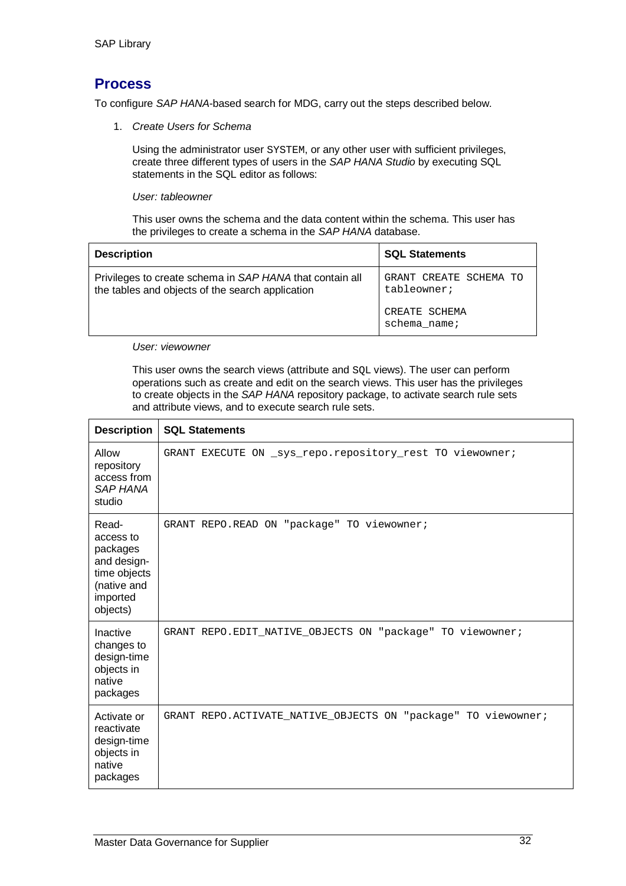#### **Process**

To configure *SAP HANA*-based search for MDG, carry out the steps described below.

1. *Create Users for Schema*

Using the administrator user SYSTEM, or any other user with sufficient privileges, create three different types of users in the *SAP HANA Studio* by executing SQL statements in the SQL editor as follows:

*User: tableowner*

This user owns the schema and the data content within the schema. This user has the privileges to create a schema in the *SAP HANA* database.

| <b>Description</b>                                                                                           | <b>SQL Statements</b>                 |
|--------------------------------------------------------------------------------------------------------------|---------------------------------------|
| Privileges to create schema in SAP HANA that contain all<br>the tables and objects of the search application | GRANT CREATE SCHEMA TO<br>tableowner; |
|                                                                                                              | CREATE SCHEMA<br>$schema_name$ ;      |

#### *User: viewowner*

This user owns the search views (attribute and SQL views). The user can perform operations such as create and edit on the search views. This user has the privileges to create objects in the *SAP HANA* repository package, to activate search rule sets and attribute views, and to execute search rule sets.

| <b>Description</b>                                                                                   | <b>SQL Statements</b>                                         |
|------------------------------------------------------------------------------------------------------|---------------------------------------------------------------|
| Allow<br>repository<br>access from<br><b>SAP HANA</b><br>studio                                      | GRANT EXECUTE ON _sys_repo.repository_rest TO viewowner;      |
| Read-<br>access to<br>packages<br>and design-<br>time objects<br>(native and<br>imported<br>objects) | GRANT REPO.READ ON "package" TO viewowner;                    |
| Inactive<br>changes to<br>design-time<br>objects in<br>native<br>packages                            | GRANT REPO. EDIT_NATIVE_OBJECTS ON "package" TO viewowner;    |
| Activate or<br>reactivate<br>design-time<br>objects in<br>native<br>packages                         | GRANT REPO.ACTIVATE_NATIVE_OBJECTS ON "package" TO viewowner; |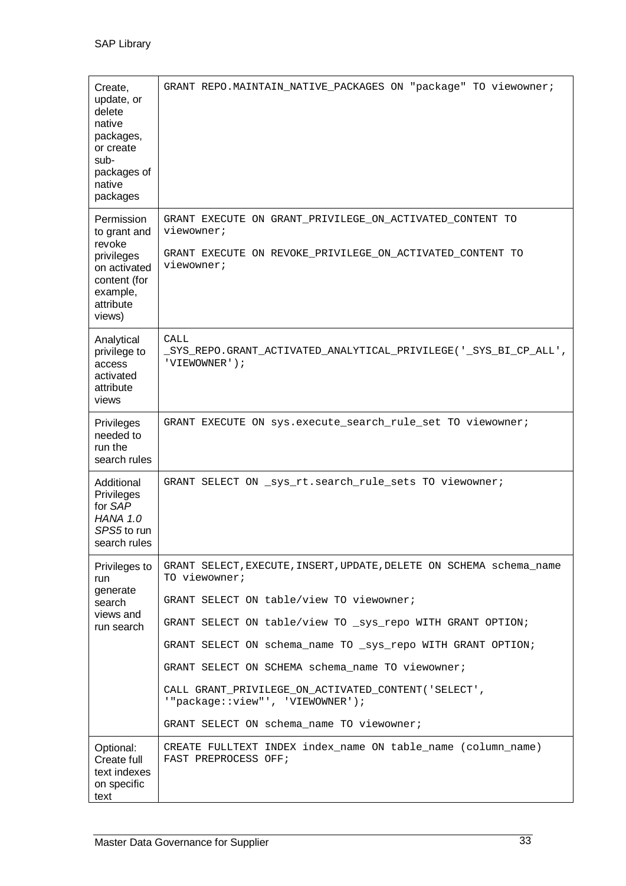| Create,<br>update, or<br>delete<br>native<br>packages,<br>or create<br>sub-<br>packages of<br>native<br>packages      | GRANT REPO.MAINTAIN_NATIVE_PACKAGES ON "package" TO viewowner;                                                                                    |
|-----------------------------------------------------------------------------------------------------------------------|---------------------------------------------------------------------------------------------------------------------------------------------------|
| Permission<br>to grant and<br>revoke<br>privileges<br>on activated<br>content (for<br>example,<br>attribute<br>views) | GRANT EXECUTE ON GRANT PRIVILEGE ON ACTIVATED CONTENT TO<br>viewowner;<br>GRANT EXECUTE ON REVOKE_PRIVILEGE_ON_ACTIVATED_CONTENT TO<br>viewowner; |
| Analytical<br>privilege to<br>access<br>activated<br>attribute<br>views                                               | <b>CALL</b><br>_SYS_REPO.GRANT_ACTIVATED_ANALYTICAL_PRIVILEGE('_SYS_BI_CP_ALL',<br>'VIEWOWNER');                                                  |
| Privileges<br>needed to<br>run the<br>search rules                                                                    | GRANT EXECUTE ON sys.execute_search_rule_set TO viewowner;                                                                                        |
| Additional<br>Privileges<br>for SAP<br><b>HANA 1.0</b><br>SPS5 to run<br>search rules                                 | GRANT SELECT ON _sys_rt.search_rule_sets TO viewowner;                                                                                            |
| Privileges to<br>run                                                                                                  | GRANT SELECT, EXECUTE, INSERT, UPDATE, DELETE ON SCHEMA schema name<br>TO viewowner;                                                              |
| generate<br>search                                                                                                    | GRANT SELECT ON table/view TO viewowner;                                                                                                          |
| views and<br>run search                                                                                               | GRANT SELECT ON table/view TO _sys_repo WITH GRANT OPTION;                                                                                        |
|                                                                                                                       | GRANT SELECT ON schema_name TO _sys_repo WITH GRANT OPTION;                                                                                       |
|                                                                                                                       | GRANT SELECT ON SCHEMA schema_name TO viewowner;                                                                                                  |
|                                                                                                                       | CALL GRANT_PRIVILEGE_ON_ACTIVATED_CONTENT('SELECT',<br>'"package::view"', 'VIEWOWNER');                                                           |
|                                                                                                                       | GRANT SELECT ON schema_name TO viewowner;                                                                                                         |
| Optional:<br>Create full<br>text indexes<br>on specific<br>text                                                       | CREATE FULLTEXT INDEX index_name ON table_name (column_name)<br>FAST PREPROCESS OFF;                                                              |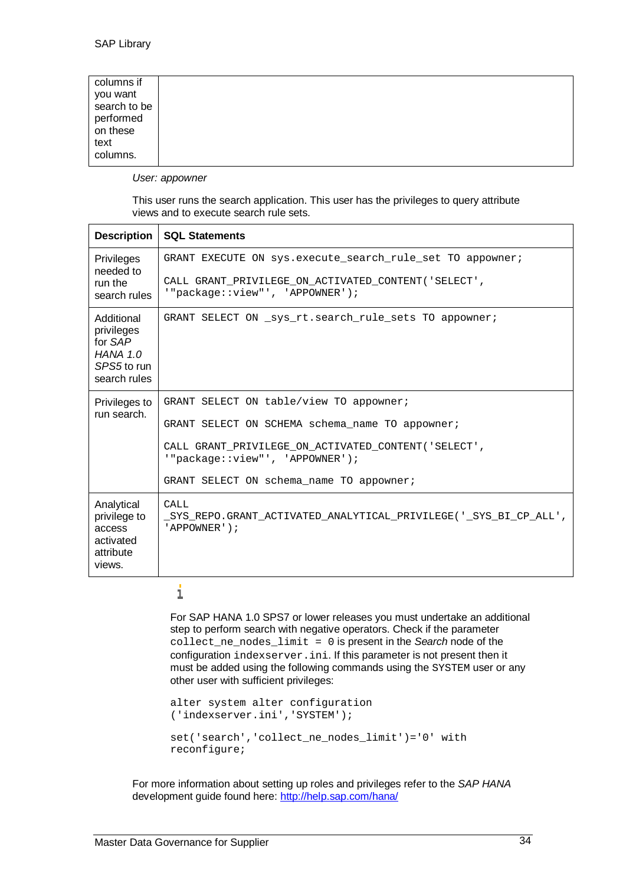| columns if<br>you want<br>performed<br>on these<br>text<br>columns. | search to be |  |  |  |  |  |
|---------------------------------------------------------------------|--------------|--|--|--|--|--|
|---------------------------------------------------------------------|--------------|--|--|--|--|--|

*User: appowner*

This user runs the search application. This user has the privileges to query attribute views and to execute search rule sets.

| Description                                                                           | <b>SQL Statements</b>                                                                                                                                                                                                            |
|---------------------------------------------------------------------------------------|----------------------------------------------------------------------------------------------------------------------------------------------------------------------------------------------------------------------------------|
| <b>Privileges</b><br>needed to<br>run the<br>search rules                             | GRANT EXECUTE ON sys.execute search rule set TO appowner;<br>CALL GRANT PRIVILEGE ON ACTIVATED CONTENT ('SELECT',<br>'"package::view"', 'APPOWNER');                                                                             |
| Additional<br>privileges<br>for SAP<br><b>HANA 1.0</b><br>SPS5 to run<br>search rules | GRANT SELECT ON sys rt. search rule sets TO appowner;                                                                                                                                                                            |
| Privileges to<br>run search.                                                          | GRANT SELECT ON table/view TO appowner;<br>GRANT SELECT ON SCHEMA schema_name TO appowner;<br>CALL GRANT_PRIVILEGE_ON_ACTIVATED_CONTENT('SELECT',<br>'"package::view"', 'APPOWNER');<br>GRANT SELECT ON schema_name TO appowner; |
| Analytical<br>privilege to<br>access<br>activated<br>attribute<br>views.              | CALL<br>SYS REPO.GRANT ACTIVATED ANALYTICAL PRIVILEGE(' SYS BI CP ALL',<br>'APPOWNER');                                                                                                                                          |

#### $\mathbf{i}$

For SAP HANA 1.0 SPS7 or lower releases you must undertake an additional step to perform search with negative operators. Check if the parameter collect\_ne\_nodes\_limit = 0 is present in the *Search* node of the configuration indexserver.ini. If this parameter is not present then it must be added using the following commands using the SYSTEM user or any other user with sufficient privileges:

```
alter system alter configuration
('indexserver.ini','SYSTEM');
set('search','collect_ne_nodes_limit')='0' with
reconfigure;
```
For more information about setting up roles and privileges refer to the *SAP HANA* development guide found here: http://help.sap.com/hana/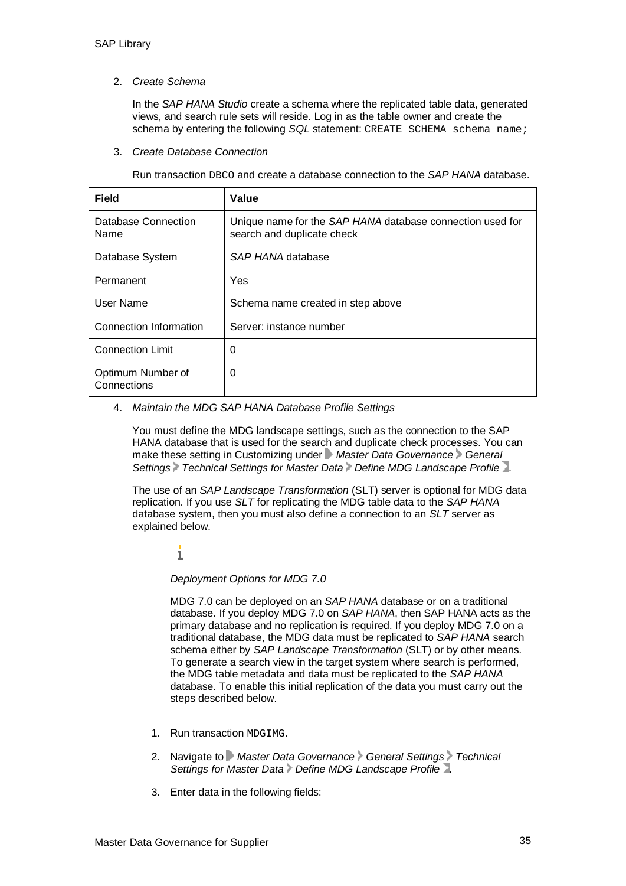#### 2. *Create Schema*

In the *SAP HANA Studio* create a schema where the replicated table data, generated views, and search rule sets will reside. Log in as the table owner and create the schema by entering the following *SQL* statement: CREATE SCHEMA schema name;

#### 3. *Create Database Connection*

Run transaction DBCO and create a database connection to the *SAP HANA* database.

| <b>Field</b>                     | Value                                                                                   |
|----------------------------------|-----------------------------------------------------------------------------------------|
| Database Connection<br>Name      | Unique name for the SAP HANA database connection used for<br>search and duplicate check |
| Database System                  | SAP HANA database                                                                       |
| Permanent                        | Yes                                                                                     |
| User Name                        | Schema name created in step above                                                       |
| Connection Information           | Server: instance number                                                                 |
| <b>Connection Limit</b>          | 0                                                                                       |
| Optimum Number of<br>Connections | 0                                                                                       |

#### 4. *Maintain the MDG SAP HANA Database Profile Settings*

You must define the MDG landscape settings, such as the connection to the SAP HANA database that is used for the search and duplicate check processes. You can make these setting in Customizing under **Master Data Governance** General Settings Technical Settings for Master Data Define MDG Landscape Profile<sup>1</sup>.

The use of an *SAP Landscape Transformation* (SLT) server is optional for MDG data replication. If you use *SLT* for replicating the MDG table data to the *SAP HANA* database system, then you must also define a connection to an *SLT* server as explained below.

i

*Deployment Options for MDG 7.0*

MDG 7.0 can be deployed on an *SAP HANA* database or on a traditional database. If you deploy MDG 7.0 on *SAP HANA*, then SAP HANA acts as the primary database and no replication is required. If you deploy MDG 7.0 on a traditional database, the MDG data must be replicated to *SAP HANA* search schema either by *SAP Landscape Transformation* (SLT) or by other means. To generate a search view in the target system where search is performed, the MDG table metadata and data must be replicated to the *SAP HANA* database. To enable this initial replication of the data you must carry out the steps described below.

- 1. Run transaction MDGTMG
- 2. Navigate to *Master Data Governance* General Settings Technical Settings for Master Data Define MDG Landscape Profile 2.
- 3. Enter data in the following fields: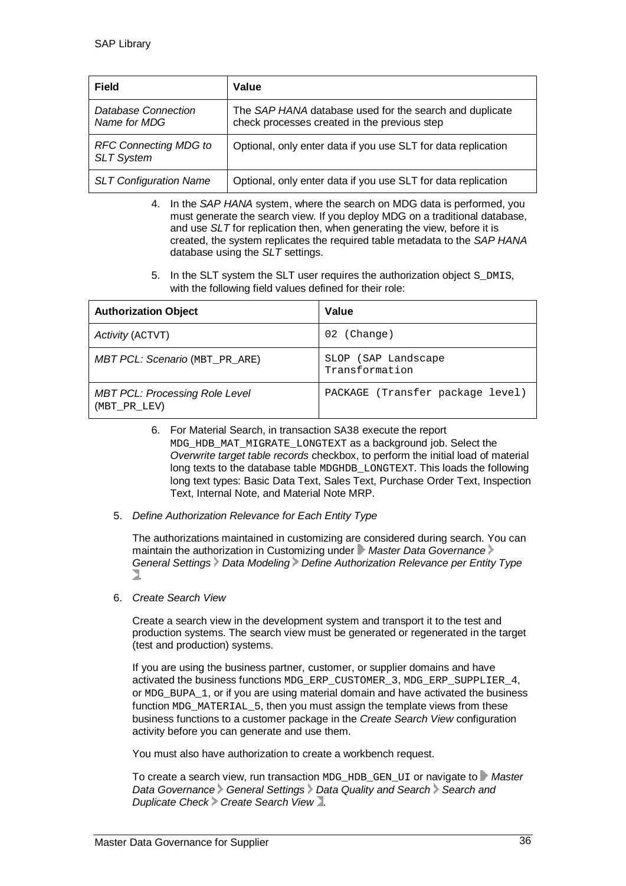| <b>Field</b>                                      | Value                                                                                                   |
|---------------------------------------------------|---------------------------------------------------------------------------------------------------------|
| Database Connection<br>Name for MDG               | The SAP HANA database used for the search and duplicate<br>check processes created in the previous step |
| <b>RFC Connecting MDG to</b><br><b>SLT System</b> | Optional, only enter data if you use SLT for data replication                                           |
| <b>SLT Configuration Name</b>                     | Optional, only enter data if you use SLT for data replication                                           |

- 4. In the *SAP HANA* system, where the search on MDG data is performed, you must generate the search view. If you deploy MDG on a traditional database, and use *SLT* for replication then, when generating the view, before it is created, the system replicates the required table metadata to the *SAP HANA* database using the *SLT* settings.
- 5. In the SLT system the SLT user requires the authorization object S\_DMIS, with the following field values defined for their role:

| <b>Authorization Object</b>                           | Value                                 |
|-------------------------------------------------------|---------------------------------------|
| Activity (ACTVT)                                      | (Change)<br>02                        |
| <b>MBT PCL: Scenario (MBT PR ARE)</b>                 | SLOP (SAP Landscape<br>Transformation |
| <b>MBT PCL: Processing Role Level</b><br>(MBT_PR_LEV) | PACKAGE (Transfer package level)      |

- 6. For Material Search, in transaction SA38 execute the report MDG HDB MAT MIGRATE LONGTEXT as a background job. Select the *Overwrite target table records* checkbox, to perform the initial load of material long texts to the database table MDGHDB\_LONGTEXT. This loads the following long text types: Basic Data Text, Sales Text, Purchase Order Text, Inspection Text, Internal Note, and Material Note MRP.
- 5. *Define Authorization Relevance for Each Entity Type*

The authorizations maintained in customizing are considered during search. You can maintain the authorization in Customizing under *Master Data Governance General Settings Data Modeling Define Authorization Relevance per Entity Type* 7

6. *Create Search View*

Create a search view in the development system and transport it to the test and production systems. The search view must be generated or regenerated in the target (test and production) systems.

If you are using the business partner, customer, or supplier domains and have activated the business functions MDG\_ERP\_CUSTOMER\_3, MDG\_ERP\_SUPPLIER\_4, or MDG\_BUPA\_1, or if you are using material domain and have activated the business function MDG\_MATERIAL\_5, then you must assign the template views from these business functions to a customer package in the *Create Search View* configuration activity before you can generate and use them.

You must also have authorization to create a workbench request.

To create a search view, run transaction MDG\_HDB\_GEN\_UI or navigate to *Master* Data Governance General Settings Data Quality and Search > Search and *Duplicate Check Create Search View* .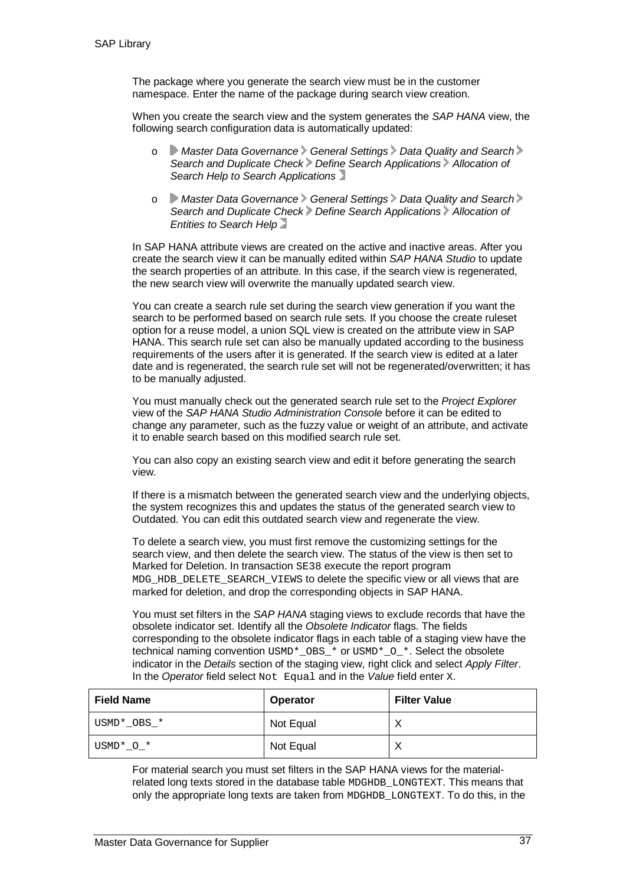The package where you generate the search view must be in the customer namespace. Enter the name of the package during search view creation.

When you create the search view and the system generates the *SAP HANA* view, the following search configuration data is automatically updated:

- o *Master Data Governance General Settings Data Quality and Search Search and Duplicate Check Define Search Applications Allocation of Search Help to Search Applications*
- o *Master Data Governance General Settings Data Quality and Search Search and Duplicate Check Define Search Applications Allocation of Entities to Search Help*

In SAP HANA attribute views are created on the active and inactive areas. After you create the search view it can be manually edited within *SAP HANA Studio* to update the search properties of an attribute. In this case, if the search view is regenerated, the new search view will overwrite the manually updated search view.

You can create a search rule set during the search view generation if you want the search to be performed based on search rule sets. If you choose the create ruleset option for a reuse model, a union SQL view is created on the attribute view in SAP HANA. This search rule set can also be manually updated according to the business requirements of the users after it is generated. If the search view is edited at a later date and is regenerated, the search rule set will not be regenerated/overwritten; it has to be manually adjusted.

You must manually check out the generated search rule set to the *Project Explorer* view of the *SAP HANA Studio Administration Console* before it can be edited to change any parameter, such as the fuzzy value or weight of an attribute, and activate it to enable search based on this modified search rule set.

You can also copy an existing search view and edit it before generating the search view.

If there is a mismatch between the generated search view and the underlying objects, the system recognizes this and updates the status of the generated search view to Outdated. You can edit this outdated search view and regenerate the view.

To delete a search view, you must first remove the customizing settings for the search view, and then delete the search view. The status of the view is then set to Marked for Deletion. In transaction SE38 execute the report program MDG\_HDB\_DELETE\_SEARCH\_VIEWS to delete the specific view or all views that are marked for deletion, and drop the corresponding objects in SAP HANA.

You must set filters in the *SAP HANA* staging views to exclude records that have the obsolete indicator set. Identify all the *Obsolete Indicator* flags. The fields corresponding to the obsolete indicator flags in each table of a staging view have the technical naming convention USMD\*\_OBS\_\* or USMD\*\_O\_\*. Select the obsolete indicator in the *Details* section of the staging view, right click and select *Apply Filter*. In the *Operator* field select Not Equal and in the *Value* field enter X.

| <b>Field Name</b> | Operator  | <b>Filter Value</b> |
|-------------------|-----------|---------------------|
| USMD*_OBS_*       | Not Equal | Х                   |
| $USMD*-O-*$       | Not Equal | ν                   |

For material search you must set filters in the SAP HANA views for the materialrelated long texts stored in the database table MDGHDB\_LONGTEXT. This means that only the appropriate long texts are taken from MDGHDB\_LONGTEXT. To do this, in the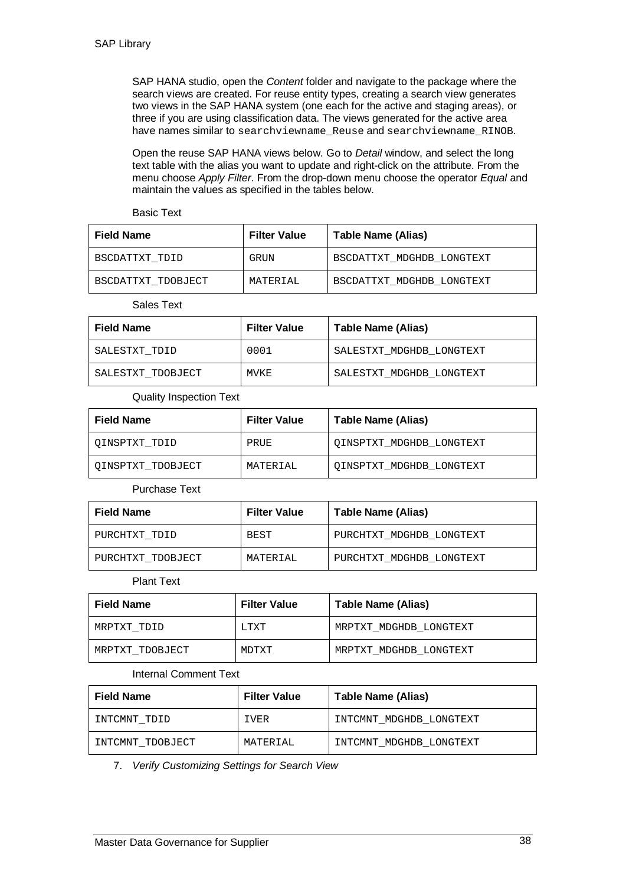SAP HANA studio, open the *Content* folder and navigate to the package where the search views are created. For reuse entity types, creating a search view generates two views in the SAP HANA system (one each for the active and staging areas), or three if you are using classification data. The views generated for the active area have names similar to searchviewname\_Reuse and searchviewname\_RINOB.

Open the reuse SAP HANA views below. Go to *Detail* window, and select the long text table with the alias you want to update and right-click on the attribute. From the menu choose *Apply Filter*. From the drop-down menu choose the operator *Equal* and maintain the values as specified in the tables below.

Basic Text

| <b>Field Name</b>  | <b>Filter Value</b> | Table Name (Alias)        |
|--------------------|---------------------|---------------------------|
| BSCDATTXT TDID     | GRIJN               | BSCDATTXT MDGHDB LONGTEXT |
| BSCDATTXT TDOBJECT | MATERIAL            | BSCDATTXT MDGHDB LONGTEXT |

Sales Text

| <b>Field Name</b> | <b>Filter Value</b> | Table Name (Alias)       |
|-------------------|---------------------|--------------------------|
| SALESTXT TDID     | 0001                | SALESTXT MDGHDB LONGTEXT |
| SALESTXT TDOBJECT | MVKE                | SALESTXT MDGHDB LONGTEXT |

#### Quality Inspection Text

| <b>Field Name</b> | <b>Filter Value</b> | Table Name (Alias)       |
|-------------------|---------------------|--------------------------|
| OINSPTXT TDID     | PRUE                | OINSPTXT MDGHDB LONGTEXT |
| OINSPTXT TDOBJECT | MATERIAI.           | QINSPTXT MDGHDB LONGTEXT |

Purchase Text

| <b>Field Name</b> | <b>Filter Value</b> | Table Name (Alias)       |
|-------------------|---------------------|--------------------------|
| PURCHTXT TDID     | BEST                | PURCHTXT MDGHDB LONGTEXT |
| PURCHTXT TDOBJECT | MATERIAI.           | PURCHTXT MDGHDB LONGTEXT |

#### Plant Text

| <b>Field Name</b> | <b>Filter Value</b> | Table Name (Alias)     |
|-------------------|---------------------|------------------------|
| MRPTXT TDID       | T.TXT               | MRPTXT MDGHDB LONGTEXT |
| MRPTXT TDOBJECT   | MDTXT               | MRPTXT MDGHDB LONGTEXT |

#### Internal Comment Text

| <b>Field Name</b> | <b>Filter Value</b> | Table Name (Alias)      |
|-------------------|---------------------|-------------------------|
| INTCMNT TDID      | IVER                | INTCMNT MDGHDB LONGTEXT |
| INTCMNT TDOBJECT  | MATERIAI.           | INTCMNT MDGHDB LONGTEXT |

7. *Verify Customizing Settings for Search View*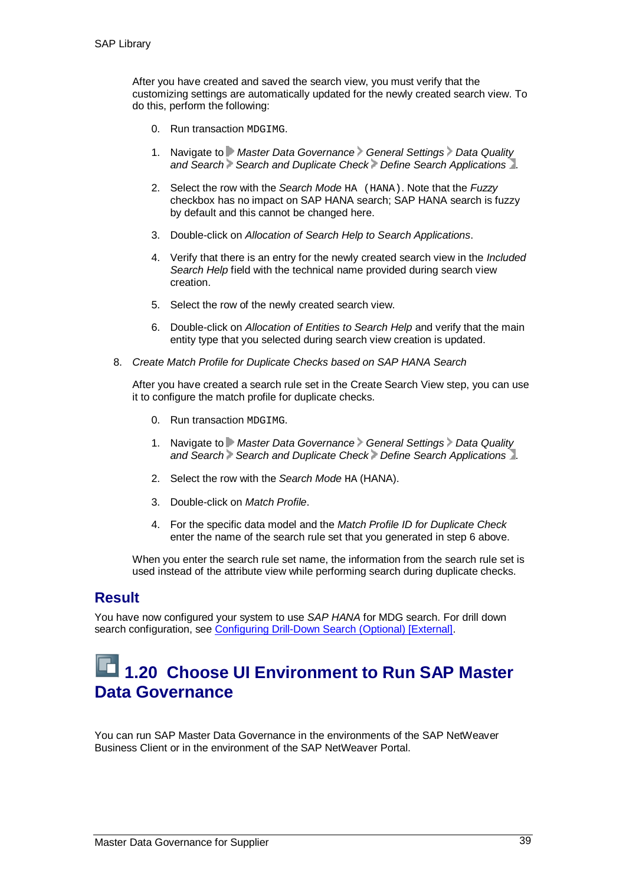After you have created and saved the search view, you must verify that the customizing settings are automatically updated for the newly created search view. To do this, perform the following:

- 0. Run transaction MDGIMG.
- 1. Navigate to *Master Data Governance General Settings Data Quality and Search Search and Duplicate Check Define Search Applications* .
- 2. Select the row with the *Search Mode* HA (HANA). Note that the *Fuzzy* checkbox has no impact on SAP HANA search; SAP HANA search is fuzzy by default and this cannot be changed here.
- 3. Double-click on *Allocation of Search Help to Search Applications*.
- 4. Verify that there is an entry for the newly created search view in the *Included Search Help* field with the technical name provided during search view creation.
- 5. Select the row of the newly created search view.
- 6. Double-click on *Allocation of Entities to Search Help* and verify that the main entity type that you selected during search view creation is updated.
- 8. *Create Match Profile for Duplicate Checks based on SAP HANA Search*

After you have created a search rule set in the Create Search View step, you can use it to configure the match profile for duplicate checks.

- 0. Run transaction MDGIMG.
- 1. Navigate to **Master Data Governance General Settings** > Data Quality *and Search Search and Duplicate Check Define Search Applications* .
- 2. Select the row with the *Search Mode* HA (HANA).
- 3. Double-click on *Match Profile*.
- 4. For the specific data model and the *Match Profile ID for Duplicate Check* enter the name of the search rule set that you generated in step 6 above.

When you enter the search rule set name, the information from the search rule set is used instead of the attribute view while performing search during duplicate checks.

#### **Result**

You have now configured your system to use *SAP HANA* for MDG search. For drill down search configuration, see Configuring Drill-Down Search (Optional) [External].

### **1.20 Choose UI Environment to Run SAP Master Data Governance**

You can run SAP Master Data Governance in the environments of the SAP NetWeaver Business Client or in the environment of the SAP NetWeaver Portal.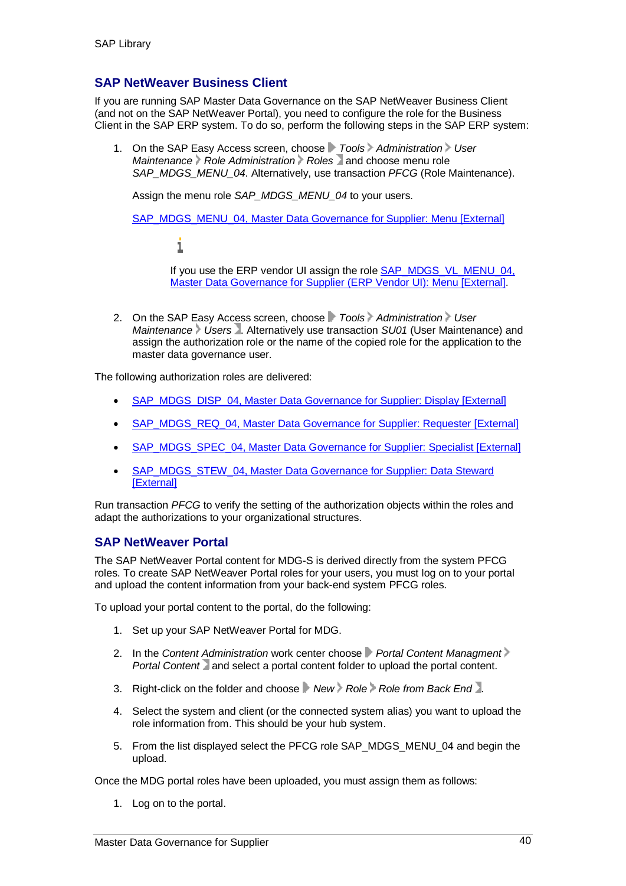#### **SAP NetWeaver Business Client**

If you are running SAP Master Data Governance on the SAP NetWeaver Business Client (and not on the SAP NetWeaver Portal), you need to configure the role for the Business Client in the SAP ERP system. To do so, perform the following steps in the SAP ERP system:

1. On the SAP Easy Access screen, choose *Tools Administration User Maintenance Role Administration Roles* and choose menu role *SAP\_MDGS\_MENU\_04*. Alternatively, use transaction *PFCG* (Role Maintenance).

Assign the menu role *SAP\_MDGS\_MENU\_04* to your users.

SAP\_MDGS\_MENU\_04, Master Data Governance for Supplier: Menu [External]

i

If you use the ERP vendor UI assign the role **SAP\_MDGS\_VL\_MENU\_04**, Master Data Governance for Supplier (ERP Vendor UI): Menu [External].

2. On the SAP Easy Access screen, choose **F** Tools Administration V User *Maintenance Users* . Alternatively use transaction *SU01* (User Maintenance) and assign the authorization role or the name of the copied role for the application to the master data governance user.

The following authorization roles are delivered:

- SAP\_MDGS\_DISP\_04, Master Data Governance for Supplier: Display [External]
- SAP\_MDGS\_REQ\_04, Master Data Governance for Supplier: Requester [External]
- SAP\_MDGS\_SPEC\_04, Master Data Governance for Supplier: Specialist [External]
- SAP\_MDGS\_STEW\_04, Master Data Governance for Supplier: Data Steward **[External]**

Run transaction *PFCG* to verify the setting of the authorization objects within the roles and adapt the authorizations to your organizational structures.

#### **SAP NetWeaver Portal**

The SAP NetWeaver Portal content for MDG-S is derived directly from the system PFCG roles. To create SAP NetWeaver Portal roles for your users, you must log on to your portal and upload the content information from your back-end system PFCG roles.

To upload your portal content to the portal, do the following:

- 1. Set up your SAP NetWeaver Portal for MDG.
- 2. In the Content Administration work center choose **P** Portal Content Managment > *Portal Content* and select a portal content folder to upload the portal content.
- 3. Right-click on the folder and choose *New Role Role from Back End* .
- 4. Select the system and client (or the connected system alias) you want to upload the role information from. This should be your hub system.
- 5. From the list displayed select the PFCG role SAP\_MDGS\_MENU\_04 and begin the upload.

Once the MDG portal roles have been uploaded, you must assign them as follows:

1. Log on to the portal.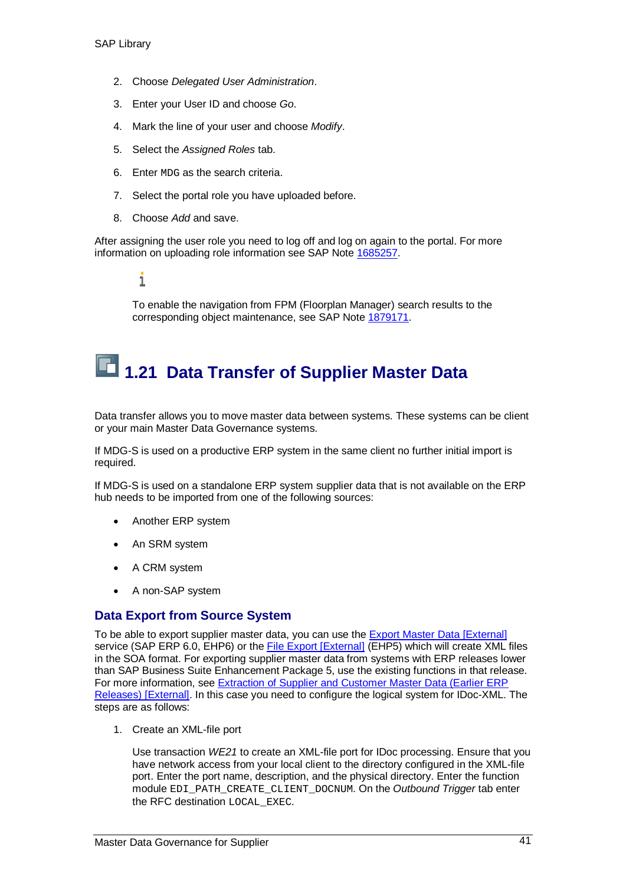- 2. Choose *Delegated User Administration*.
- 3. Enter your User ID and choose *Go*.
- 4. Mark the line of your user and choose *Modify*.
- 5. Select the *Assigned Roles* tab.
- 6. Enter MDG as the search criteria.
- 7. Select the portal role you have uploaded before.
- 8. Choose *Add* and save.

After assigning the user role you need to log off and log on again to the portal. For more information on uploading role information see SAP Note 1685257.

1

To enable the navigation from FPM (Floorplan Manager) search results to the corresponding object maintenance, see SAP Note 1879171.

# **1.21 Data Transfer of Supplier Master Data**

Data transfer allows you to move master data between systems. These systems can be client or your main Master Data Governance systems.

If MDG-S is used on a productive ERP system in the same client no further initial import is required.

If MDG-S is used on a standalone ERP system supplier data that is not available on the ERP hub needs to be imported from one of the following sources:

- Another ERP system
- An SRM system
- A CRM system
- A non-SAP system

#### **Data Export from Source System**

To be able to export supplier master data, you can use the Export Master Data [External] service (SAP ERP 6.0, EHP6) or the File Export [External] (EHP5) which will create XML files in the SOA format. For exporting supplier master data from systems with ERP releases lower than SAP Business Suite Enhancement Package 5, use the existing functions in that release. For more information, see Extraction of Supplier and Customer Master Data (Earlier ERP Releases) [External]. In this case you need to configure the logical system for IDoc-XML. The steps are as follows:

1. Create an XML-file port

Use transaction *WE21* to create an XML-file port for IDoc processing. Ensure that you have network access from your local client to the directory configured in the XML-file port. Enter the port name, description, and the physical directory. Enter the function module EDI\_PATH\_CREATE\_CLIENT\_DOCNUM. On the *Outbound Trigger* tab enter the RFC destination LOCAL EXEC.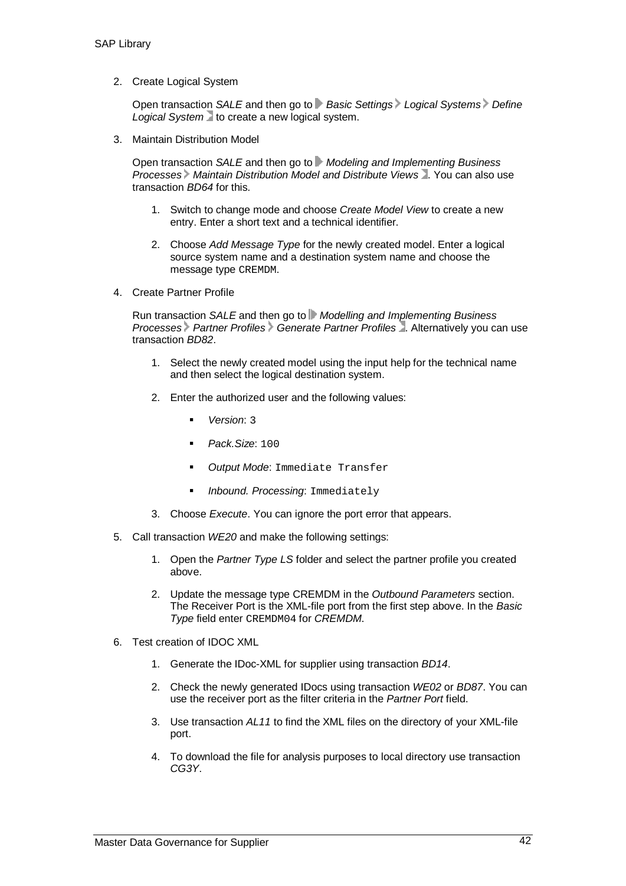2. Create Logical System

Open transaction *SALE* and then go to **Basic Settings** Logical Systems Define Logical System to create a new logical system.

3. Maintain Distribution Model

Open transaction *SALE* and then go to *Modeling and Implementing Business Processes Maintain Distribution Model and Distribute Views* . You can also use transaction *BD64* for this.

- 1. Switch to change mode and choose *Create Model View* to create a new entry. Enter a short text and a technical identifier.
- 2. Choose *Add Message Type* for the newly created model. Enter a logical source system name and a destination system name and choose the message type CREMDM.
- 4. Create Partner Profile

Run transaction *SALE* and then go to *Modelling and Implementing Business Processes Partner Profiles Generate Partner Profiles* . Alternatively you can use transaction *BD82*.

- 1. Select the newly created model using the input help for the technical name and then select the logical destination system.
- 2. Enter the authorized user and the following values:
	- *Version*: 3
	- *Pack.Size*: 100
	- *Output Mode*: Immediate Transfer
	- *Inbound. Processing*: Immediately
- 3. Choose *Execute*. You can ignore the port error that appears.
- 5. Call transaction *WE20* and make the following settings:
	- 1. Open the *Partner Type LS* folder and select the partner profile you created above.
	- 2. Update the message type CREMDM in the *Outbound Parameters* section. The Receiver Port is the XML-file port from the first step above. In the *Basic Type* field enter CREMDM04 for *CREMDM*.
- 6. Test creation of IDOC XML
	- 1. Generate the IDoc-XML for supplier using transaction *BD14*.
	- 2. Check the newly generated IDocs using transaction *WE02* or *BD87*. You can use the receiver port as the filter criteria in the *Partner Port* field.
	- 3. Use transaction *AL11* to find the XML files on the directory of your XML-file port.
	- 4. To download the file for analysis purposes to local directory use transaction *CG3Y*.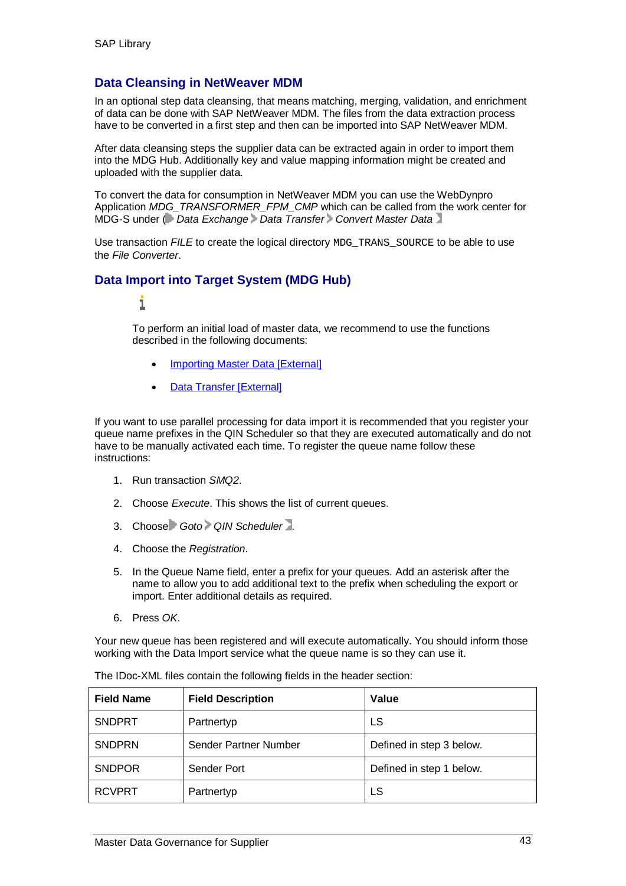#### **Data Cleansing in NetWeaver MDM**

In an optional step data cleansing, that means matching, merging, validation, and enrichment of data can be done with SAP NetWeaver MDM. The files from the data extraction process have to be converted in a first step and then can be imported into SAP NetWeaver MDM.

After data cleansing steps the supplier data can be extracted again in order to import them into the MDG Hub. Additionally key and value mapping information might be created and uploaded with the supplier data.

To convert the data for consumption in NetWeaver MDM you can use the WebDynpro Application *MDG\_TRANSFORMER\_FPM\_CMP* which can be called from the work center for MDG-S under ( *Data Exchange Data Transfer Convert Master Data*

Use transaction *FILE* to create the logical directory MDG\_TRANS\_SOURCE to be able to use the *File Converter*.

#### **Data Import into Target System (MDG Hub)**

#### 1

To perform an initial load of master data, we recommend to use the functions described in the following documents:

- **Importing Master Data [External]**
- Data Transfer [External]

If you want to use parallel processing for data import it is recommended that you register your queue name prefixes in the QIN Scheduler so that they are executed automatically and do not have to be manually activated each time. To register the queue name follow these instructions:

- 1. Run transaction *SMQ2*.
- 2. Choose *Execute*. This shows the list of current queues.
- 3. Choose *Goto QIN Scheduler* .
- 4. Choose the *Registration*.
- 5. In the Queue Name field, enter a prefix for your queues. Add an asterisk after the name to allow you to add additional text to the prefix when scheduling the export or import. Enter additional details as required.
- 6. Press *OK*.

Your new queue has been registered and will execute automatically. You should inform those working with the Data Import service what the queue name is so they can use it.

| <b>Field Name</b> | <b>Field Description</b> | Value                    |
|-------------------|--------------------------|--------------------------|
| <b>SNDPRT</b>     | Partnertyp               | LS                       |
| <b>SNDPRN</b>     | Sender Partner Number    | Defined in step 3 below. |
| <b>SNDPOR</b>     | Sender Port              | Defined in step 1 below. |
| <b>RCVPRT</b>     | Partnertyp               | LS                       |

The IDoc-XML files contain the following fields in the header section: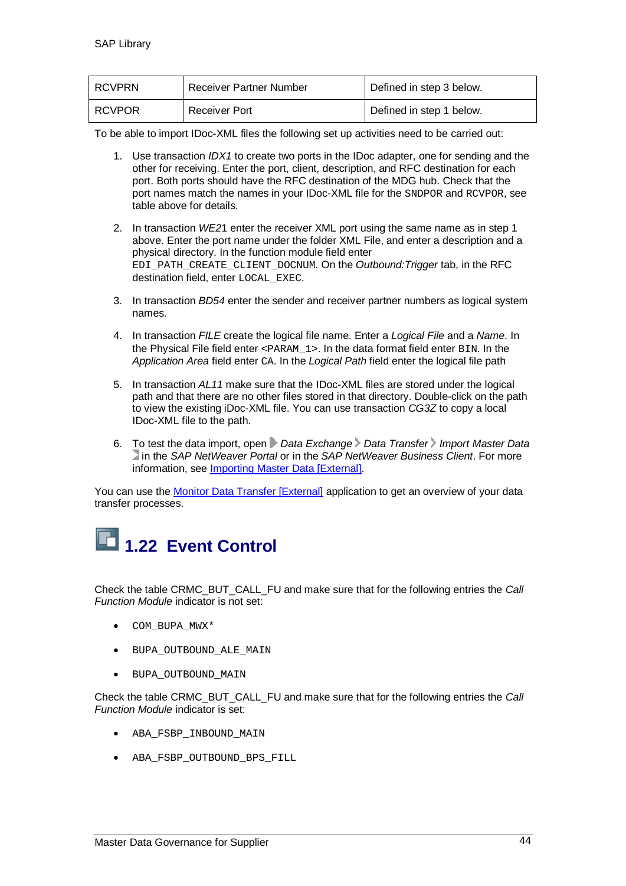| I RCVPRN | <b>Receiver Partner Number</b> | Defined in step 3 below. |
|----------|--------------------------------|--------------------------|
| I RCVPOR | Receiver Port                  | Defined in step 1 below. |

To be able to import IDoc-XML files the following set up activities need to be carried out:

- 1. Use transaction *IDX1* to create two ports in the IDoc adapter, one for sending and the other for receiving. Enter the port, client, description, and RFC destination for each port. Both ports should have the RFC destination of the MDG hub. Check that the port names match the names in your IDoc-XML file for the SNDPOR and RCVPOR, see table above for details.
- 2. In transaction *WE2*1 enter the receiver XML port using the same name as in step 1 above. Enter the port name under the folder XML File, and enter a description and a physical directory. In the function module field enter EDI\_PATH\_CREATE\_CLIENT\_DOCNUM. On the *Outbound:Trigger* tab, in the RFC destination field, enter LOCAL EXEC.
- 3. In transaction *BD54* enter the sender and receiver partner numbers as logical system names.
- 4. In transaction *FILE* create the logical file name. Enter a *Logical File* and a *Name*. In the Physical File field enter <PARAM\_1>. In the data format field enter BIN. In the *Application Area* field enter CA. In the *Logical Path* field enter the logical file path
- 5. In transaction *AL11* make sure that the IDoc-XML files are stored under the logical path and that there are no other files stored in that directory. Double-click on the path to view the existing iDoc-XML file. You can use transaction *CG3Z* to copy a local IDoc-XML file to the path.
- 6. To test the data import, open *Data Exchange Data Transfer Import Master Data* in the *SAP NetWeaver Portal* or in the *SAP NetWeaver Business Client*. For more information, see Importing Master Data [External].

You can use the Monitor Data Transfer [External] application to get an overview of your data transfer processes.



Check the table CRMC\_BUT\_CALL\_FU and make sure that for the following entries the *Call Function Module* indicator is not set:

- COM BUPA MWX\*
- BUPA OUTBOUND ALE MAIN
- $\bullet$  BUPA OUTBOUND MAIN

Check the table CRMC\_BUT\_CALL\_FU and make sure that for the following entries the *Call Function Module* indicator is set:

- ABA FSBP INBOUND MAIN
- ABA FSBP OUTBOUND BPS FILL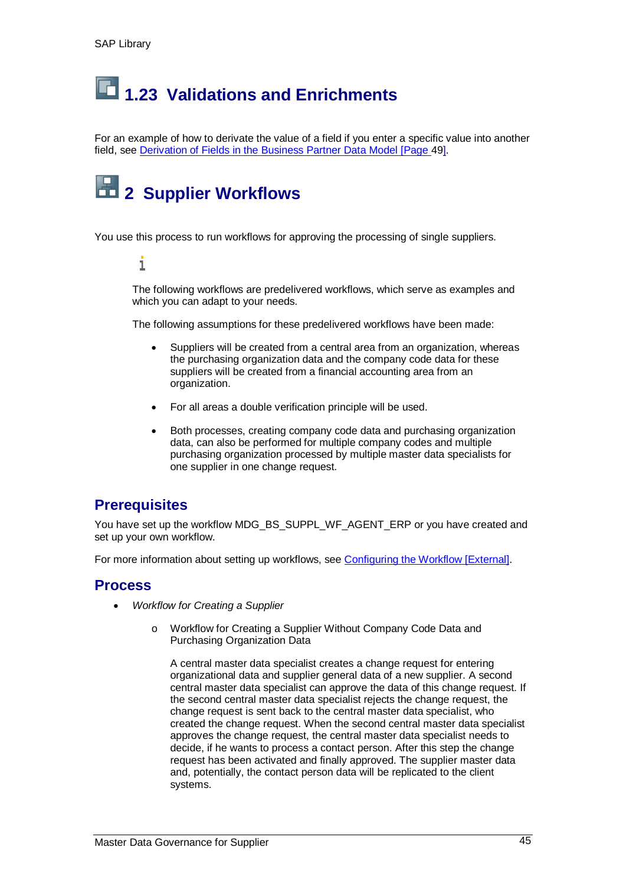# **1.23 Validations and Enrichments**

For an example of how to derivate the value of a field if you enter a specific value into another field, see Derivation of Fields in the Business Partner Data Model [Page 49].

# **2 Supplier Workflows**

You use this process to run workflows for approving the processing of single suppliers.

i

The following workflows are predelivered workflows, which serve as examples and which you can adapt to your needs.

The following assumptions for these predelivered workflows have been made:

- Suppliers will be created from a central area from an organization, whereas the purchasing organization data and the company code data for these suppliers will be created from a financial accounting area from an organization.
- For all areas a double verification principle will be used.
- Both processes, creating company code data and purchasing organization data, can also be performed for multiple company codes and multiple purchasing organization processed by multiple master data specialists for one supplier in one change request.

#### **Prerequisites**

You have set up the workflow MDG\_BS\_SUPPL\_WF\_AGENT\_ERP or you have created and set up your own workflow.

For more information about setting up workflows, see Configuring the Workflow [External].

#### **Process**

- x *Workflow for Creating a Supplier*
	- o Workflow for Creating a Supplier Without Company Code Data and Purchasing Organization Data

A central master data specialist creates a change request for entering organizational data and supplier general data of a new supplier. A second central master data specialist can approve the data of this change request. If the second central master data specialist rejects the change request, the change request is sent back to the central master data specialist, who created the change request. When the second central master data specialist approves the change request, the central master data specialist needs to decide, if he wants to process a contact person. After this step the change request has been activated and finally approved. The supplier master data and, potentially, the contact person data will be replicated to the client systems.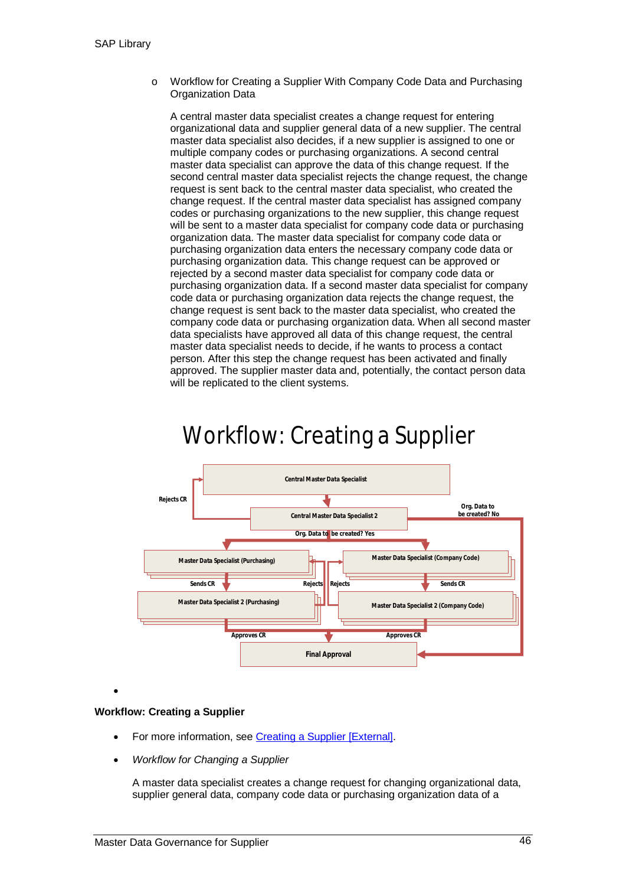o Workflow for Creating a Supplier With Company Code Data and Purchasing Organization Data

A central master data specialist creates a change request for entering organizational data and supplier general data of a new supplier. The central master data specialist also decides, if a new supplier is assigned to one or multiple company codes or purchasing organizations. A second central master data specialist can approve the data of this change request. If the second central master data specialist rejects the change request, the change request is sent back to the central master data specialist, who created the change request. If the central master data specialist has assigned company codes or purchasing organizations to the new supplier, this change request will be sent to a master data specialist for company code data or purchasing organization data. The master data specialist for company code data or purchasing organization data enters the necessary company code data or purchasing organization data. This change request can be approved or rejected by a second master data specialist for company code data or purchasing organization data. If a second master data specialist for company code data or purchasing organization data rejects the change request, the change request is sent back to the master data specialist, who created the company code data or purchasing organization data. When all second master data specialists have approved all data of this change request, the central master data specialist needs to decide, if he wants to process a contact person. After this step the change request has been activated and finally approved. The supplier master data and, potentially, the contact person data will be replicated to the client systems.

# Workflow: Creating a Supplier



 $\bullet$ 

#### **Workflow: Creating a Supplier**

- For more information, see Creating a Supplier [External].
- x *Workflow for Changing a Supplier*

A master data specialist creates a change request for changing organizational data, supplier general data, company code data or purchasing organization data of a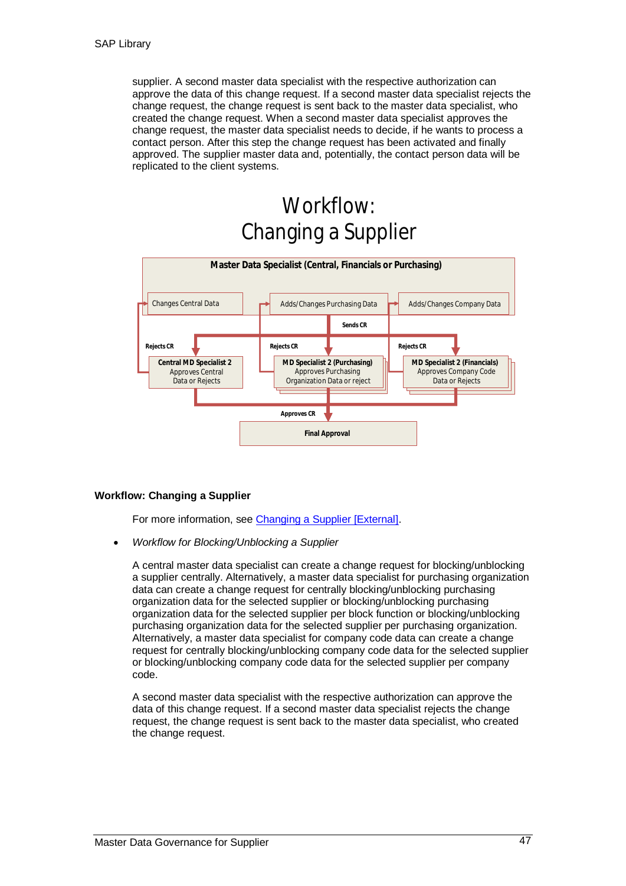supplier. A second master data specialist with the respective authorization can approve the data of this change request. If a second master data specialist rejects the change request, the change request is sent back to the master data specialist, who created the change request. When a second master data specialist approves the change request, the master data specialist needs to decide, if he wants to process a contact person. After this step the change request has been activated and finally approved. The supplier master data and, potentially, the contact person data will be replicated to the client systems.

# Workflow: Changing a Supplier



#### **Workflow: Changing a Supplier**

For more information, see Changing a Supplier [External].

x *Workflow for Blocking/Unblocking a Supplier*

A central master data specialist can create a change request for blocking/unblocking a supplier centrally. Alternatively, a master data specialist for purchasing organization data can create a change request for centrally blocking/unblocking purchasing organization data for the selected supplier or blocking/unblocking purchasing organization data for the selected supplier per block function or blocking/unblocking purchasing organization data for the selected supplier per purchasing organization. Alternatively, a master data specialist for company code data can create a change request for centrally blocking/unblocking company code data for the selected supplier or blocking/unblocking company code data for the selected supplier per company code.

A second master data specialist with the respective authorization can approve the data of this change request. If a second master data specialist rejects the change request, the change request is sent back to the master data specialist, who created the change request.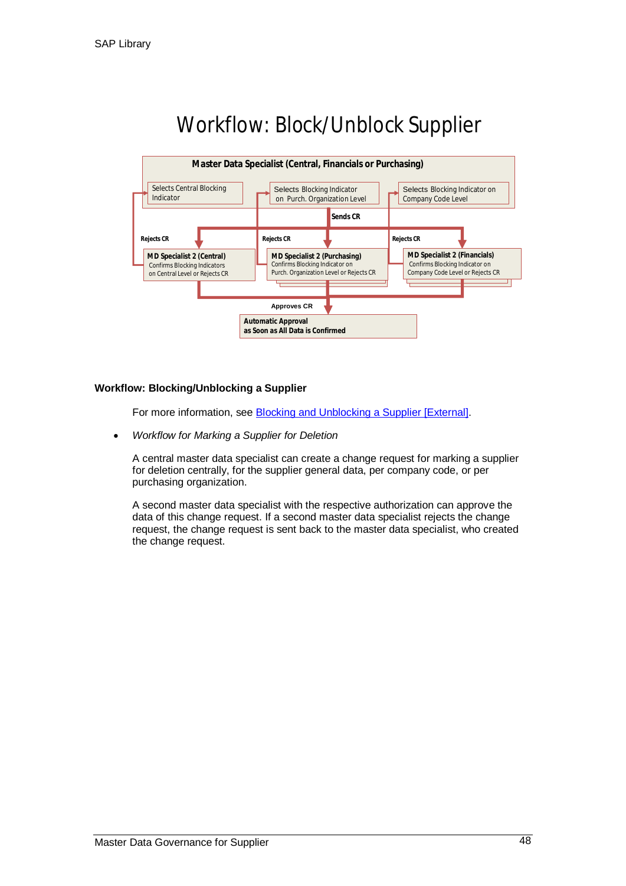

# Workflow: Block/Unblock Supplier

#### **Workflow: Blocking/Unblocking a Supplier**

For more information, see Blocking and Unblocking a Supplier [External].

x *Workflow for Marking a Supplier for Deletion*

A central master data specialist can create a change request for marking a supplier for deletion centrally, for the supplier general data, per company code, or per purchasing organization.

A second master data specialist with the respective authorization can approve the data of this change request. If a second master data specialist rejects the change request, the change request is sent back to the master data specialist, who created the change request.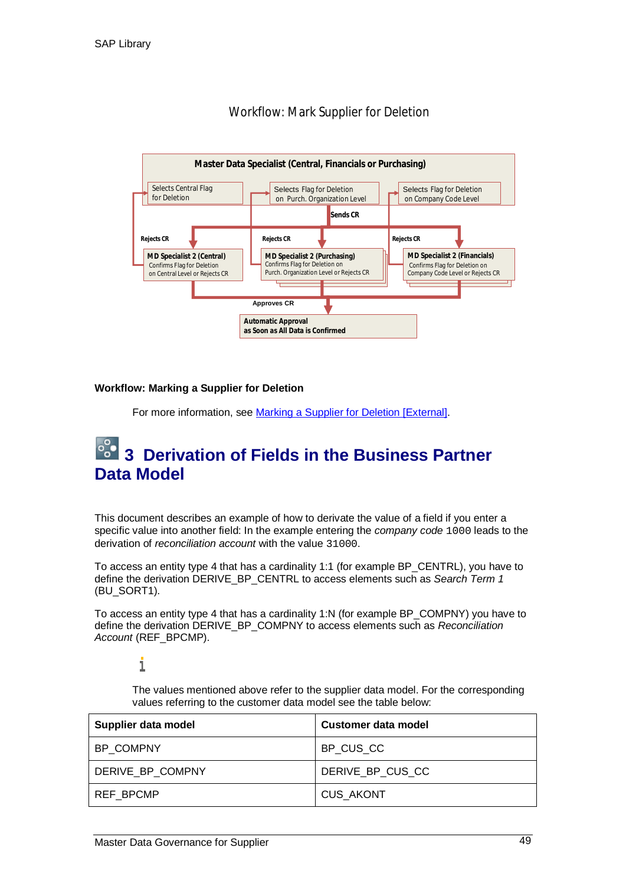

#### Workflow: Mark Supplier for Deletion

#### **Workflow: Marking a Supplier for Deletion**

For more information, see Marking a Supplier for Deletion [External].

### **3 Derivation of Fields in the Business Partner Data Model**

This document describes an example of how to derivate the value of a field if you enter a specific value into another field: In the example entering the *company code* 1000 leads to the derivation of *reconciliation account* with the value 31000.

To access an entity type 4 that has a cardinality 1:1 (for example BP\_CENTRL), you have to define the derivation DERIVE\_BP\_CENTRL to access elements such as *Search Term 1* (BU\_SORT1).

To access an entity type 4 that has a cardinality 1:N (for example BP\_COMPNY) you have to define the derivation DERIVE\_BP\_COMPNY to access elements such as *Reconciliation Account* (REF\_BPCMP).

ī

The values mentioned above refer to the supplier data model. For the corresponding values referring to the customer data model see the table below:

| Supplier data model | Customer data model |
|---------------------|---------------------|
| BP COMPNY           | BP CUS CC           |
| DERIVE_BP_COMPNY    | DERIVE BP CUS CC    |
| <b>REF BPCMP</b>    | <b>CUS_AKONT</b>    |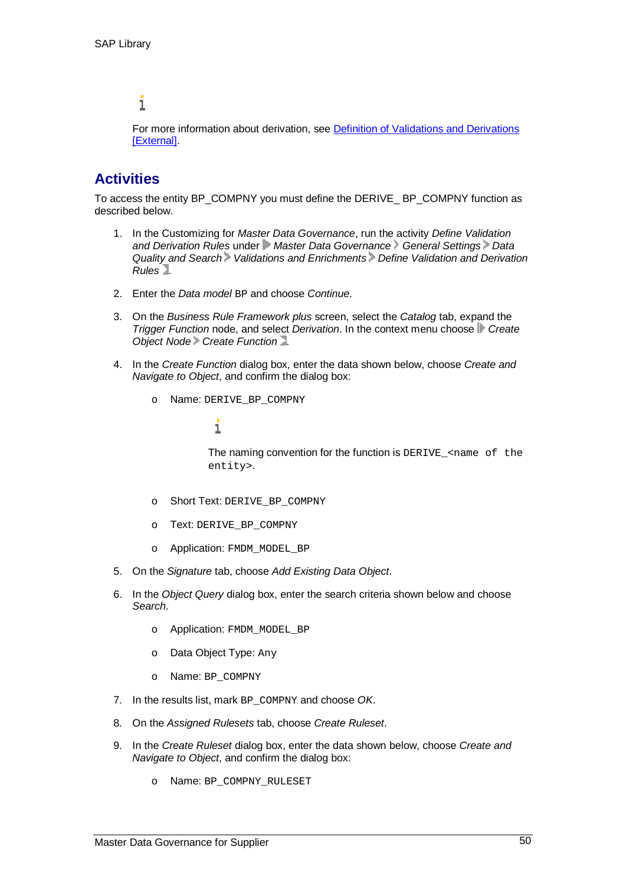#### i

For more information about derivation, see Definition of Validations and Derivations [External].

#### **Activities**

To access the entity BP\_COMPNY you must define the DERIVE\_ BP\_COMPNY function as described below.

- 1. In the Customizing for *Master Data Governance*, run the activity *Define Validation and Derivation Rules* under *Master Data Governance General Settings Data Quality and Search Validations and Enrichments Define Validation and Derivation Rules* .
- 2. Enter the *Data model* BP and choose *Continue*.
- 3. On the *Business Rule Framework plus* screen, select the *Catalog* tab, expand the *Trigger Function* node, and select *Derivation*. In the context menu choose **C** Create *Object Node Create Function* .
- 4. In the *Create Function* dialog box, enter the data shown below, choose *Create and Navigate to Object*, and confirm the dialog box:
	- o Name: DERIVE\_BP\_COMPNY

#### i

The naming convention for the function is DERIVE\_<name of the entity>.

- o Short Text: DERIVE\_BP\_COMPNY
- o Text: DERIVE\_BP\_COMPNY
- o Application: FMDM\_MODEL\_BP
- 5. On the *Signature* tab, choose *Add Existing Data Object*.
- 6. In the *Object Query* dialog box, enter the search criteria shown below and choose *Search*.
	- o Application: FMDM\_MODEL\_BP
	- o Data Object Type: Any
	- o Name: BP\_COMPNY
- 7. In the results list, mark BP\_COMPNY and choose *OK*.
- 8. On the *Assigned Rulesets* tab, choose *Create Ruleset*.
- 9. In the *Create Ruleset* dialog box, enter the data shown below, choose *Create and Navigate to Object*, and confirm the dialog box:
	- o Name: BP\_COMPNY\_RULESET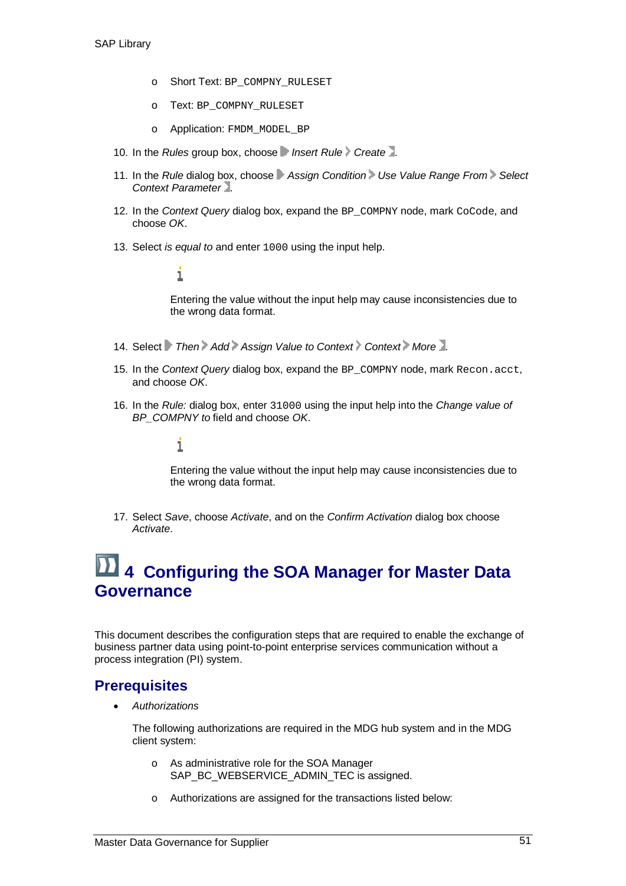- o Short Text: BP\_COMPNY\_RULESET
- o Text: BP\_COMPNY\_RULESET
- o Application: FMDM\_MODEL\_BP
- 10. In the *Rules* group box, choose *Insert Rule Create* ...
- 11. In the *Rule* dialog box, choose **Assign Condition** Use Value Range From Select *Context Parameter* .
- 12. In the *Context Query* dialog box, expand the BP\_COMPNY node, mark CoCode, and choose *OK*.
- 13. Select *is equal to* and enter 1000 using the input help.

#### i

Entering the value without the input help may cause inconsistencies due to the wrong data format.

- 14. Select *Then Add Assign Value to Context Context* More.
- 15. In the *Context Query* dialog box, expand the BP\_COMPNY node, mark Recon.acct, and choose *OK*.
- 16. In the *Rule:* dialog box, enter 31000 using the input help into the *Change value of BP\_COMPNY to* field and choose *OK*.

#### i

Entering the value without the input help may cause inconsistencies due to the wrong data format.

17. Select *Save*, choose *Activate*, and on the *Confirm Activation* dialog box choose *Activate*.

## **4 Configuring the SOA Manager for Master Data Governance**

This document describes the configuration steps that are required to enable the exchange of business partner data using point-to-point enterprise services communication without a process integration (PI) system.

#### **Prerequisites**

x *Authorizations*

The following authorizations are required in the MDG hub system and in the MDG client system:

- o As administrative role for the SOA Manager SAP\_BC\_WEBSERVICE\_ADMIN\_TEC is assigned.
- o Authorizations are assigned for the transactions listed below: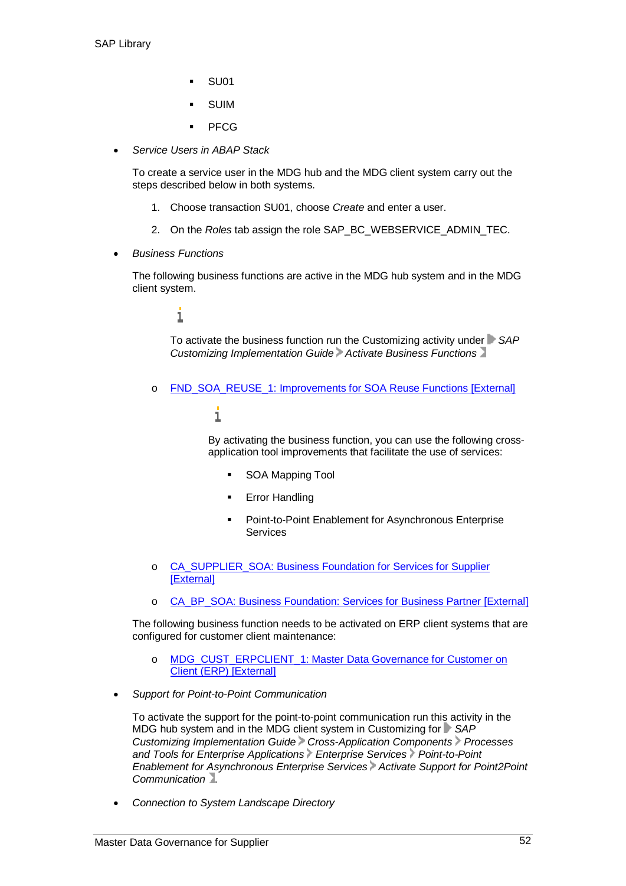- SU01
- **SUIM**
- PFCG
- x *Service Users in ABAP Stack*

To create a service user in the MDG hub and the MDG client system carry out the steps described below in both systems.

- 1. Choose transaction SU01, choose *Create* and enter a user.
- 2. On the *Roles* tab assign the role SAP\_BC\_WEBSERVICE\_ADMIN\_TEC.
- x *Business Functions*

The following business functions are active in the MDG hub system and in the MDG client system.

#### i

To activate the business function run the Customizing activity under *SAP Customizing Implementation Guide Activate Business Functions*

o FND\_SOA\_REUSE\_1: Improvements for SOA Reuse Functions [External]

#### 1

By activating the business function, you can use the following crossapplication tool improvements that facilitate the use of services:

- **SOA Mapping Tool**
- **Error Handling**
- Point-to-Point Enablement for Asynchronous Enterprise **Services**
- o CA\_SUPPLIER\_SOA: Business Foundation for Services for Supplier [External]
- CA\_BP\_SOA: Business Foundation: Services for Business Partner [External]

The following business function needs to be activated on ERP client systems that are configured for customer client maintenance:

- o MDG\_CUST\_ERPCLIENT\_1: Master Data Governance for Customer on Client (ERP) [External]
- x *Support for Point-to-Point Communication*

To activate the support for the point-to-point communication run this activity in the MDG hub system and in the MDG client system in Customizing for **F** SAP *Customizing Implementation Guide Cross-Application Components Processes and Tools for Enterprise Applications Enterprise Services Point-to-Point Enablement for Asynchronous Enterprise Services Activate Support for Point2Point Communication* .

x *Connection to System Landscape Directory*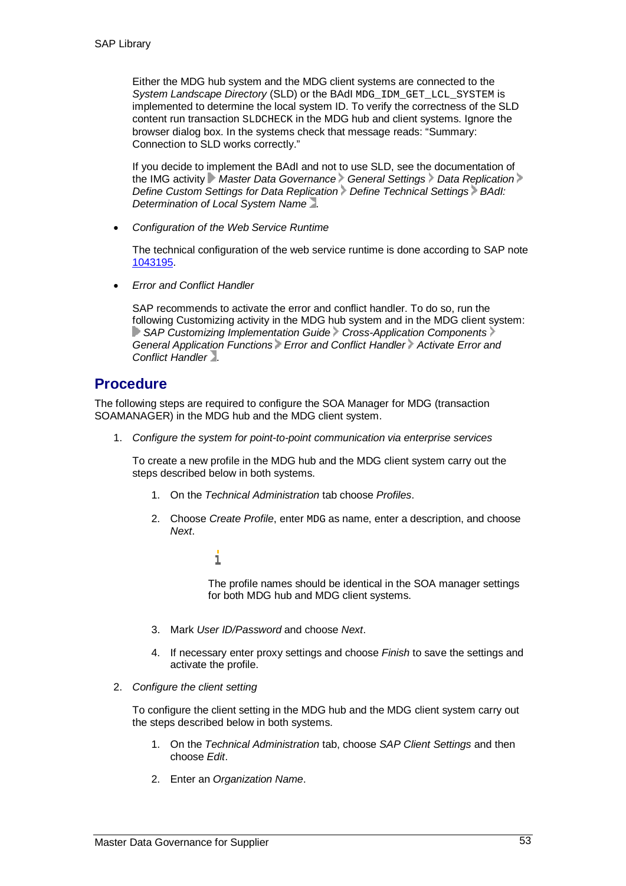Either the MDG hub system and the MDG client systems are connected to the *System Landscape Directory* (SLD) or the BAdI MDG\_IDM\_GET\_LCL\_SYSTEM is implemented to determine the local system ID. To verify the correctness of the SLD content run transaction SLDCHECK in the MDG hub and client systems. Ignore the browser dialog box. In the systems check that message reads: "Summary: Connection to SLD works correctly."

If you decide to implement the BAdI and not to use SLD, see the documentation of the IMG activity **Master Data Governance** General Settings Data Replication *Define Custom Settings for Data Replication Define Technical Settings BAdI: Determination of Local System Name* .

x *Configuration of the Web Service Runtime*

The technical configuration of the web service runtime is done according to SAP note 1043195.

x *Error and Conflict Handler*

SAP recommends to activate the error and conflict handler. To do so, run the following Customizing activity in the MDG hub system and in the MDG client system: **SAP Customizing Implementation Guide Cross-Application Components** General Application Functions Error and Conflict Handler Activate Error and *Conflict Handler* .

#### **Procedure**

The following steps are required to configure the SOA Manager for MDG (transaction SOAMANAGER) in the MDG hub and the MDG client system.

1. *Configure the system for point-to-point communication via enterprise services*

To create a new profile in the MDG hub and the MDG client system carry out the steps described below in both systems.

- 1. On the *Technical Administration* tab choose *Profiles*.
- 2. Choose *Create Profile*, enter MDG as name, enter a description, and choose *Next*.
	- i

The profile names should be identical in the SOA manager settings for both MDG hub and MDG client systems.

- 3. Mark *User ID/Password* and choose *Next*.
- 4. If necessary enter proxy settings and choose *Finish* to save the settings and activate the profile.
- 2. *Configure the client setting*

To configure the client setting in the MDG hub and the MDG client system carry out the steps described below in both systems.

- 1. On the *Technical Administration* tab, choose *SAP Client Settings* and then choose *Edit*.
- 2. Enter an *Organization Name*.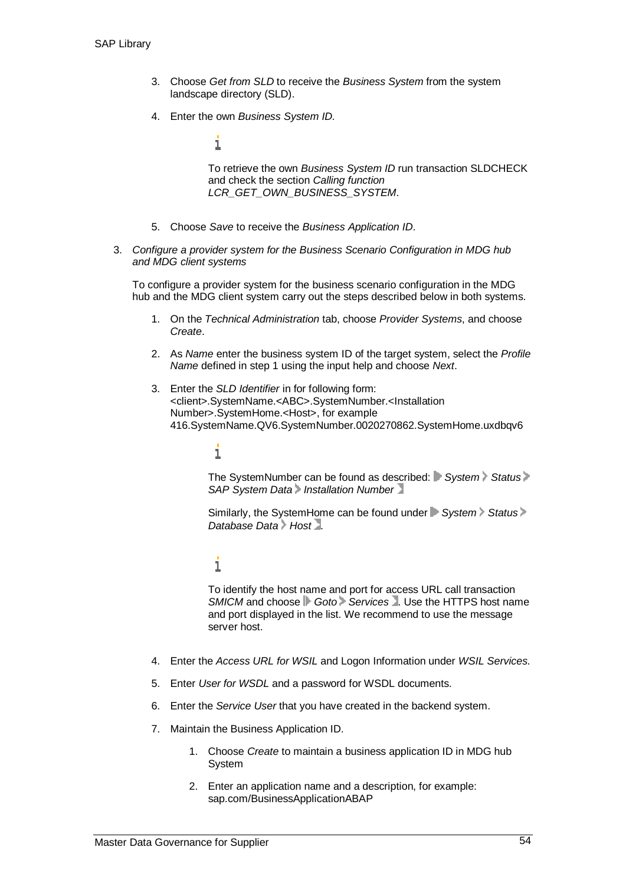- 3. Choose *Get from SLD* to receive the *Business System* from the system landscape directory (SLD).
- 4. Enter the own *Business System ID.*

i

To retrieve the own *Business System ID* run transaction SLDCHECK and check the section *Calling function LCR\_GET\_OWN\_BUSINESS\_SYSTEM*.

- 5. Choose *Save* to receive the *Business Application ID*.
- 3. *Configure a provider system for the Business Scenario Configuration in MDG hub and MDG client systems*

To configure a provider system for the business scenario configuration in the MDG hub and the MDG client system carry out the steps described below in both systems.

- 1. On the *Technical Administration* tab, choose *Provider Systems*, and choose *Create*.
- 2. As *Name* enter the business system ID of the target system, select the *Profile Name* defined in step 1 using the input help and choose *Next*.
- 3. Enter the *SLD Identifier* in for following form: <client>.SystemName.<ABC>.SystemNumber.<Installation Number>.SystemHome.<Host>, for example 416.SystemName.QV6.SystemNumber.0020270862.SystemHome.uxdbqv6

#### i

The SystemNumber can be found as described: System Status **SAP System Data** Installation Number

Similarly, the SystemHome can be found under **F** System Status > *Database Data Host* .

#### i

To identify the host name and port for access URL call transaction **SMICM** and choose **Goto** Services . Use the HTTPS host name and port displayed in the list. We recommend to use the message server host.

- 4. Enter the *Access URL for WSIL* and Logon Information under *WSIL Services*.
- 5. Enter *User for WSDL* and a password for WSDL documents.
- 6. Enter the *Service User* that you have created in the backend system.
- 7. Maintain the Business Application ID.
	- 1. Choose *Create* to maintain a business application ID in MDG hub System
	- 2. Enter an application name and a description, for example: sap.com/BusinessApplicationABAP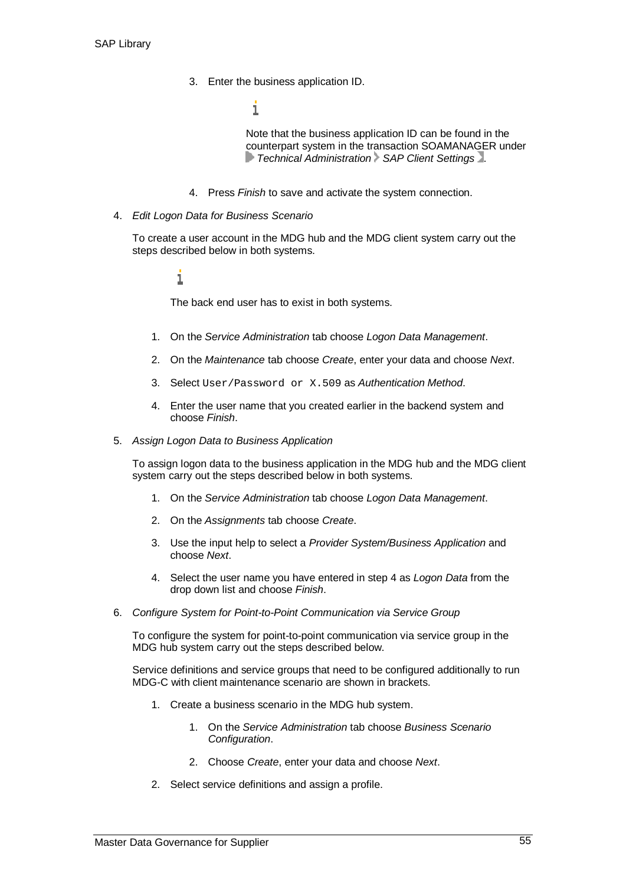3. Enter the business application ID.

 $\mathbf 1$ 

Note that the business application ID can be found in the counterpart system in the transaction SOAMANAGER under *Technical Administration SAP Client Settings* .

- 4. Press *Finish* to save and activate the system connection.
- 4. *Edit Logon Data for Business Scenario*

To create a user account in the MDG hub and the MDG client system carry out the steps described below in both systems.

#### i

The back end user has to exist in both systems.

- 1. On the *Service Administration* tab choose *Logon Data Management*.
- 2. On the *Maintenance* tab choose *Create*, enter your data and choose *Next*.
- 3. Select User/Password or X.509 as *Authentication Method*.
- 4. Enter the user name that you created earlier in the backend system and choose *Finish*.
- 5. *Assign Logon Data to Business Application*

To assign logon data to the business application in the MDG hub and the MDG client system carry out the steps described below in both systems.

- 1. On the *Service Administration* tab choose *Logon Data Management*.
- 2. On the *Assignments* tab choose *Create*.
- 3. Use the input help to select a *Provider System/Business Application* and choose *Next*.
- 4. Select the user name you have entered in step 4 as *Logon Data* from the drop down list and choose *Finish*.
- 6. *Configure System for Point-to-Point Communication via Service Group*

To configure the system for point-to-point communication via service group in the MDG hub system carry out the steps described below.

Service definitions and service groups that need to be configured additionally to run MDG-C with client maintenance scenario are shown in brackets.

- 1. Create a business scenario in the MDG hub system.
	- 1. On the *Service Administration* tab choose *Business Scenario Configuration*.
	- 2. Choose *Create*, enter your data and choose *Next*.
- 2. Select service definitions and assign a profile.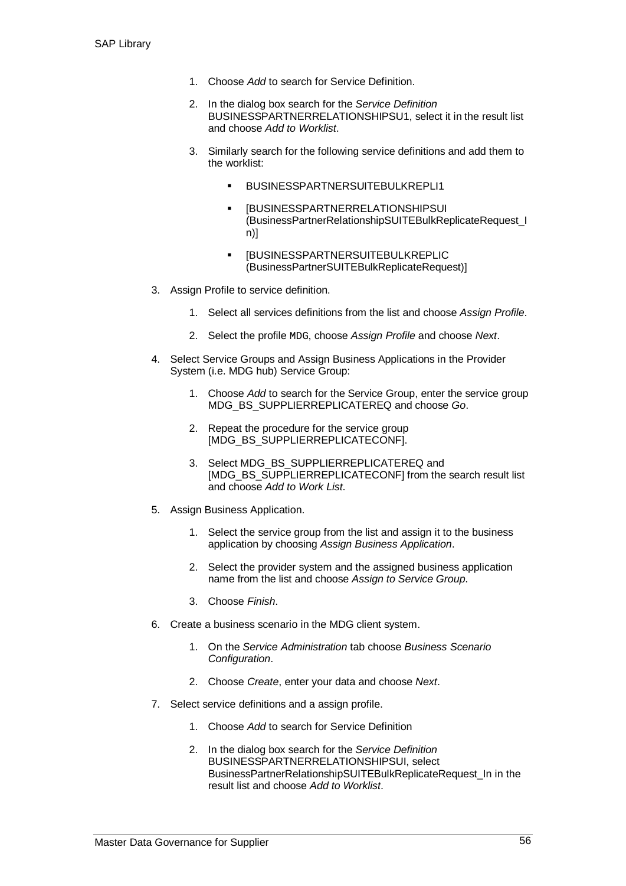- 1. Choose *Add* to search for Service Definition.
- 2. In the dialog box search for the *Service Definition* BUSINESSPARTNERRELATIONSHIPSU1, select it in the result list and choose *Add to Worklist*.
- 3. Similarly search for the following service definitions and add them to the worklist:
	- **BUSINESSPARTNERSUITEBULKREPLI1**
	- **•** [BUSINESSPARTNERRELATIONSHIPSUI (BusinessPartnerRelationshipSUITEBulkReplicateRequest\_I n)]
	- **E** [BUSINESSPARTNERSUITEBULKREPLIC (BusinessPartnerSUITEBulkReplicateRequest)]
- 3. Assign Profile to service definition.
	- 1. Select all services definitions from the list and choose *Assign Profile*.
	- 2. Select the profile MDG, choose *Assign Profile* and choose *Next*.
- 4. Select Service Groups and Assign Business Applications in the Provider System (i.e. MDG hub) Service Group:
	- 1. Choose *Add* to search for the Service Group, enter the service group MDG\_BS\_SUPPLIERREPLICATEREQ and choose *Go*.
	- 2. Repeat the procedure for the service group [MDG\_BS\_SUPPLIERREPLICATECONF].
	- 3. Select MDG\_BS\_SUPPLIERREPLICATEREQ and [MDG\_BS\_SUPPLIERREPLICATECONF] from the search result list and choose *Add to Work List*.
- 5. Assign Business Application.
	- 1. Select the service group from the list and assign it to the business application by choosing *Assign Business Application*.
	- 2. Select the provider system and the assigned business application name from the list and choose *Assign to Service Group*.
	- 3. Choose *Finish*.
- 6. Create a business scenario in the MDG client system.
	- 1. On the *Service Administration* tab choose *Business Scenario Configuration*.
	- 2. Choose *Create*, enter your data and choose *Next*.
- 7. Select service definitions and a assign profile.
	- 1. Choose *Add* to search for Service Definition
	- 2. In the dialog box search for the *Service Definition* BUSINESSPARTNERRELATIONSHIPSUI, select BusinessPartnerRelationshipSUITEBulkReplicateRequest\_In in the result list and choose *Add to Worklist*.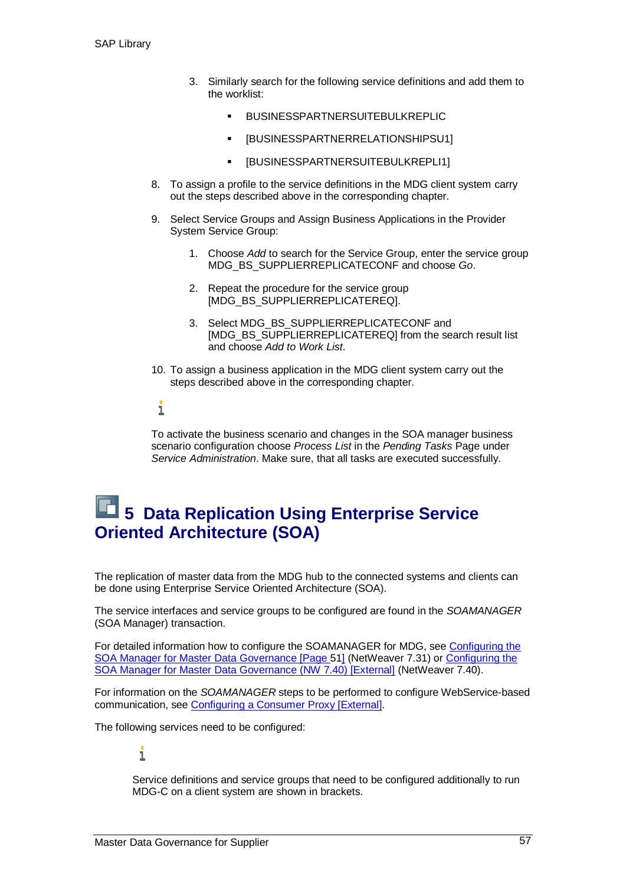- 3. Similarly search for the following service definitions and add them to the worklist:
	- BUSINESSPARTNERSUITEBULKREPLIC
	- [BUSINESSPARTNERRELATIONSHIPSU1]
	- [BUSINESSPARTNERSUITEBULKREPLI1]
- 8. To assign a profile to the service definitions in the MDG client system carry out the steps described above in the corresponding chapter.
- 9. Select Service Groups and Assign Business Applications in the Provider System Service Group:
	- 1. Choose *Add* to search for the Service Group, enter the service group MDG\_BS\_SUPPLIERREPLICATECONF and choose *Go*.
	- 2. Repeat the procedure for the service group [MDG\_BS\_SUPPLIERREPLICATEREQ].
	- 3. Select MDG\_BS\_SUPPLIERREPLICATECONF and [MDG\_BS\_SUPPLIERREPLICATEREQ] from the search result list and choose *Add to Work List*.
- 10. To assign a business application in the MDG client system carry out the steps described above in the corresponding chapter.

#### i

To activate the business scenario and changes in the SOA manager business scenario configuration choose *Process List* in the *Pending Tasks* Page under *Service Administration*. Make sure, that all tasks are executed successfully.

### **6 5 Data Replication Using Enterprise Service Oriented Architecture (SOA)**

The replication of master data from the MDG hub to the connected systems and clients can be done using Enterprise Service Oriented Architecture (SOA).

The service interfaces and service groups to be configured are found in the *SOAMANAGER* (SOA Manager) transaction.

For detailed information how to configure the SOAMANAGER for MDG, see Configuring the SOA Manager for Master Data Governance [Page 51] (NetWeaver 7.31) or Configuring the SOA Manager for Master Data Governance (NW 7.40) [External] (NetWeaver 7.40).

For information on the *SOAMANAGER* steps to be performed to configure WebService-based communication, see Configuring a Consumer Proxy [External].

The following services need to be configured:

#### i

Service definitions and service groups that need to be configured additionally to run MDG-C on a client system are shown in brackets.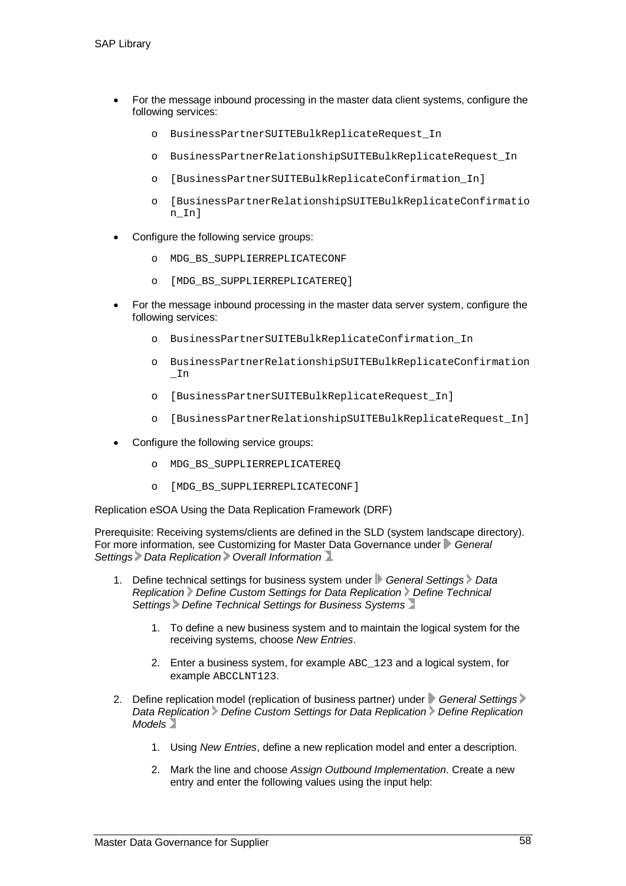- For the message inbound processing in the master data client systems, configure the following services:
	- o BusinessPartnerSUITEBulkReplicateRequest\_In
	- o BusinessPartnerRelationshipSUITEBulkReplicateRequest\_In
	- o [BusinessPartnerSUITEBulkReplicateConfirmation\_In]
	- o [BusinessPartnerRelationshipSUITEBulkReplicateConfirmatio n In]
- Configure the following service groups:
	- o MDG\_BS\_SUPPLIERREPLICATECONF
	- o [MDG\_BS\_SUPPLIERREPLICATEREQ]
- For the message inbound processing in the master data server system, configure the following services:
	- o BusinessPartnerSUITEBulkReplicateConfirmation\_In
	- o BusinessPartnerRelationshipSUITEBulkReplicateConfirmation  $I<sub>n</sub>$
	- o [BusinessPartnerSUITEBulkReplicateRequest\_In]
	- o [BusinessPartnerRelationshipSUITEBulkReplicateRequest\_In]
- Configure the following service groups:
	- o MDG\_BS\_SUPPLIERREPLICATEREQ
	- o [MDG\_BS\_SUPPLIERREPLICATECONF]

Replication eSOA Using the Data Replication Framework (DRF)

Prerequisite: Receiving systems/clients are defined in the SLD (system landscape directory). For more information, see Customizing for Master Data Governance under *General Settings Data Replication Overall Information* .

- 1. Define technical settings for business system under **F** General Settings Data *Replication Define Custom Settings for Data Replication Define Technical Settings Define Technical Settings for Business Systems*
	- 1. To define a new business system and to maintain the logical system for the receiving systems, choose *New Entries*.
	- 2. Enter a business system, for example ABC 123 and a logical system, for example ABCCLNT123.
- 2. Define replication model (replication of business partner) under **C**eneral Settings *Data Replication Define Custom Settings for Data Replication Define Replication Models*
	- 1. Using *New Entries*, define a new replication model and enter a description.
	- 2. Mark the line and choose *Assign Outbound Implementation*. Create a new entry and enter the following values using the input help: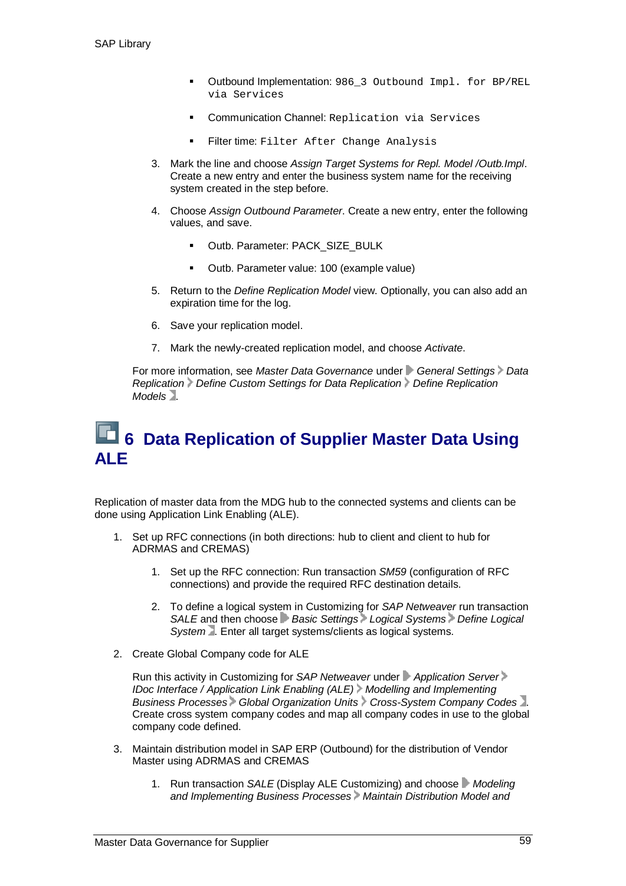- Outbound Implementation: 986\_3 Outbound Impl. for BP/REL via Services
- Communication Channel: Replication via Services
- Filter time: Filter After Change Analysis
- 3. Mark the line and choose *Assign Target Systems for Repl. Model /Outb.Impl*. Create a new entry and enter the business system name for the receiving system created in the step before.
- 4. Choose *Assign Outbound Parameter*. Create a new entry, enter the following values, and save.
	- Outb. Parameter: PACK\_SIZE\_BULK
	- Outb. Parameter value: 100 (example value)
- 5. Return to the *Define Replication Model* view. Optionally, you can also add an expiration time for the log.
- 6. Save your replication model.
- 7. Mark the newly-created replication model, and choose *Activate*.

For more information, see *Master Data Governance* under **General Settings** Data *Replication Define Custom Settings for Data Replication Define Replication Models* .

### **6 Data Replication of Supplier Master Data Using ALE**

Replication of master data from the MDG hub to the connected systems and clients can be done using Application Link Enabling (ALE).

- 1. Set up RFC connections (in both directions: hub to client and client to hub for ADRMAS and CREMAS)
	- 1. Set up the RFC connection: Run transaction *SM59* (configuration of RFC connections) and provide the required RFC destination details.
	- 2. To define a logical system in Customizing for *SAP Netweaver* run transaction *SALE* and then choose *Basic Settings Logical Systems Define Logical System* . Enter all target systems/clients as logical systems.
- 2. Create Global Company code for ALE

Run this activity in Customizing for *SAP Netweaver* under *Application Server IDoc Interface / Application Link Enabling (ALE) Modelling and Implementing Business Processes Global Organization Units Cross-System Company Codes* . Create cross system company codes and map all company codes in use to the global company code defined.

- 3. Maintain distribution model in SAP ERP (Outbound) for the distribution of Vendor Master using ADRMAS and CREMAS
	- 1. Run transaction *SALE* (Display ALE Customizing) and choose *Modeling and Implementing Business Processes Maintain Distribution Model and*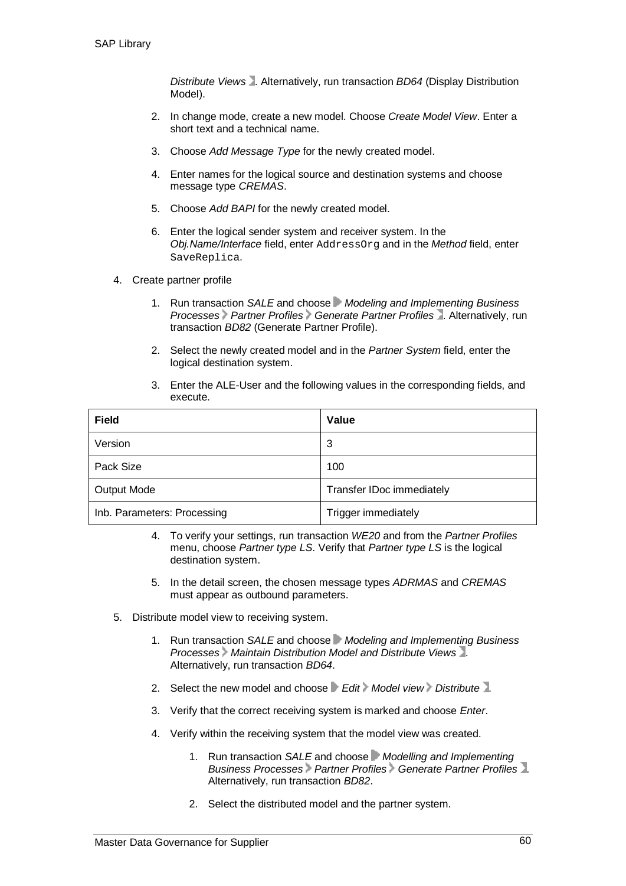*Distribute Views* . Alternatively, run transaction *BD64* (Display Distribution Model).

- 2. In change mode, create a new model. Choose *Create Model View*. Enter a short text and a technical name.
- 3. Choose *Add Message Type* for the newly created model.
- 4. Enter names for the logical source and destination systems and choose message type *CREMAS*.
- 5. Choose *Add BAPI* for the newly created model.
- 6. Enter the logical sender system and receiver system. In the *Obj.Name/Interface* field, enter AddressOrg and in the *Method* field, enter SaveReplica.
- 4. Create partner profile
	- 1. Run transaction *SALE* and choose *Modeling and Implementing Business Processes Partner Profiles Generate Partner Profiles* . Alternatively, run transaction *BD82* (Generate Partner Profile).
	- 2. Select the newly created model and in the *Partner System* field, enter the logical destination system.
	- 3. Enter the ALE-User and the following values in the corresponding fields, and execute.

| <b>Field</b>                | Value                     |
|-----------------------------|---------------------------|
| Version                     | 3                         |
| Pack Size                   | 100                       |
| <b>Output Mode</b>          | Transfer IDoc immediately |
| Inb. Parameters: Processing | Trigger immediately       |

- 4. To verify your settings, run transaction *WE20* and from the *Partner Profiles* menu, choose *Partner type LS*. Verify that *Partner type LS* is the logical destination system.
- 5. In the detail screen, the chosen message types *ADRMAS* and *CREMAS* must appear as outbound parameters.
- 5. Distribute model view to receiving system.
	- 1. Run transaction *SALE* and choose *Modeling and Implementing Business Processes Maintain Distribution Model and Distribute Views* . Alternatively, run transaction *BD64*.
	- 2. Select the new model and choose *Edit Model view Distribute*.
	- 3. Verify that the correct receiving system is marked and choose *Enter*.
	- 4. Verify within the receiving system that the model view was created.
		- 1. Run transaction *SALE* and choose *Modelling and Implementing Business Processes Partner Profiles Generate Partner Profiles* . Alternatively, run transaction *BD82*.
		- 2. Select the distributed model and the partner system.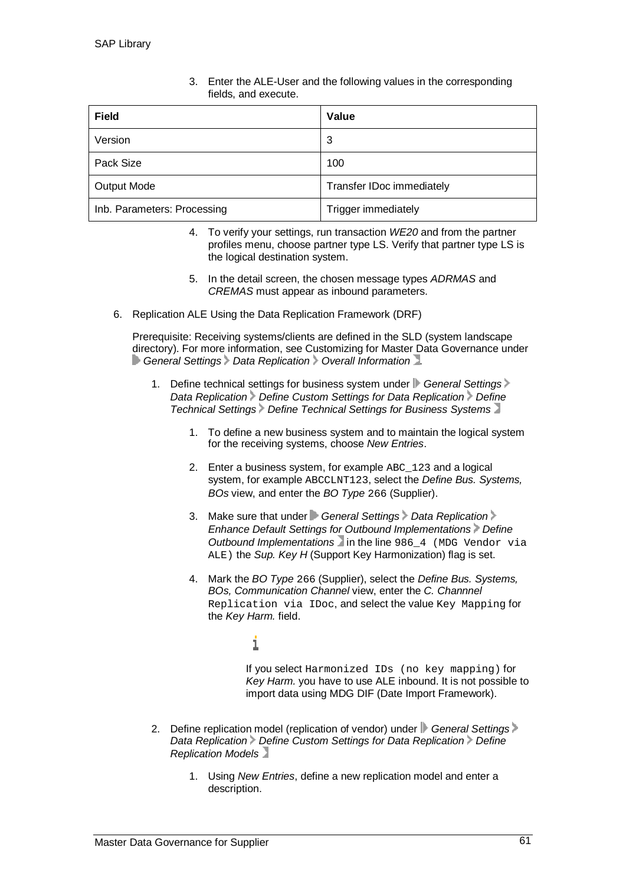| <b>Field</b>                | Value                     |
|-----------------------------|---------------------------|
| Version                     | 3                         |
| Pack Size                   | 100                       |
| <b>Output Mode</b>          | Transfer IDoc immediately |
| Inb. Parameters: Processing | Trigger immediately       |

3. Enter the ALE-User and the following values in the corresponding fields, and execute.

- 4. To verify your settings, run transaction *WE20* and from the partner profiles menu, choose partner type LS. Verify that partner type LS is the logical destination system.
- 5. In the detail screen, the chosen message types *ADRMAS* and *CREMAS* must appear as inbound parameters.
- 6. Replication ALE Using the Data Replication Framework (DRF)

Prerequisite: Receiving systems/clients are defined in the SLD (system landscape directory). For more information, see Customizing for Master Data Governance under **General Settings Data Replication Overall Information** .

- 1. Define technical settings for business system under **General Settings** *Data Replication Define Custom Settings for Data Replication Define Technical Settings Define Technical Settings for Business Systems*
	- 1. To define a new business system and to maintain the logical system for the receiving systems, choose *New Entries*.
	- 2. Enter a business system, for example ABC 123 and a logical system, for example ABCCLNT123, select the *Define Bus. Systems, BOs* view, and enter the *BO Type* 266 (Supplier).
	- 3. Make sure that under *General Settings Data Replication Enhance Default Settings for Outbound Implementations Define Outbound Implementations* in the line 986 4 (MDG Vendor via ALE) the *Sup. Key H* (Support Key Harmonization) flag is set.
	- 4. Mark the *BO Type* 266 (Supplier), select the *Define Bus. Systems, BOs, Communication Channel* view, enter the *C. Channnel* Replication via IDoc, and select the value Key Mapping for the *Key Harm.* field.

#### i

If you select Harmonized IDs (no key mapping) for *Key Harm.* you have to use ALE inbound. It is not possible to import data using MDG DIF (Date Import Framework).

- 2. Define replication model (replication of vendor) under **General Settings** *Data Replication Define Custom Settings for Data Replication Define Replication Models*
	- 1. Using *New Entries*, define a new replication model and enter a description.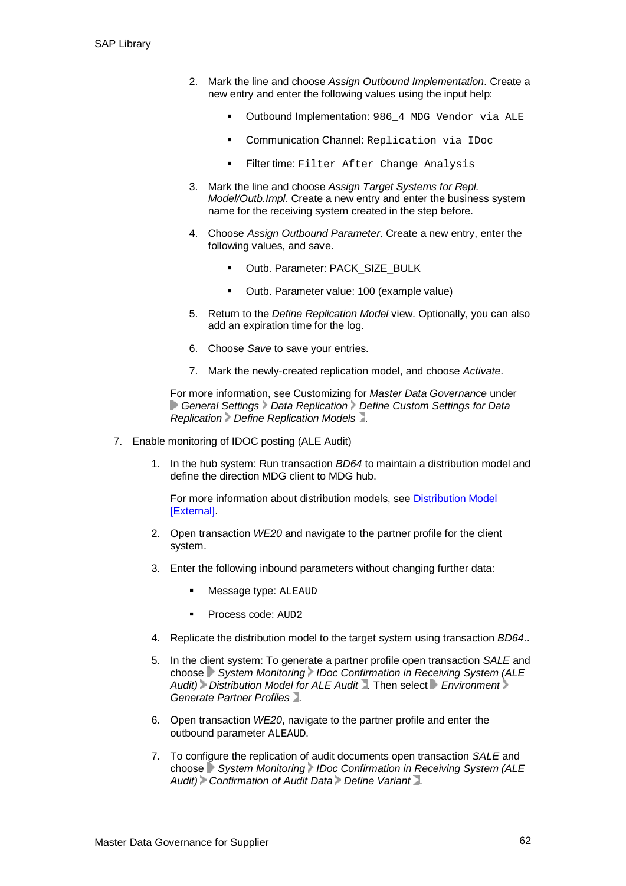- 2. Mark the line and choose *Assign Outbound Implementation*. Create a new entry and enter the following values using the input help:
	- Outbound Implementation: 986\_4 MDG Vendor via ALE
	- **Communication Channel: Replication via IDoc**
	- **Filter time: Filter After Change Analysis**
- 3. Mark the line and choose *Assign Target Systems for Repl. Model/Outb.Impl*. Create a new entry and enter the business system name for the receiving system created in the step before.
- 4. Choose *Assign Outbound Parameter*. Create a new entry, enter the following values, and save.
	- Outb. Parameter: PACK\_SIZE\_BULK
	- Outb. Parameter value: 100 (example value)
- 5. Return to the *Define Replication Model* view. Optionally, you can also add an expiration time for the log.
- 6. Choose *Save* to save your entries.
- 7. Mark the newly-created replication model, and choose *Activate*.

For more information, see Customizing for *Master Data Governance* under **General Settings > Data Replication > Define Custom Settings for Data** *Replication Define Replication Models* .

- 7. Enable monitoring of IDOC posting (ALE Audit)
	- 1. In the hub system: Run transaction *BD64* to maintain a distribution model and define the direction MDG client to MDG hub.

For more information about distribution models, see Distribution Model [External].

- 2. Open transaction *WE20* and navigate to the partner profile for the client system.
- 3. Enter the following inbound parameters without changing further data:
	- Message type: ALEAUD
	- Process code: AUD2
- 4. Replicate the distribution model to the target system using transaction *BD64*..
- 5. In the client system: To generate a partner profile open transaction *SALE* and choose **System Monitoring IDoc Confirmation in Receiving System (ALE** *Audit) Distribution Model for ALE Audit* . Then select *Environment Generate Partner Profiles* .
- 6. Open transaction *WE20*, navigate to the partner profile and enter the outbound parameter ALEAUD.
- 7. To configure the replication of audit documents open transaction *SALE* and choose **System Monitoring IDoc Confirmation in Receiving System (ALE** *Audit) Confirmation of Audit Data Define Variant* .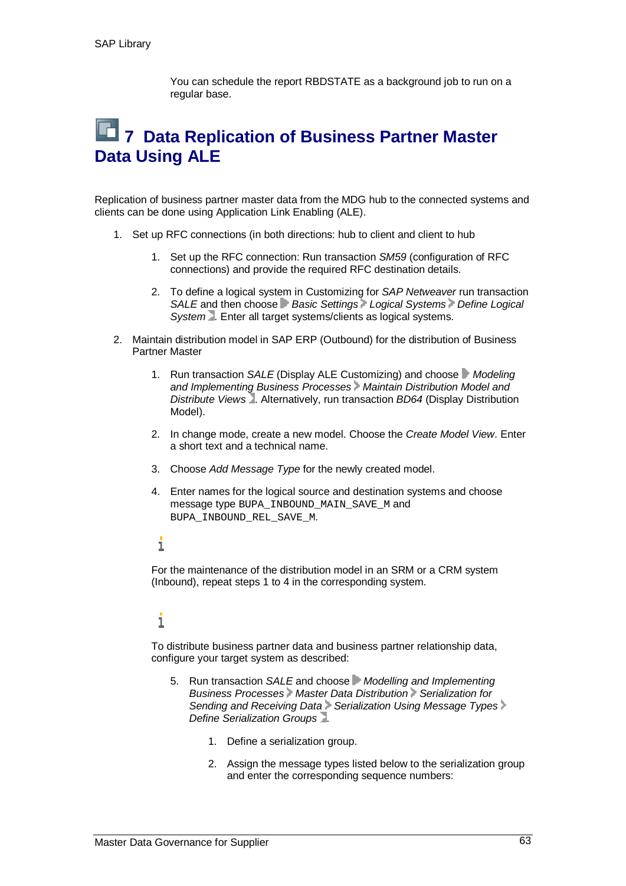You can schedule the report RBDSTATE as a background job to run on a regular base.

### **12 7 Data Replication of Business Partner Master Data Using ALE**

Replication of business partner master data from the MDG hub to the connected systems and clients can be done using Application Link Enabling (ALE).

- 1. Set up RFC connections (in both directions: hub to client and client to hub
	- 1. Set up the RFC connection: Run transaction *SM59* (configuration of RFC connections) and provide the required RFC destination details.
	- 2. To define a logical system in Customizing for *SAP Netweaver* run transaction *SALE* and then choose *Basic Settings Logical Systems Define Logical System* . Enter all target systems/clients as logical systems.
- 2. Maintain distribution model in SAP ERP (Outbound) for the distribution of Business Partner Master
	- 1. Run transaction *SALE* (Display ALE Customizing) and choose *Modeling and Implementing Business Processes Maintain Distribution Model and Distribute Views* . Alternatively, run transaction *BD64* (Display Distribution Model).
	- 2. In change mode, create a new model. Choose the *Create Model View*. Enter a short text and a technical name.
	- 3. Choose *Add Message Type* for the newly created model.
	- 4. Enter names for the logical source and destination systems and choose message type BUPA\_INBOUND\_MAIN\_SAVE\_M and BUPA\_INBOUND\_REL\_SAVE\_M.

#### i

For the maintenance of the distribution model in an SRM or a CRM system (Inbound), repeat steps 1 to 4 in the corresponding system.

### i

To distribute business partner data and business partner relationship data, configure your target system as described:

- 5. Run transaction *SALE* and choose *Modelling and Implementing Business Processes Master Data Distribution Serialization for Sending and Receiving Data > Serialization Using Message Types* > *Define Serialization Groups* .
	- 1. Define a serialization group.
	- 2. Assign the message types listed below to the serialization group and enter the corresponding sequence numbers: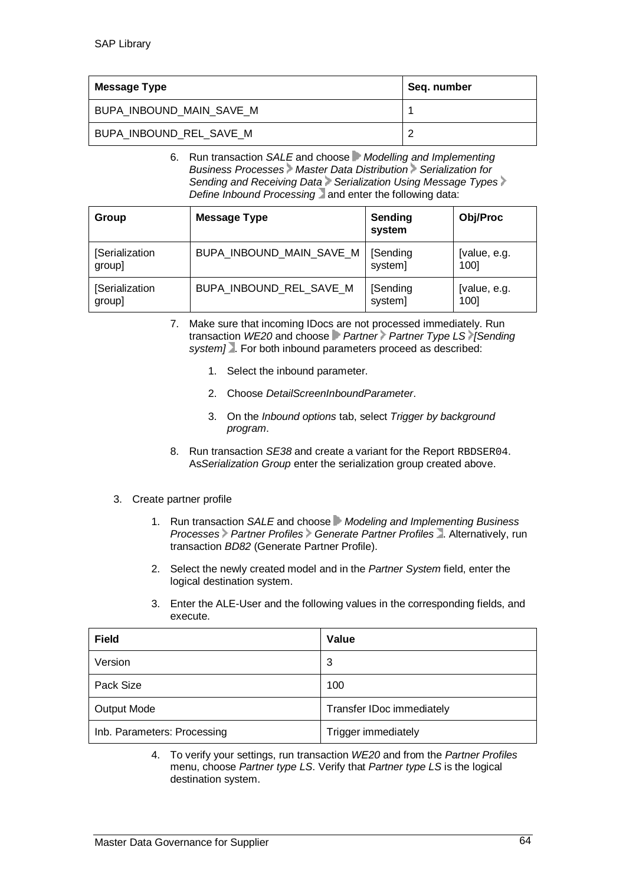| Message Type             | Seq. number |
|--------------------------|-------------|
| BUPA_INBOUND_MAIN_SAVE_M |             |
| BUPA_INBOUND_REL_SAVE_M  |             |

6. Run transaction *SALE* and choose *Modelling and Implementing Business Processes Master Data Distribution Serialization for* **Sending and Receiving Data > Serialization Using Message Types** *Define Inbound Processing* and enter the following data:

| Group          | <b>Message Type</b>      | Sending<br>system | <b>Obj/Proc</b> |
|----------------|--------------------------|-------------------|-----------------|
| [Serialization | BUPA_INBOUND_MAIN_SAVE_M | [Sending          | [value, e.g.    |
| group]         |                          | system]           | 1001            |
| [Serialization | BUPA INBOUND REL SAVE M  | [Sending          | [value, e.g.    |
| group]         |                          | system]           | 100]            |

- 7. Make sure that incoming IDocs are not processed immediately. Run transaction *WE20* and choose *Partner Partner Type LS [Sending system]* . For both inbound parameters proceed as described:
	- 1. Select the inbound parameter.
	- 2. Choose *DetailScreenInboundParameter*.
	- 3. On the *Inbound options* tab, select *Trigger by background program*.
- 8. Run transaction *SE38* and create a variant for the Report RBDSER04. As*Serialization Group* enter the serialization group created above.

#### 3. Create partner profile

- 1. Run transaction *SALE* and choose *Modeling and Implementing Business Processes Partner Profiles Generate Partner Profiles* . Alternatively, run transaction *BD82* (Generate Partner Profile).
- 2. Select the newly created model and in the *Partner System* field, enter the logical destination system.
- 3. Enter the ALE-User and the following values in the corresponding fields, and execute.

| <b>Field</b>                | Value                     |
|-----------------------------|---------------------------|
| Version                     | 3                         |
| Pack Size                   | 100                       |
| <b>Output Mode</b>          | Transfer IDoc immediately |
| Inb. Parameters: Processing | Trigger immediately       |

4. To verify your settings, run transaction *WE20* and from the *Partner Profiles* menu, choose *Partner type LS*. Verify that *Partner type LS* is the logical destination system.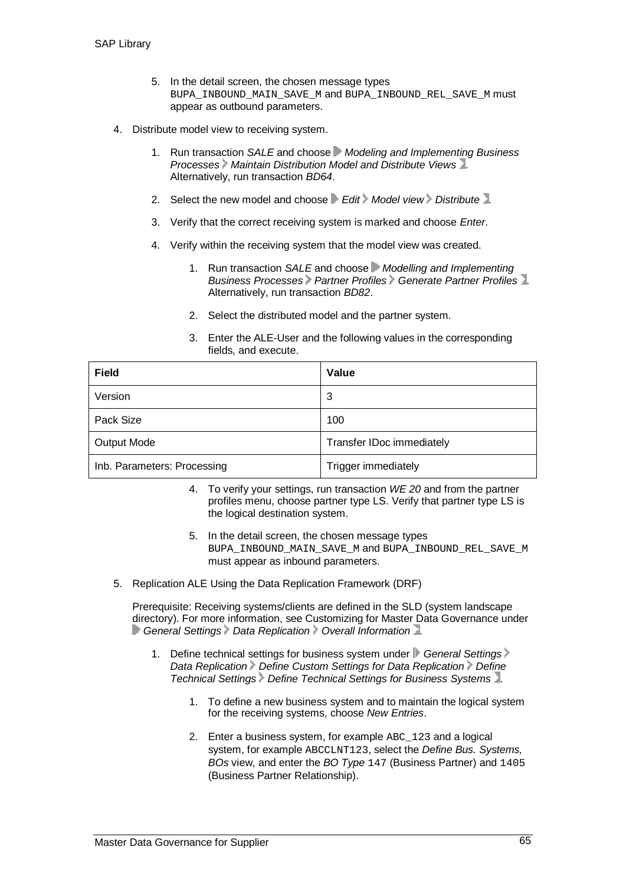- 5. In the detail screen, the chosen message types BUPA INBOUND MAIN SAVE M and BUPA INBOUND REL SAVE M must appear as outbound parameters.
- 4. Distribute model view to receiving system.
	- 1. Run transaction *SALE* and choose *Modeling and Implementing Business Processes Maintain Distribution Model and Distribute Views* . Alternatively, run transaction *BD64*.
	- 2. Select the new model and choose **F** Edit > Model view > Distribute 1.
	- 3. Verify that the correct receiving system is marked and choose *Enter*.
	- 4. Verify within the receiving system that the model view was created.
		- 1. Run transaction *SALE* and choose *Modelling and Implementing Business Processes Partner Profiles Generate Partner Profiles* . Alternatively, run transaction *BD82*.
		- 2. Select the distributed model and the partner system.
		- 3. Enter the ALE-User and the following values in the corresponding fields, and execute.

| <b>Field</b>                | Value                     |
|-----------------------------|---------------------------|
| Version                     | 3                         |
| Pack Size                   | 100                       |
| <b>Output Mode</b>          | Transfer IDoc immediately |
| Inb. Parameters: Processing | Trigger immediately       |

- 4. To verify your settings, run transaction *WE 20* and from the partner profiles menu, choose partner type LS. Verify that partner type LS is the logical destination system.
- 5. In the detail screen, the chosen message types BUPA INBOUND MAIN SAVE M and BUPA INBOUND REL SAVE M must appear as inbound parameters.
- 5. Replication ALE Using the Data Replication Framework (DRF)

Prerequisite: Receiving systems/clients are defined in the SLD (system landscape) directory). For more information, see Customizing for Master Data Governance under **General Settings Data Replication Overall Information** 

- 1. Define technical settings for business system under **F** General Settings *Data Replication* Define Custom Settings for Data Replication Define *Technical Settings Define Technical Settings for Business Systems* .
	- 1. To define a new business system and to maintain the logical system for the receiving systems, choose *New Entries*.
	- 2. Enter a business system, for example ABC\_123 and a logical system, for example ABCCLNT123, select the *Define Bus. Systems, BOs* view, and enter the *BO Type* 147 (Business Partner) and 1405 (Business Partner Relationship).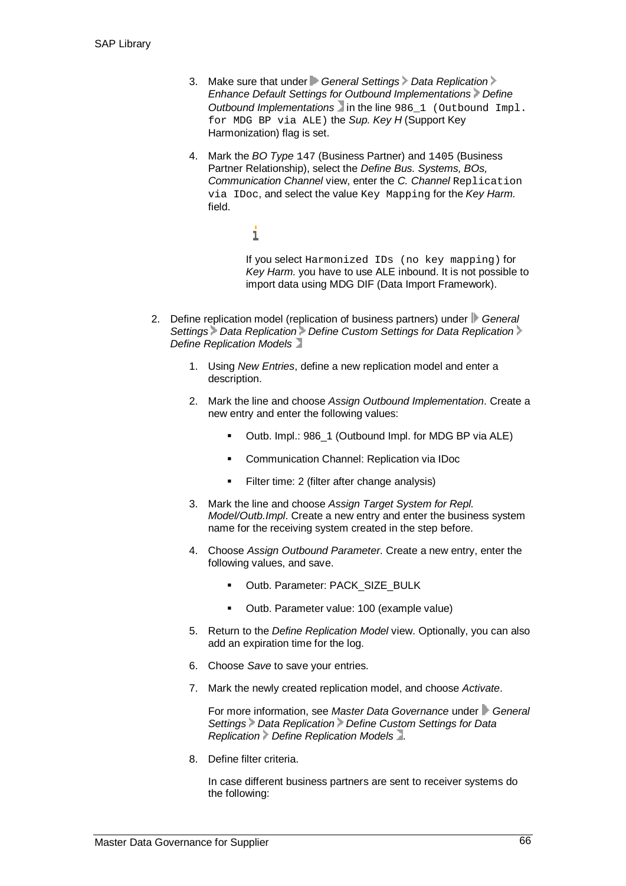- 3. Make sure that under *General Settings Data Replication Enhance Default Settings for Outbound Implementations Define Outbound Implementations* in the line 986\_1 (Outbound Impl. for MDG BP via ALE) the *Sup. Key H* (Support Key Harmonization) flag is set.
- 4. Mark the *BO Type* 147 (Business Partner) and 1405 (Business Partner Relationship), select the *Define Bus. Systems, BOs, Communication Channel* view, enter the *C. Channel* Replication via IDoc, and select the value Key Mapping for the *Key Harm.* field.

If you select Harmonized IDs (no key mapping) for *Key Harm.* you have to use ALE inbound. It is not possible to import data using MDG DIF (Data Import Framework).

2. Define replication model (replication of business partners) under *General Settings Data Replication Define Custom Settings for Data Replication Define Replication Models*

i

- 1. Using *New Entries*, define a new replication model and enter a description.
- 2. Mark the line and choose *Assign Outbound Implementation*. Create a new entry and enter the following values:
	- Outb. Impl.: 986\_1 (Outbound Impl. for MDG BP via ALE)
	- **E** Communication Channel: Replication via IDoc
	- Filter time: 2 (filter after change analysis)
- 3. Mark the line and choose *Assign Target System for Repl. Model/Outb.Impl*. Create a new entry and enter the business system name for the receiving system created in the step before.
- 4. Choose *Assign Outbound Parameter*. Create a new entry, enter the following values, and save.
	- **-** Outb. Parameter: PACK\_SIZE\_BULK
	- Outb. Parameter value: 100 (example value)
- 5. Return to the *Define Replication Model* view. Optionally, you can also add an expiration time for the log.
- 6. Choose *Save* to save your entries.
- 7. Mark the newly created replication model, and choose *Activate*.

For more information, see *Master Data Governance* under *General Settings Data Replication Define Custom Settings for Data Replication Define Replication Models* .

8. Define filter criteria.

In case different business partners are sent to receiver systems do the following: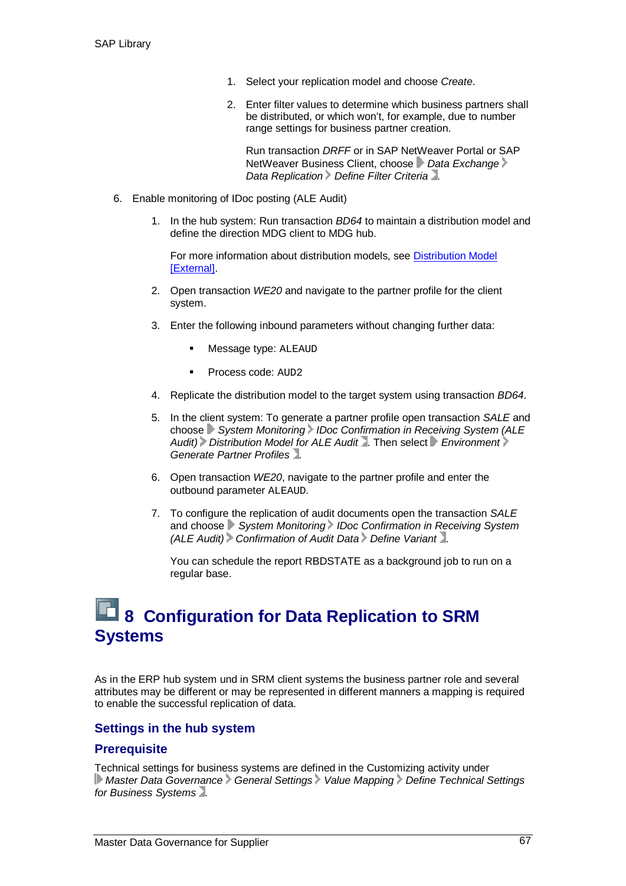- 1. Select your replication model and choose *Create*.
- 2. Enter filter values to determine which business partners shall be distributed, or which won't, for example, due to number range settings for business partner creation.

Run transaction *DRFF* or in SAP NetWeaver Portal or SAP NetWeaver Business Client, choose *Data Exchange Data Replication > Define Filter Criteria* 2.

- 6. Enable monitoring of IDoc posting (ALE Audit)
	- 1. In the hub system: Run transaction *BD64* to maintain a distribution model and define the direction MDG client to MDG hub.

For more information about distribution models, see Distribution Model [External].

- 2. Open transaction *WE20* and navigate to the partner profile for the client system.
- 3. Enter the following inbound parameters without changing further data:
	- Message type: ALEAUD
	- Process code: AUD2
- 4. Replicate the distribution model to the target system using transaction *BD64*.
- 5. In the client system: To generate a partner profile open transaction *SALE* and choose **System Monitoring IDoc Confirmation in Receiving System (ALE** Audit) Distribution Model for ALE Audit **Audit** Frien select **Full Audit** Audit Audit Audit Audit Audit Audit Audit Audit Audit Audit Audit Audit Audit Audit Audit Audit Audit Audit Audit Audit Audit Audit Audit Audit Audi *Generate Partner Profiles* .
- 6. Open transaction *WE20*, navigate to the partner profile and enter the outbound parameter ALEAUD.
- 7. To configure the replication of audit documents open the transaction *SALE* and choose *System Monitoring IDoc Confirmation in Receiving System (ALE Audit) Confirmation of Audit Data Define Variant* .

You can schedule the report RBDSTATE as a background job to run on a regular base.

### **13 B Configuration for Data Replication to SRM Systems**

As in the ERP hub system und in SRM client systems the business partner role and several attributes may be different or may be represented in different manners a mapping is required to enable the successful replication of data.

#### **Settings in the hub system**

#### **Prerequisite**

Technical settings for business systems are defined in the Customizing activity under *Master Data Governance General Settings Value Mapping Define Technical Settings for Business Systems* .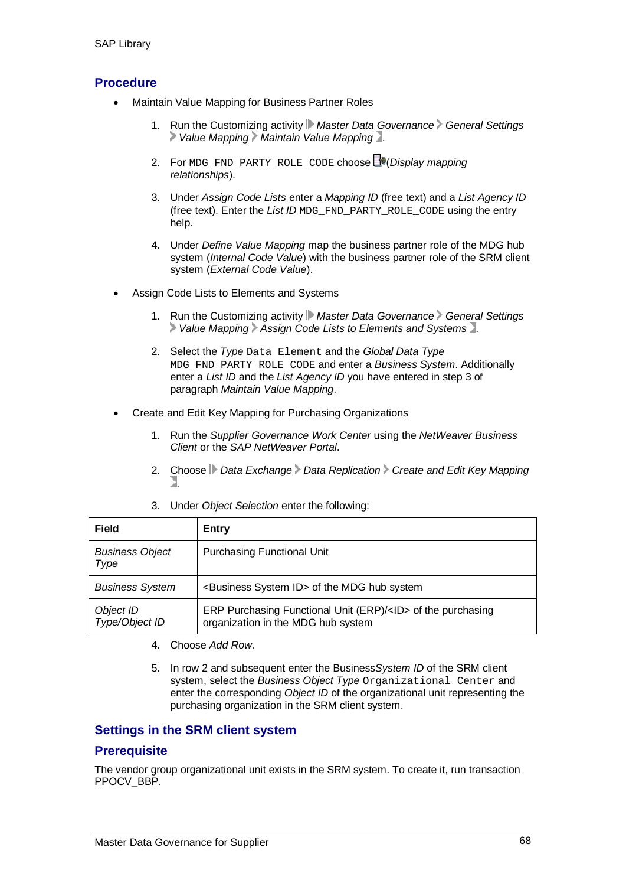#### **Procedure**

- Maintain Value Mapping for Business Partner Roles
	- 1. Run the Customizing activity Master Data Governance > General Settings  *Value Mapping Maintain Value Mapping* .
	- 2. For MDG\_FND\_PARTY\_ROLE\_CODE choose (*Display mapping relationships*).
	- 3. Under *Assign Code Lists* enter a *Mapping ID* (free text) and a *List Agency ID* (free text). Enter the *List ID* MDG\_FND\_PARTY\_ROLE\_CODE using the entry help.
	- 4. Under *Define Value Mapping* map the business partner role of the MDG hub system (*Internal Code Value*) with the business partner role of the SRM client system (*External Code Value*).
- Assign Code Lists to Elements and Systems
	- 1. Run the Customizing activity *Master Data Governance* General Settings  *Value Mapping Assign Code Lists to Elements and Systems* .
	- 2. Select the *Type* Data Element and the *Global Data Type* MDG\_FND\_PARTY\_ROLE\_CODE and enter a *Business System*. Additionally enter a *List ID* and the *List Agency ID* you have entered in step 3 of paragraph *Maintain Value Mapping*.
- Create and Edit Key Mapping for Purchasing Organizations
	- 1. Run the *Supplier Governance Work Center* using the *NetWeaver Business Client* or the *SAP NetWeaver Portal*.
	- 2. Choose *Data Exchange Data Replication Create and Edit Key Mapping* .
	- 3. Under *Object Selection* enter the following:

| <b>Field</b>                   | Entry                                                                                                    |
|--------------------------------|----------------------------------------------------------------------------------------------------------|
| <b>Business Object</b><br>Type | <b>Purchasing Functional Unit</b>                                                                        |
| <b>Business System</b>         | <business id="" system=""> of the MDG hub system</business>                                              |
| Object ID<br>Type/Object ID    | ERP Purchasing Functional Unit (ERP)/ <id> of the purchasing<br/>organization in the MDG hub system</id> |

- 4. Choose *Add Row*.
- 5. In row 2 and subsequent enter the Business*System ID* of the SRM client system, select the *Business Object Type* Organizational Center and enter the corresponding *Object ID* of the organizational unit representing the purchasing organization in the SRM client system.

#### **Settings in the SRM client system**

#### **Prerequisite**

The vendor group organizational unit exists in the SRM system. To create it, run transaction PPOCV\_BBP.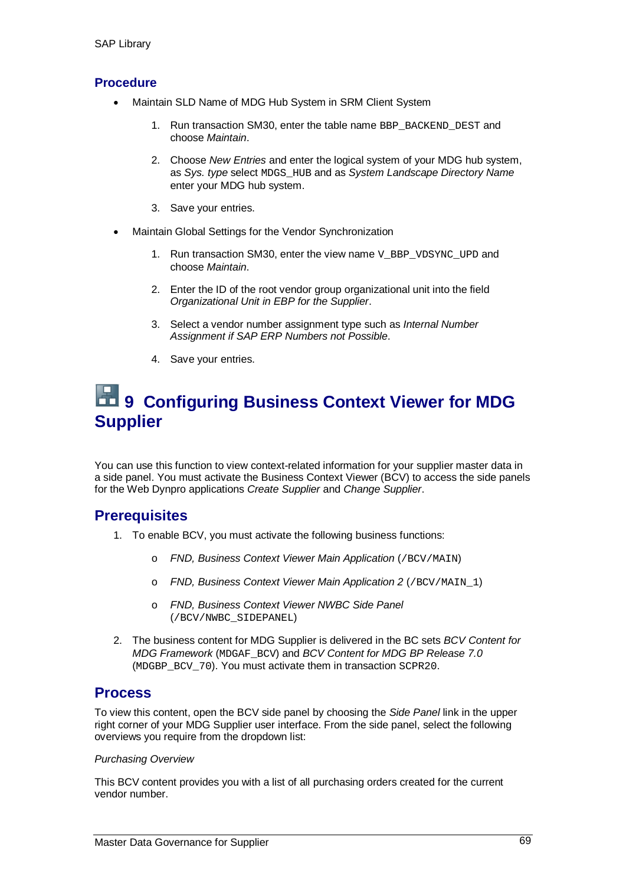#### **Procedure**

- Maintain SLD Name of MDG Hub System in SRM Client System
	- 1. Run transaction SM30, enter the table name BBP\_BACKEND\_DEST and choose *Maintain*.
	- 2. Choose *New Entries* and enter the logical system of your MDG hub system, as *Sys. type* select MDGS\_HUB and as *System Landscape Directory Name* enter your MDG hub system.
	- 3. Save your entries.
- Maintain Global Settings for the Vendor Synchronization
	- 1. Run transaction SM30, enter the view name  $V$  BBP VDSYNC UPD and choose *Maintain*.
	- 2. Enter the ID of the root vendor group organizational unit into the field *Organizational Unit in EBP for the Supplier*.
	- 3. Select a vendor number assignment type such as *Internal Number Assignment if SAP ERP Numbers not Possible*.
	- 4. Save your entries.

### **19 Configuring Business Context Viewer for MDG Supplier**

You can use this function to view context-related information for your supplier master data in a side panel. You must activate the Business Context Viewer (BCV) to access the side panels for the Web Dynpro applications *Create Supplier* and *Change Supplier*.

#### **Prerequisites**

- 1. To enable BCV, you must activate the following business functions:
	- o *FND, Business Context Viewer Main Application* (/BCV/MAIN)
	- o *FND, Business Context Viewer Main Application 2* (/BCV/MAIN\_1)
	- o *FND, Business Context Viewer NWBC Side Panel* (/BCV/NWBC\_SIDEPANEL)
- 2. The business content for MDG Supplier is delivered in the BC sets *BCV Content for MDG Framework* (MDGAF\_BCV) and *BCV Content for MDG BP Release 7.0* (MDGBP BCV 70). You must activate them in transaction SCPR20.

#### **Process**

To view this content, open the BCV side panel by choosing the *Side Panel* link in the upper right corner of your MDG Supplier user interface. From the side panel, select the following overviews you require from the dropdown list:

#### *Purchasing Overview*

This BCV content provides you with a list of all purchasing orders created for the current vendor number.